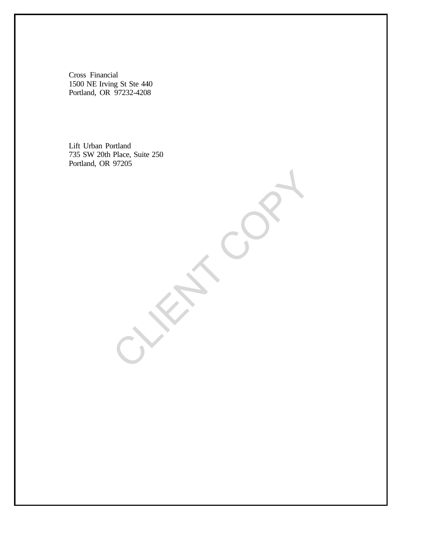Cross Financial 1500 NE Irving St Ste 440 Portland, OR 97232-4208

 Lift Urban Portland 735 SW 20th Place, Suite 250 Portland, OR 97205

CLIENT COPY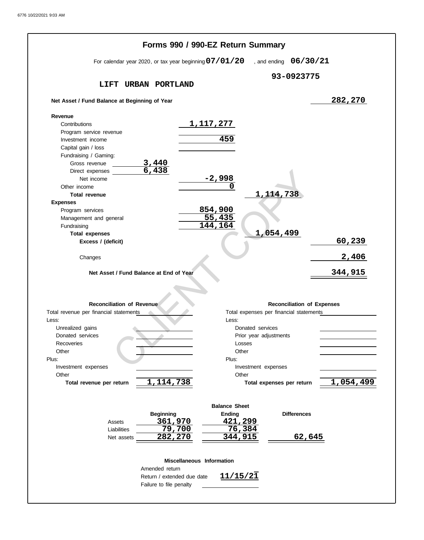|                                                          | Forms 990 / 990-EZ Return Summary               |  |
|----------------------------------------------------------|-------------------------------------------------|--|
| For calendar year 2020, or tax year beginning $07/01/20$ | , and ending $06/30/21$                         |  |
|                                                          | 93-0923775                                      |  |
| LIFT<br>URBAN PORTLAND                                   |                                                 |  |
| Net Asset / Fund Balance at Beginning of Year            | 282,270                                         |  |
| Revenue<br>Contributions                                 | <u>1,117,277</u>                                |  |
| Program service revenue                                  |                                                 |  |
| Investment income                                        | 459                                             |  |
| Capital gain / loss                                      |                                                 |  |
| Fundraising / Gaming:                                    |                                                 |  |
| $\frac{3,440}{6,438}$<br>Gross revenue                   |                                                 |  |
| Direct expenses                                          |                                                 |  |
| Net income                                               | <u>–2,998</u><br>0                              |  |
| Other income<br><b>Total revenue</b>                     | 1, 114, 738                                     |  |
| <b>Expenses</b>                                          |                                                 |  |
| Program services                                         | 854,900                                         |  |
| Management and general                                   | 55,435                                          |  |
| Fundraising                                              | 144<br>164ء                                     |  |
| <b>Total expenses</b>                                    | 1,054,499                                       |  |
| Excess / (deficit)                                       | 60, 239                                         |  |
| Changes                                                  | 2,406                                           |  |
|                                                          |                                                 |  |
| Net Asset / Fund Balance at End of Year                  | 344,915                                         |  |
|                                                          |                                                 |  |
|                                                          |                                                 |  |
| <b>Reconciliation of Revenue</b>                         | <b>Reconciliation of Expenses</b>               |  |
| Total revenue per financial statements                   | Total expenses per financial statements         |  |
| Less:                                                    | Less:                                           |  |
|                                                          |                                                 |  |
| Unrealized gains                                         | Donated services                                |  |
| Donated services                                         | Prior year adjustments                          |  |
| Recoveries                                               | Losses                                          |  |
| Other                                                    | Other                                           |  |
| Plus:                                                    | Plus:                                           |  |
| Investment expenses                                      | Investment expenses                             |  |
| Other<br>1, 114, 738<br>Total revenue per return         | Other<br>1,054,499<br>Total expenses per return |  |
|                                                          |                                                 |  |
|                                                          | <b>Balance Sheet</b>                            |  |
| <b>Beginning</b>                                         | Ending<br><b>Differences</b>                    |  |
| 361,970<br>Assets                                        | <u>421,299</u>                                  |  |
| 79,700<br>Liabilities                                    | $\overline{76,384}$                             |  |
| 282,270<br>Net assets                                    | 344,915<br>62,645                               |  |
|                                                          |                                                 |  |
| Miscellaneous Information                                |                                                 |  |
| Amended return                                           |                                                 |  |
| Return / extended due date                               | 11/15/21                                        |  |
| Failure to file penalty                                  |                                                 |  |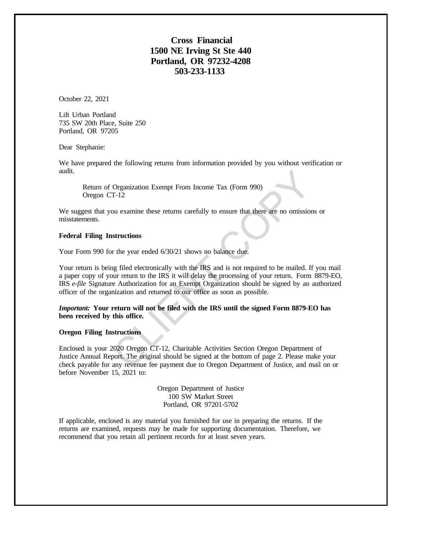## **Cross Financial 1500 NE Irving St Ste 440 Portland, OR 97232-4208 503-233-1133**

October 22, 2021

Lift Urban Portland 735 SW 20th Place, Suite 250 Portland, OR 97205

Dear Stephanie:

We have prepared the following returns from information provided by you without verification or audit.

Return of Organization Exempt From Income Tax (Form 990) Oregon CT-12

We suggest that you examine these returns carefully to ensure that there are no omissions or misstatements.

## **Federal Filing Instructions**

Your Form 990 for the year ended 6/30/21 shows no balance due.

Your return is being filed electronically with the IRS and is not required to be mailed. If you mail a paper copy of your return to the IRS it will delay the processing of your return. Form 8879-EO, IRS *e-file* Signature Authorization for an Exempt Organization should be signed by an authorized officer of the organization and returned to our office as soon as possible. Organization Exempt From Income Tax (Form 990)<br>T-12<br>ou examine these returns carefully to ensure that there are no omission<br>structions<br>or the year ended 6/30/21 shows no balance due.<br>we return to the IRS it will delay the

### *Important:* **Your return will not be filed with the IRS until the signed Form 8879-EO has been received by this office.**

### **Oregon Filing Instructions**

Enclosed is your 2020 Oregon CT-12, Charitable Activities Section Oregon Department of Justice Annual Report. The original should be signed at the bottom of page 2. Please make your check payable for any revenue fee payment due to Oregon Department of Justice, and mail on or before November 15, 2021 to:

> Oregon Department of Justice 100 SW Market Street Portland, OR 97201-5702

If applicable, enclosed is any material you furnished for use in preparing the returns. If the returns are examined, requests may be made for supporting documentation. Therefore, we recommend that you retain all pertinent records for at least seven years.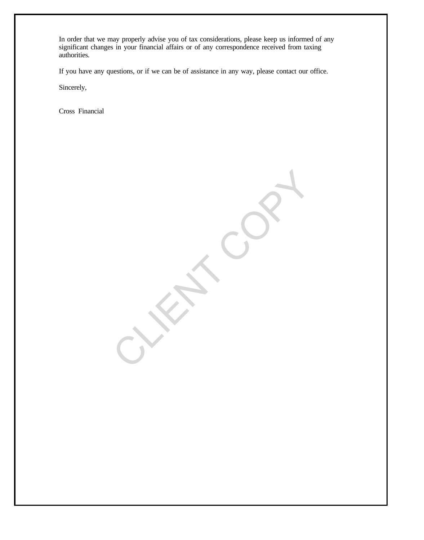In order that we may properly advise you of tax considerations, please keep us informed of any significant changes in your financial affairs or of any correspondence received from taxing authorities.

If you have any questions, or if we can be of assistance in any way, please contact our office.

CLIENT COPY

Sincerely,

Cross Financial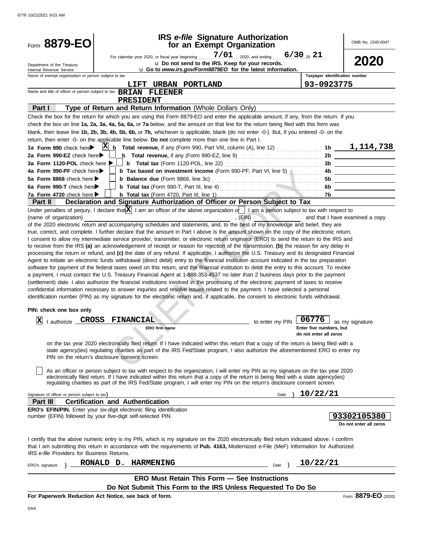| Form 8879-EO                                                |                                                                                                                                              | <b>IRS</b> e-file Signature Authorization<br>for an Exempt Organization                                                                                                                                                                                                              |                                                   | OMB No. 1545-0047               |
|-------------------------------------------------------------|----------------------------------------------------------------------------------------------------------------------------------------------|--------------------------------------------------------------------------------------------------------------------------------------------------------------------------------------------------------------------------------------------------------------------------------------|---------------------------------------------------|---------------------------------|
|                                                             |                                                                                                                                              |                                                                                                                                                                                                                                                                                      |                                                   |                                 |
| Department of the Treasury<br>Internal Revenue Service      |                                                                                                                                              | u Do not send to the IRS. Keep for your records.<br>u Go to www.irs.gov/Form8879EO for the latest information.                                                                                                                                                                       |                                                   | 2020                            |
| Name of exempt organization or person subject to tax        |                                                                                                                                              |                                                                                                                                                                                                                                                                                      |                                                   | Taxpayer identification number  |
|                                                             | Name and title of officer or person subject to tax <b>BRIAN FLEENER</b>                                                                      | LIFT URBAN PORTLAND                                                                                                                                                                                                                                                                  | 93-0923775                                        |                                 |
|                                                             | <b>PRESIDENT</b>                                                                                                                             |                                                                                                                                                                                                                                                                                      |                                                   |                                 |
| Part I                                                      |                                                                                                                                              | Type of Return and Return Information (Whole Dollars Only)                                                                                                                                                                                                                           |                                                   |                                 |
|                                                             |                                                                                                                                              | Check the box for the return for which you are using this Form 8879-EO and enter the applicable amount, if any, from the return. If you                                                                                                                                              |                                                   |                                 |
|                                                             |                                                                                                                                              | check the box on line 1a, 2a, 3a, 4a, 5a, 6a, or 7a below, and the amount on that line for the return being filed with this form was                                                                                                                                                 |                                                   |                                 |
|                                                             |                                                                                                                                              | blank, then leave line 1b, 2b, 3b, 4b, 5b, 6b, or 7b, whichever is applicable, blank (do not enter -0-). But, if you entered -0- on the                                                                                                                                              |                                                   |                                 |
|                                                             |                                                                                                                                              | return, then enter -0- on the applicable line below. Do not complete more than one line in Part I.                                                                                                                                                                                   |                                                   |                                 |
| 1a Form 990 check here                                      |                                                                                                                                              | $X_{n}$ Total revenue, if any (Form 990, Part VIII, column (A), line 12)  1b $1,114,738$                                                                                                                                                                                             |                                                   |                                 |
| 2a Form 990-EZ check here▶<br>3a Form 1120-POL check here ▶ |                                                                                                                                              | <b>b</b> Total revenue, if any (Form 990-EZ, line 9) $\ldots$ $\ldots$ $\ldots$ $\ldots$ 2b $\ldots$                                                                                                                                                                                 |                                                   |                                 |
| 4a Form 990-PF check here                                   |                                                                                                                                              | <b>b</b> Tax based on investment income (Form 990-PF, Part VI, line 5) <b>All Accords</b>                                                                                                                                                                                            |                                                   |                                 |
| 5a Form 8868 check here $\blacktriangleright$               |                                                                                                                                              |                                                                                                                                                                                                                                                                                      |                                                   | 5b ____________________         |
| 6a Form 990-T check here                                    |                                                                                                                                              |                                                                                                                                                                                                                                                                                      |                                                   | 6b                              |
| 7a Form 4720 check here ▶                                   |                                                                                                                                              |                                                                                                                                                                                                                                                                                      |                                                   |                                 |
| <b>Part II</b>                                              |                                                                                                                                              | Declaration and Signature Authorization of Officer or Person Subject to Tax                                                                                                                                                                                                          |                                                   |                                 |
|                                                             |                                                                                                                                              | Under penalties of perjury, I declare that $X$ I am an officer of the above organization of I am a person subject to tax with respect to                                                                                                                                             |                                                   |                                 |
| (name of organization)                                      |                                                                                                                                              | , (EIN)                                                                                                                                                                                                                                                                              |                                                   | and that I have examined a copy |
|                                                             |                                                                                                                                              | of the 2020 electronic return and accompanying schedules and statements, and, to the best of my knowledge and belief, they are                                                                                                                                                       |                                                   |                                 |
|                                                             |                                                                                                                                              | true, correct, and complete. I further declare that the amount in Part I above is the amount shown on the copy of the electronic return.                                                                                                                                             |                                                   |                                 |
|                                                             |                                                                                                                                              | I consent to allow my intermediate service provider, transmitter, or electronic return originator (ERO) to send the return to the IRS and                                                                                                                                            |                                                   |                                 |
|                                                             |                                                                                                                                              | to receive from the IRS (a) an acknowledgement of receipt or reason for rejection of the transmission, (b) the reason for any delay in<br>processing the return or refund, and (c) the date of any refund. If applicable, I authorize the U.S. Treasury and its designated Financial |                                                   |                                 |
|                                                             |                                                                                                                                              | Agent to initiate an electronic funds withdrawal (direct debit) entry to the financial institution account indicated in the tax preparation                                                                                                                                          |                                                   |                                 |
|                                                             |                                                                                                                                              | software for payment of the federal taxes owed on this return, and the financial institution to debit the entry to this account. To revoke                                                                                                                                           |                                                   |                                 |
|                                                             |                                                                                                                                              | a payment, I must contact the U.S. Treasury Financial Agent at 1-888-353-4537 no later than 2 business days prior to the payment                                                                                                                                                     |                                                   |                                 |
|                                                             |                                                                                                                                              | (settlement) date. I also authorize the financial institutions involved in the processing of the electronic payment of taxes to receive                                                                                                                                              |                                                   |                                 |
|                                                             |                                                                                                                                              | confidential information necessary to answer inquiries and resolve issues related to the payment. I have selected a personal                                                                                                                                                         |                                                   |                                 |
|                                                             |                                                                                                                                              | identification number (PIN) as my signature for the electronic return and, if applicable, the consent to electronic funds withdrawal.                                                                                                                                                |                                                   |                                 |
| PIN: check one box only                                     |                                                                                                                                              |                                                                                                                                                                                                                                                                                      |                                                   |                                 |
| lazi                                                        |                                                                                                                                              |                                                                                                                                                                                                                                                                                      |                                                   |                                 |
| Δ,                                                          | I authorize <b>CROSS FINANCIAL</b>                                                                                                           |                                                                                                                                                                                                                                                                                      | to enter my PIN $\boxed{06776}$ as my signature   |                                 |
|                                                             | ERO firm name                                                                                                                                |                                                                                                                                                                                                                                                                                      | Enter five numbers, but<br>do not enter all zeros |                                 |
|                                                             |                                                                                                                                              | on the tax year 2020 electronically filed return. If I have indicated within this return that a copy of the return is being filed with a                                                                                                                                             |                                                   |                                 |
|                                                             |                                                                                                                                              | state agency(ies) regulating charities as part of the IRS Fed/State program, I also authorize the aforementioned ERO to enter my                                                                                                                                                     |                                                   |                                 |
|                                                             | PIN on the return's disclosure consent screen.                                                                                               |                                                                                                                                                                                                                                                                                      |                                                   |                                 |
|                                                             |                                                                                                                                              |                                                                                                                                                                                                                                                                                      |                                                   |                                 |
|                                                             |                                                                                                                                              | As an officer or person subject to tax with respect to the organization, I will enter my PIN as my signature on the tax year 2020                                                                                                                                                    |                                                   |                                 |
|                                                             |                                                                                                                                              | electronically filed return. If I have indicated within this return that a copy of the return is being filed with a state agency(ies)<br>regulating charities as part of the IRS Fed/State program, I will enter my PIN on the return's disclosure consent screen.                   |                                                   |                                 |
|                                                             |                                                                                                                                              |                                                                                                                                                                                                                                                                                      |                                                   |                                 |
| Signature of officer or person subject to tax>              |                                                                                                                                              |                                                                                                                                                                                                                                                                                      | 10/22/21<br>Date                                  |                                 |
| <b>Part III</b>                                             | <b>Certification and Authentication</b>                                                                                                      |                                                                                                                                                                                                                                                                                      |                                                   |                                 |
|                                                             | <b>ERO's EFIN/PIN.</b> Enter your six-digit electronic filing identification<br>number (EFIN) followed by your five-digit self-selected PIN. |                                                                                                                                                                                                                                                                                      |                                                   | 93302105380                     |
|                                                             |                                                                                                                                              |                                                                                                                                                                                                                                                                                      |                                                   | Do not enter all zeros          |
|                                                             |                                                                                                                                              |                                                                                                                                                                                                                                                                                      |                                                   |                                 |
|                                                             |                                                                                                                                              | I certify that the above numeric entry is my PIN, which is my signature on the 2020 electronically filed return indicated above. I confirm                                                                                                                                           |                                                   |                                 |
|                                                             |                                                                                                                                              | that I am submitting this return in accordance with the requirements of Pub. 4163, Modernized e-File (MeF) Information for Authorized                                                                                                                                                |                                                   |                                 |
| IRS e-file Providers for Business Returns.                  |                                                                                                                                              |                                                                                                                                                                                                                                                                                      |                                                   |                                 |
| ERO's signature                                             | RONALD D. HARMENING                                                                                                                          |                                                                                                                                                                                                                                                                                      | 10/22/21<br>Date }                                |                                 |
|                                                             |                                                                                                                                              | <b>ERO Must Retain This Form - See Instructions</b>                                                                                                                                                                                                                                  |                                                   |                                 |
|                                                             |                                                                                                                                              | Do Not Submit This Form to the IRS Unless Requested To Do So                                                                                                                                                                                                                         |                                                   |                                 |
|                                                             | For Paperwork Reduction Act Notice, see back of form.                                                                                        |                                                                                                                                                                                                                                                                                      |                                                   | Form 8879-EO (2020)             |
|                                                             |                                                                                                                                              |                                                                                                                                                                                                                                                                                      |                                                   |                                 |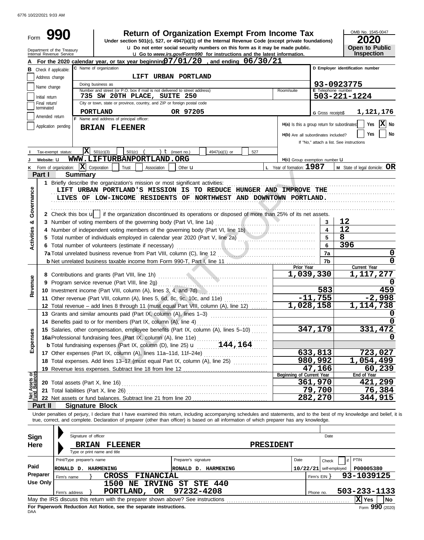6776 10/22/2021 9:03 AM

| Form                           |                                                                                                                                                                                | 990                                                    | <b>Return of Organization Exempt From Income Tax</b><br>Under section 501(c), 527, or 4947(a)(1) of the Internal Revenue Code (except private foundations)                                                                                                                                                                                       |                              | OMB No. 1545-0047<br>2020           |  |  |  |  |  |  |  |
|--------------------------------|--------------------------------------------------------------------------------------------------------------------------------------------------------------------------------|--------------------------------------------------------|--------------------------------------------------------------------------------------------------------------------------------------------------------------------------------------------------------------------------------------------------------------------------------------------------------------------------------------------------|------------------------------|-------------------------------------|--|--|--|--|--|--|--|
|                                |                                                                                                                                                                                | Department of the Treasury<br>Internal Revenue Service | u Do not enter social security numbers on this form as it may be made public.<br><b>u</b> Go to www.irs.gov/Form990 for instructions and the latest information.                                                                                                                                                                                 |                              | <b>Open to Public</b><br>Inspection |  |  |  |  |  |  |  |
|                                |                                                                                                                                                                                |                                                        | For the 2020 calendar year, or tax year beginning $07/01/20$ , and ending $06/30/21$                                                                                                                                                                                                                                                             |                              |                                     |  |  |  |  |  |  |  |
|                                |                                                                                                                                                                                | <b>B</b> Check if applicable:                          | C Name of organization                                                                                                                                                                                                                                                                                                                           |                              | D Employer identification number    |  |  |  |  |  |  |  |
|                                | Address change                                                                                                                                                                 |                                                        | LIFT URBAN PORTLAND                                                                                                                                                                                                                                                                                                                              |                              |                                     |  |  |  |  |  |  |  |
|                                | Name change                                                                                                                                                                    |                                                        | Doing business as                                                                                                                                                                                                                                                                                                                                |                              | 93-0923775                          |  |  |  |  |  |  |  |
|                                | Initial return                                                                                                                                                                 |                                                        | Number and street (or P.O. box if mail is not delivered to street address)<br>Room/suite<br>735 SW 20TH PLACE, SUITE 250                                                                                                                                                                                                                         | E Telephone number           | 503-221-1224                        |  |  |  |  |  |  |  |
|                                | Final return/                                                                                                                                                                  |                                                        | City or town, state or province, country, and ZIP or foreign postal code                                                                                                                                                                                                                                                                         |                              |                                     |  |  |  |  |  |  |  |
|                                | terminated<br>PORTLAND<br>OR 97205<br>G Gross receipts\$<br>Amended return                                                                                                     |                                                        |                                                                                                                                                                                                                                                                                                                                                  |                              |                                     |  |  |  |  |  |  |  |
|                                | F Name and address of principal officer:                                                                                                                                       |                                                        |                                                                                                                                                                                                                                                                                                                                                  |                              |                                     |  |  |  |  |  |  |  |
|                                | H(a) Is this a group return for subordinates<br>Application pending<br><b>BRIAN FLEENER</b><br>H(b) Are all subordinates included?<br>If "No," attach a list. See instructions |                                                        |                                                                                                                                                                                                                                                                                                                                                  |                              |                                     |  |  |  |  |  |  |  |
|                                |                                                                                                                                                                                | Tax-exempt status:                                     | x <br>501(c)(3)<br>501(c)<br>) $t$ (insert no.)<br>4947(a)(1) or<br>527                                                                                                                                                                                                                                                                          |                              |                                     |  |  |  |  |  |  |  |
|                                | Website: U                                                                                                                                                                     |                                                        | WWW.LIFTURBANPORTLAND.ORG<br>H(c) Group exemption number LI                                                                                                                                                                                                                                                                                      |                              |                                     |  |  |  |  |  |  |  |
| Κ                              |                                                                                                                                                                                | Form of organization:                                  | $\overline{\mathbf{X}}$ Corporation<br>L Year of formation: 1987<br>Trust<br>Association<br>Other <b>u</b>                                                                                                                                                                                                                                       |                              | M State of legal domicile: OR       |  |  |  |  |  |  |  |
|                                | Part I                                                                                                                                                                         |                                                        | <b>Summary</b>                                                                                                                                                                                                                                                                                                                                   |                              |                                     |  |  |  |  |  |  |  |
| Governance                     |                                                                                                                                                                                |                                                        | 1 Briefly describe the organization's mission or most significant activities:<br>LIFT URBAN PORTLAND'S MISSION IS TO REDUCE HUNGER AND IMPROVE THE<br>LIVES OF LOW-INCOME RESIDENTS OF NORTHWEST AND DOWNTOWN PORTLAND.                                                                                                                          |                              |                                     |  |  |  |  |  |  |  |
|                                |                                                                                                                                                                                |                                                        | 2 Check this box u   if the organization discontinued its operations or disposed of more than 25% of its net assets.                                                                                                                                                                                                                             |                              | 12                                  |  |  |  |  |  |  |  |
| න්                             |                                                                                                                                                                                |                                                        | 3 Number of voting members of the governing body (Part VI, line 1a)<br>4 Number of independent voting members of the governing body (Part VI, line 1b)                                                                                                                                                                                           | 3<br>$\overline{\mathbf{4}}$ | 12                                  |  |  |  |  |  |  |  |
| <b>Activities</b>              |                                                                                                                                                                                |                                                        | 5 Total number of individuals employed in calendar year 2020 (Part V, line 2a)                                                                                                                                                                                                                                                                   | 5                            | 8                                   |  |  |  |  |  |  |  |
|                                |                                                                                                                                                                                |                                                        | 6 Total number of volunteers (estimate if necessary)                                                                                                                                                                                                                                                                                             | $6\phantom{a}$               | 396                                 |  |  |  |  |  |  |  |
|                                |                                                                                                                                                                                |                                                        |                                                                                                                                                                                                                                                                                                                                                  | 7a                           | 0                                   |  |  |  |  |  |  |  |
|                                |                                                                                                                                                                                |                                                        |                                                                                                                                                                                                                                                                                                                                                  | 7b                           | 0                                   |  |  |  |  |  |  |  |
|                                |                                                                                                                                                                                |                                                        | Prior Year<br>1,039,330                                                                                                                                                                                                                                                                                                                          |                              | Current Year<br>1,117,277           |  |  |  |  |  |  |  |
|                                |                                                                                                                                                                                |                                                        |                                                                                                                                                                                                                                                                                                                                                  |                              | O                                   |  |  |  |  |  |  |  |
| Revenue                        |                                                                                                                                                                                |                                                        | 10 Investment income (Part VIII, column (A), lines 3, 4, and 7d)                                                                                                                                                                                                                                                                                 | 583                          | 459                                 |  |  |  |  |  |  |  |
|                                |                                                                                                                                                                                |                                                        | 11 Other revenue (Part VIII, column (A), lines 5, 6d, 8c, 9c, 10c, and 11e)                                                                                                                                                                                                                                                                      | $-11,755$                    | $-2,998$                            |  |  |  |  |  |  |  |
|                                |                                                                                                                                                                                |                                                        | 1,028,158<br>12 Total revenue - add lines 8 through 11 (must equal Part VIII, column (A), line 12)                                                                                                                                                                                                                                               |                              | 1, 114, 738                         |  |  |  |  |  |  |  |
|                                |                                                                                                                                                                                |                                                        | 13 Grants and similar amounts paid (Part IX, column (A), lines 1-3)                                                                                                                                                                                                                                                                              |                              | O                                   |  |  |  |  |  |  |  |
|                                |                                                                                                                                                                                |                                                        | 14 Benefits paid to or for members (Part IX, column (A), line 4)                                                                                                                                                                                                                                                                                 |                              | 0                                   |  |  |  |  |  |  |  |
|                                |                                                                                                                                                                                |                                                        | 15 Salaries, other compensation, employee benefits (Part IX, column (A), lines 5-10)                                                                                                                                                                                                                                                             | 347,179                      | 331,472                             |  |  |  |  |  |  |  |
| Expenses                       |                                                                                                                                                                                |                                                        |                                                                                                                                                                                                                                                                                                                                                  |                              | O                                   |  |  |  |  |  |  |  |
|                                |                                                                                                                                                                                |                                                        |                                                                                                                                                                                                                                                                                                                                                  |                              |                                     |  |  |  |  |  |  |  |
|                                |                                                                                                                                                                                |                                                        | 17 Other expenses (Part IX, column (A), lines 11a-11d, 11f-24e)                                                                                                                                                                                                                                                                                  | 633,813<br>980,992           | 723,027<br>1,054,499                |  |  |  |  |  |  |  |
|                                |                                                                                                                                                                                |                                                        | 18 Total expenses. Add lines 13-17 (must equal Part IX, column (A), line 25) [                                                                                                                                                                                                                                                                   | 47,166                       | 60,239                              |  |  |  |  |  |  |  |
|                                |                                                                                                                                                                                |                                                        | Beginning of Current Year                                                                                                                                                                                                                                                                                                                        |                              | End of Year                         |  |  |  |  |  |  |  |
| Net Assets or<br>Fund Balances |                                                                                                                                                                                |                                                        |                                                                                                                                                                                                                                                                                                                                                  | 361,970                      | 421,299                             |  |  |  |  |  |  |  |
|                                |                                                                                                                                                                                |                                                        | 21 Total liabilities (Part X, line 26)                                                                                                                                                                                                                                                                                                           | 79,700                       | 76,384                              |  |  |  |  |  |  |  |
|                                |                                                                                                                                                                                |                                                        |                                                                                                                                                                                                                                                                                                                                                  | 282,270                      | 344,915                             |  |  |  |  |  |  |  |
|                                | Part II                                                                                                                                                                        |                                                        | <b>Signature Block</b>                                                                                                                                                                                                                                                                                                                           |                              |                                     |  |  |  |  |  |  |  |
| Sign                           |                                                                                                                                                                                |                                                        | Under penalties of perjury, I declare that I have examined this return, including accompanying schedules and statements, and to the best of my knowledge and belief, it is<br>true, correct, and complete. Declaration of preparer (other than officer) is based on all information of which preparer has any knowledge.<br>Signature of officer | Date                         |                                     |  |  |  |  |  |  |  |
| <b>Here</b>                    |                                                                                                                                                                                |                                                        | PRESIDENT<br><b>BRIAN FLEENER</b>                                                                                                                                                                                                                                                                                                                |                              |                                     |  |  |  |  |  |  |  |
|                                |                                                                                                                                                                                |                                                        | Type or print name and title                                                                                                                                                                                                                                                                                                                     |                              |                                     |  |  |  |  |  |  |  |
|                                |                                                                                                                                                                                |                                                        | Print/Type preparer's name<br>Preparer's signature<br>Date                                                                                                                                                                                                                                                                                       | Check                        | PTIN<br>if                          |  |  |  |  |  |  |  |
| Paid                           |                                                                                                                                                                                |                                                        | RONALD D. HARMENING<br>RONALD D. HARMENING                                                                                                                                                                                                                                                                                                       | $10/22/21$ self-employed     | P00005380                           |  |  |  |  |  |  |  |
|                                | Preparer                                                                                                                                                                       | Firm's name                                            | CROSS FINANCIAL                                                                                                                                                                                                                                                                                                                                  | Firm's EIN }                 | 93-1039125                          |  |  |  |  |  |  |  |
|                                | <b>Use Only</b>                                                                                                                                                                |                                                        | 1500 NE IRVING ST STE 440                                                                                                                                                                                                                                                                                                                        |                              |                                     |  |  |  |  |  |  |  |
|                                |                                                                                                                                                                                | Firm's address                                         | 97232-4208<br>PORTLAND, OR                                                                                                                                                                                                                                                                                                                       | Phone no.                    | 503-233-1133<br>X Yes<br><b>No</b>  |  |  |  |  |  |  |  |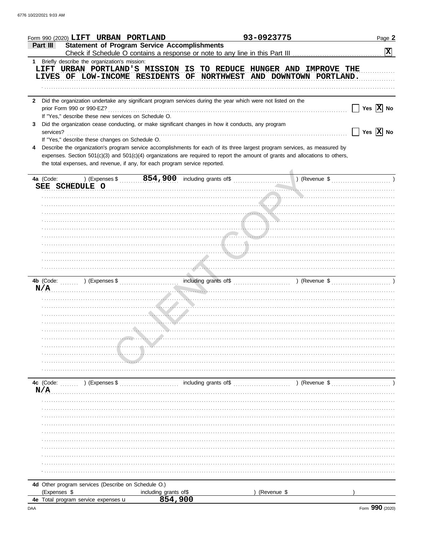|                | Form 990 (2020) LIFT URBAN PORTLAND                                                                                                                                                                                                                                                                                                         |                                                                                                                                                                                                                                                                                   |                       | 93-0923775  |               | Page 2                      |
|----------------|---------------------------------------------------------------------------------------------------------------------------------------------------------------------------------------------------------------------------------------------------------------------------------------------------------------------------------------------|-----------------------------------------------------------------------------------------------------------------------------------------------------------------------------------------------------------------------------------------------------------------------------------|-----------------------|-------------|---------------|-----------------------------|
| Part III       | <b>Statement of Program Service Accomplishments</b>                                                                                                                                                                                                                                                                                         |                                                                                                                                                                                                                                                                                   |                       |             |               | $\mathbf{x}$                |
|                | 1 Briefly describe the organization's mission:                                                                                                                                                                                                                                                                                              |                                                                                                                                                                                                                                                                                   |                       |             |               |                             |
|                | LIFT URBAN PORTLAND'S MISSION IS TO REDUCE HUNGER AND IMPROVE THE<br>LIVES OF LOW-INCOME RESIDENTS OF NORTHWEST AND DOWNTOWN PORTLAND.                                                                                                                                                                                                      |                                                                                                                                                                                                                                                                                   |                       |             |               |                             |
| $\mathbf{2}$   | Did the organization undertake any significant program services during the year which were not listed on the<br>prior Form 990 or 990-EZ?<br>If "Yes," describe these new services on Schedule O.                                                                                                                                           |                                                                                                                                                                                                                                                                                   |                       |             |               | Yes $\boxed{\mathbf{X}}$ No |
| 3<br>services? | Did the organization cease conducting, or make significant changes in how it conducts, any program<br>If "Yes," describe these changes on Schedule O.                                                                                                                                                                                       |                                                                                                                                                                                                                                                                                   |                       |             |               | Yes $\overline{X}$ No       |
| 4              | Describe the organization's program service accomplishments for each of its three largest program services, as measured by<br>expenses. Section 501(c)(3) and 501(c)(4) organizations are required to report the amount of grants and allocations to others,<br>the total expenses, and revenue, if any, for each program service reported. |                                                                                                                                                                                                                                                                                   |                       |             |               |                             |
| 4a (Code:      | SEE SCHEDULE O                                                                                                                                                                                                                                                                                                                              | ) (Expenses $\frac{1}{2}$ , $\frac{1}{2}$ , $\frac{1}{2}$ , $\frac{1}{2}$ , $\frac{1}{2}$ and including grants of $\frac{1}{2}$ , $\frac{1}{2}$ , $\frac{1}{2}$ (Revenue $\frac{1}{2}$ , $\frac{1}{2}$ , $\frac{1}{2}$ ) (Revenue $\frac{1}{2}$ , $\frac{1}{2}$ , $\frac{1}{2}$ ) |                       |             |               |                             |
|                |                                                                                                                                                                                                                                                                                                                                             |                                                                                                                                                                                                                                                                                   |                       |             |               |                             |
|                |                                                                                                                                                                                                                                                                                                                                             |                                                                                                                                                                                                                                                                                   |                       |             |               |                             |
|                |                                                                                                                                                                                                                                                                                                                                             |                                                                                                                                                                                                                                                                                   |                       |             |               |                             |
|                |                                                                                                                                                                                                                                                                                                                                             |                                                                                                                                                                                                                                                                                   |                       |             |               |                             |
|                |                                                                                                                                                                                                                                                                                                                                             |                                                                                                                                                                                                                                                                                   |                       |             |               |                             |
|                |                                                                                                                                                                                                                                                                                                                                             |                                                                                                                                                                                                                                                                                   |                       |             |               |                             |
| N/A            |                                                                                                                                                                                                                                                                                                                                             |                                                                                                                                                                                                                                                                                   |                       |             |               |                             |
|                |                                                                                                                                                                                                                                                                                                                                             |                                                                                                                                                                                                                                                                                   |                       |             |               |                             |
|                |                                                                                                                                                                                                                                                                                                                                             |                                                                                                                                                                                                                                                                                   |                       |             |               |                             |
|                |                                                                                                                                                                                                                                                                                                                                             |                                                                                                                                                                                                                                                                                   |                       |             |               |                             |
|                |                                                                                                                                                                                                                                                                                                                                             |                                                                                                                                                                                                                                                                                   |                       |             |               |                             |
|                |                                                                                                                                                                                                                                                                                                                                             |                                                                                                                                                                                                                                                                                   |                       |             |               |                             |
|                |                                                                                                                                                                                                                                                                                                                                             |                                                                                                                                                                                                                                                                                   |                       |             |               |                             |
|                |                                                                                                                                                                                                                                                                                                                                             |                                                                                                                                                                                                                                                                                   |                       |             |               |                             |
| N/A            | 4c (Code: ) (Expenses \$                                                                                                                                                                                                                                                                                                                    |                                                                                                                                                                                                                                                                                   | including grants of\$ |             | ) (Revenue \$ |                             |
|                |                                                                                                                                                                                                                                                                                                                                             |                                                                                                                                                                                                                                                                                   |                       |             |               |                             |
|                |                                                                                                                                                                                                                                                                                                                                             |                                                                                                                                                                                                                                                                                   |                       |             |               |                             |
|                |                                                                                                                                                                                                                                                                                                                                             |                                                                                                                                                                                                                                                                                   |                       |             |               |                             |
|                |                                                                                                                                                                                                                                                                                                                                             |                                                                                                                                                                                                                                                                                   |                       |             |               |                             |
|                |                                                                                                                                                                                                                                                                                                                                             |                                                                                                                                                                                                                                                                                   |                       |             |               |                             |
|                |                                                                                                                                                                                                                                                                                                                                             |                                                                                                                                                                                                                                                                                   |                       |             |               |                             |
|                |                                                                                                                                                                                                                                                                                                                                             |                                                                                                                                                                                                                                                                                   |                       |             |               |                             |
|                | 4d Other program services (Describe on Schedule O.)                                                                                                                                                                                                                                                                                         |                                                                                                                                                                                                                                                                                   |                       |             |               |                             |
| (Expenses \$   |                                                                                                                                                                                                                                                                                                                                             | including grants of\$                                                                                                                                                                                                                                                             |                       | (Revenue \$ |               |                             |
|                | 4e Total program service expenses u                                                                                                                                                                                                                                                                                                         | 854,900                                                                                                                                                                                                                                                                           |                       |             |               |                             |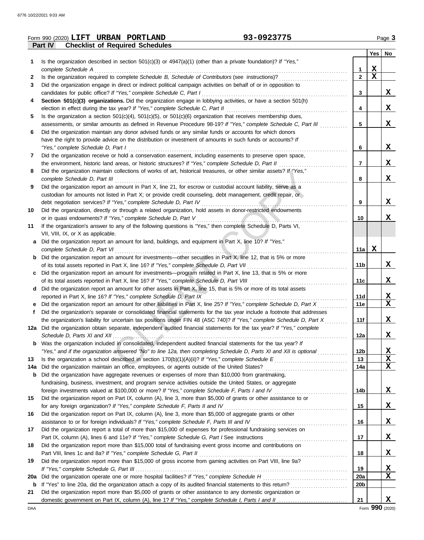|            | 93-0923775<br>Form 990 (2020) LIFT URBAN PORTLAND                                                                       |                 |             | Page 3      |
|------------|-------------------------------------------------------------------------------------------------------------------------|-----------------|-------------|-------------|
|            | Part IV<br><b>Checklist of Required Schedules</b>                                                                       |                 |             |             |
|            |                                                                                                                         |                 | Yes         | No          |
| 1          | Is the organization described in section $501(c)(3)$ or $4947(a)(1)$ (other than a private foundation)? If "Yes,"       |                 |             |             |
|            | complete Schedule A                                                                                                     | 1               | $\mathbf X$ |             |
| 2          | Is the organization required to complete Schedule B, Schedule of Contributors (see instructions)?                       | $\mathbf{2}$    | $\mathbf x$ |             |
| 3          | Did the organization engage in direct or indirect political campaign activities on behalf of or in opposition to        |                 |             |             |
|            | candidates for public office? If "Yes," complete Schedule C, Part I                                                     | 3               |             | x           |
| 4          | Section 501(c)(3) organizations. Did the organization engage in lobbying activities, or have a section 501(h)           |                 |             |             |
|            | election in effect during the tax year? If "Yes," complete Schedule C, Part II                                          | 4               |             | X           |
| 5          | Is the organization a section $501(c)(4)$ , $501(c)(5)$ , or $501(c)(6)$ organization that receives membership dues,    |                 |             |             |
|            | assessments, or similar amounts as defined in Revenue Procedure 98-19? If "Yes," complete Schedule C, Part III          | 5               |             | X           |
| 6          | Did the organization maintain any donor advised funds or any similar funds or accounts for which donors                 |                 |             |             |
|            | have the right to provide advice on the distribution or investment of amounts in such funds or accounts? If             |                 |             |             |
|            |                                                                                                                         | 6               |             | X           |
|            | "Yes," complete Schedule D, Part I                                                                                      |                 |             |             |
| 7          | Did the organization receive or hold a conservation easement, including easements to preserve open space,               |                 |             |             |
|            | the environment, historic land areas, or historic structures? If "Yes," complete Schedule D, Part II                    | 7               |             | X           |
| 8          | Did the organization maintain collections of works of art, historical treasures, or other similar assets? If "Yes,"     |                 |             |             |
|            | complete Schedule D, Part III                                                                                           | 8               |             | X           |
| 9          | Did the organization report an amount in Part X, line 21, for escrow or custodial account liability, serve as a         |                 |             |             |
|            | custodian for amounts not listed in Part X; or provide credit counseling, debt management, credit repair, or            |                 |             |             |
|            | debt negotiation services? If "Yes," complete Schedule D, Part IV                                                       | 9               |             | X           |
| 10         | Did the organization, directly or through a related organization, hold assets in donor-restricted endowments            |                 |             |             |
|            | or in quasi endowments? If "Yes," complete Schedule D, Part V                                                           | 10              |             | X           |
| 11         | If the organization's answer to any of the following questions is "Yes," then complete Schedule D, Parts VI,            |                 |             |             |
|            | VII, VIII, IX, or X as applicable.                                                                                      |                 |             |             |
| a          | Did the organization report an amount for land, buildings, and equipment in Part X, line 10? If "Yes,"                  |                 |             |             |
|            | complete Schedule D, Part VI                                                                                            | 11a             | X           |             |
| b          | Did the organization report an amount for investments—other securities in Part X, line 12, that is 5% or more           |                 |             |             |
|            | of its total assets reported in Part X, line 16? If "Yes," complete Schedule D, Part VII                                | 11 <sub>b</sub> |             | x           |
| c          | Did the organization report an amount for investments—program related in Part X, line 13, that is 5% or more            |                 |             |             |
|            | of its total assets reported in Part X, line 16? If "Yes," complete Schedule D, Part VIII                               | 11c             |             | X           |
| d          | Did the organization report an amount for other assets in Part X, line 15, that is 5% or more of its total assets       |                 |             |             |
|            | reported in Part X, line 16? If "Yes," complete Schedule D, Part IX                                                     | 11d             |             | $\mathbf x$ |
|            | Did the organization report an amount for other liabilities in Part X, line 25? If "Yes," complete Schedule D, Part X   | 11e             |             | X           |
| f          | Did the organization's separate or consolidated financial statements for the tax year include a footnote that addresses |                 |             |             |
|            |                                                                                                                         |                 |             | X           |
|            | the organization's liability for uncertain tax positions under FIN 48 (ASC 740)? If "Yes," complete Schedule D, Part X  | 11f             |             |             |
|            | 12a Did the organization obtain separate, independent audited financial statements for the tax year? If "Yes," complete |                 |             |             |
|            |                                                                                                                         | 12a             |             | X           |
| b          | Was the organization included in consolidated, independent audited financial statements for the tax year? If            |                 |             |             |
|            | "Yes," and if the organization answered "No" to line 12a, then completing Schedule D, Parts XI and XII is optional      | 12 <sub>b</sub> |             | X           |
| 13         |                                                                                                                         | 13              |             | X           |
| 14a        | Did the organization maintain an office, employees, or agents outside of the United States?                             | 14a             |             | X           |
| b          | Did the organization have aggregate revenues or expenses of more than \$10,000 from grantmaking,                        |                 |             |             |
|            | fundraising, business, investment, and program service activities outside the United States, or aggregate               |                 |             |             |
|            |                                                                                                                         | 14b             |             | X           |
| 15         | Did the organization report on Part IX, column (A), line 3, more than \$5,000 of grants or other assistance to or       |                 |             |             |
|            | for any foreign organization? If "Yes," complete Schedule F, Parts II and IV                                            | 15              |             | X           |
| 16         | Did the organization report on Part IX, column (A), line 3, more than \$5,000 of aggregate grants or other              |                 |             |             |
|            |                                                                                                                         | 16              |             | X           |
| 17         | Did the organization report a total of more than \$15,000 of expenses for professional fundraising services on          |                 |             |             |
|            |                                                                                                                         | 17              |             | X           |
| 18         | Did the organization report more than \$15,000 total of fundraising event gross income and contributions on             |                 |             |             |
|            | Part VIII, lines 1c and 8a? If "Yes," complete Schedule G, Part II                                                      | 18              |             | <u>x</u>    |
| 19         | Did the organization report more than \$15,000 of gross income from gaming activities on Part VIII, line 9a?            |                 |             |             |
|            |                                                                                                                         | 19              |             | <u>x</u>    |
|            |                                                                                                                         |                 |             | X           |
| <b>20a</b> | Did the organization operate one or more hospital facilities? If "Yes," complete Schedule H                             | 20a             |             |             |
| b          |                                                                                                                         | 20 <sub>b</sub> |             |             |
| 21         | Did the organization report more than \$5,000 of grants or other assistance to any domestic organization or             |                 |             |             |
|            |                                                                                                                         | 21              |             | x           |

DAA Form **990** (2020)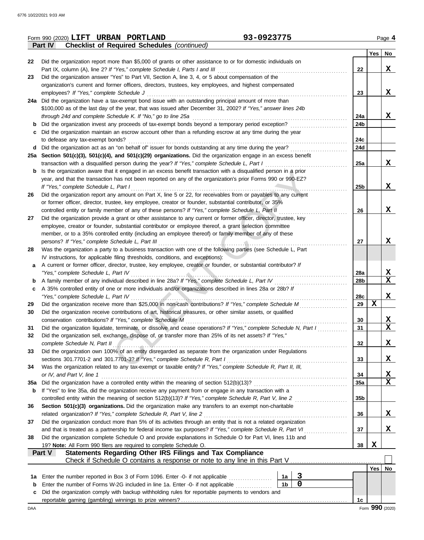|     | 93-0923775<br>Form 990 (2020) LIFT URBAN PORTLAND                                                                                                                                                             |                 |                  | Page 4          |
|-----|---------------------------------------------------------------------------------------------------------------------------------------------------------------------------------------------------------------|-----------------|------------------|-----------------|
|     | Part IV<br><b>Checklist of Required Schedules (continued)</b>                                                                                                                                                 |                 |                  |                 |
|     |                                                                                                                                                                                                               |                 |                  | $Yes \mid No$   |
| 22  | Did the organization report more than \$5,000 of grants or other assistance to or for domestic individuals on                                                                                                 |                 |                  |                 |
|     | Part IX, column (A), line 2? If "Yes," complete Schedule I, Parts I and III                                                                                                                                   | 22              |                  | X               |
| 23  | Did the organization answer "Yes" to Part VII, Section A, line 3, 4, or 5 about compensation of the                                                                                                           |                 |                  |                 |
|     | organization's current and former officers, directors, trustees, key employees, and highest compensated                                                                                                       |                 |                  |                 |
|     | employees? If "Yes," complete Schedule J                                                                                                                                                                      | 23              |                  | X               |
|     | 24a Did the organization have a tax-exempt bond issue with an outstanding principal amount of more than                                                                                                       |                 |                  |                 |
|     | \$100,000 as of the last day of the year, that was issued after December 31, 2002? If "Yes," answer lines 24b                                                                                                 |                 |                  |                 |
|     | through 24d and complete Schedule K. If "No," go to line 25a                                                                                                                                                  | 24a             |                  | X               |
| b   | Did the organization invest any proceeds of tax-exempt bonds beyond a temporary period exception?                                                                                                             | 24b             |                  |                 |
| c   | Did the organization maintain an escrow account other than a refunding escrow at any time during the year                                                                                                     |                 |                  |                 |
|     | to defease any tax-exempt bonds?                                                                                                                                                                              | 24c             |                  |                 |
|     | d Did the organization act as an "on behalf of" issuer for bonds outstanding at any time during the year?                                                                                                     | 24d             |                  |                 |
|     | 25a Section 501(c)(3), 501(c)(4), and 501(c)(29) organizations. Did the organization engage in an excess benefit                                                                                              |                 |                  | X               |
|     | transaction with a disqualified person during the year? If "Yes," complete Schedule L, Part I                                                                                                                 | 25a             |                  |                 |
| b   | Is the organization aware that it engaged in an excess benefit transaction with a disqualified person in a prior                                                                                              |                 |                  |                 |
|     | year, and that the transaction has not been reported on any of the organization's prior Forms 990 or 990-EZ?                                                                                                  |                 |                  | X               |
|     | If "Yes," complete Schedule L, Part I                                                                                                                                                                         | 25b             |                  |                 |
| 26  | Did the organization report any amount on Part X, line 5 or 22, for receivables from or payables to any current                                                                                               |                 |                  |                 |
|     | or former officer, director, trustee, key employee, creator or founder, substantial contributor, or 35%<br>controlled entity or family member of any of these persons? If "Yes," complete Schedule L, Part II | 26              |                  | X               |
| 27  | Did the organization provide a grant or other assistance to any current or former officer, director, trustee, key                                                                                             |                 |                  |                 |
|     | employee, creator or founder, substantial contributor or employee thereof, a grant selection committee                                                                                                        |                 |                  |                 |
|     | member, or to a 35% controlled entity (including an employee thereof) or family member of any of these                                                                                                        |                 |                  |                 |
|     | persons? If "Yes," complete Schedule L, Part III                                                                                                                                                              | 27              |                  | X               |
| 28  | Was the organization a party to a business transaction with one of the following parties (see Schedule L, Part                                                                                                |                 |                  |                 |
|     | IV instructions, for applicable filing thresholds, conditions, and exceptions):                                                                                                                               |                 |                  |                 |
| a   | A current or former officer, director, trustee, key employee, creator or founder, or substantial contributor? If                                                                                              |                 |                  |                 |
|     | "Yes," complete Schedule L, Part IV                                                                                                                                                                           | 28a             |                  | X               |
| b   | A family member of any individual described in line 28a? If "Yes," complete Schedule L, Part IV [[[[[[[[[[[[[                                                                                                 | 28b             |                  | $\mathbf x$     |
| c   | A 35% controlled entity of one or more individuals and/or organizations described in lines 28a or 28b? If                                                                                                     |                 |                  |                 |
|     | "Yes," complete Schedule L, Part IV                                                                                                                                                                           | 28c             |                  | X               |
| 29  | Did the organization receive more than \$25,000 in non-cash contributions? If "Yes," complete Schedule M                                                                                                      | 29              | $\mathbf x$      |                 |
| 30  | Did the organization receive contributions of art, historical treasures, or other similar assets, or qualified                                                                                                |                 |                  |                 |
|     | conservation contributions? If "Yes," complete Schedule M                                                                                                                                                     | 30              |                  | X               |
| 31  | Did the organization liquidate, terminate, or dissolve and cease operations? If "Yes," complete Schedule N, Part I                                                                                            | 31              |                  | X               |
| 32  | Did the organization sell, exchange, dispose of, or transfer more than 25% of its net assets? If "Yes,"                                                                                                       |                 |                  |                 |
|     | complete Schedule N, Part II                                                                                                                                                                                  | 32              |                  | X               |
| 33  | Did the organization own 100% of an entity disregarded as separate from the organization under Regulations                                                                                                    |                 |                  |                 |
|     | sections 301.7701-2 and 301.7701-3? If "Yes," complete Schedule R, Part I                                                                                                                                     | 33              |                  | X               |
| 34  | Was the organization related to any tax-exempt or taxable entity? If "Yes," complete Schedule R, Part II, III,                                                                                                |                 |                  |                 |
|     | or IV, and Part V, line 1                                                                                                                                                                                     | 34              |                  | X               |
| 35а | Did the organization have a controlled entity within the meaning of section 512(b)(13)?                                                                                                                       | 35a             |                  | $\mathbf x$     |
| b   | If "Yes" to line 35a, did the organization receive any payment from or engage in any transaction with a                                                                                                       |                 |                  |                 |
|     | controlled entity within the meaning of section 512(b)(13)? If "Yes," complete Schedule R, Part V, line 2                                                                                                     | 35 <sub>b</sub> |                  |                 |
| 36  | Section 501(c)(3) organizations. Did the organization make any transfers to an exempt non-charitable                                                                                                          |                 |                  |                 |
|     | related organization? If "Yes," complete Schedule R, Part V, line 2                                                                                                                                           | 36              |                  | X               |
| 37  | Did the organization conduct more than 5% of its activities through an entity that is not a related organization                                                                                              |                 |                  |                 |
|     | and that is treated as a partnership for federal income tax purposes? If "Yes," complete Schedule R, Part VI                                                                                                  | 37              |                  | X               |
| 38  | Did the organization complete Schedule O and provide explanations in Schedule O for Part VI, lines 11b and                                                                                                    |                 |                  |                 |
|     | 19? Note: All Form 990 filers are required to complete Schedule O.                                                                                                                                            | 38              | X                |                 |
|     | Statements Regarding Other IRS Filings and Tax Compliance<br>Part V                                                                                                                                           |                 |                  |                 |
|     |                                                                                                                                                                                                               |                 |                  |                 |
|     |                                                                                                                                                                                                               |                 | Yes <sub>l</sub> | No              |
| 1a  | $\mathbf{3}$<br>1a<br>Enter the number reported in Box 3 of Form 1096. Enter -0- if not applicable <i>minimization</i>                                                                                        |                 |                  |                 |
| b   | $\mathbf 0$<br>1 <sub>b</sub><br>Enter the number of Forms W-2G included in line 1a. Enter -0- if not applicable                                                                                              |                 |                  |                 |
| c   | Did the organization comply with backup withholding rules for reportable payments to vendors and                                                                                                              |                 |                  |                 |
|     |                                                                                                                                                                                                               | 1c              |                  |                 |
| DAA |                                                                                                                                                                                                               |                 |                  | Form 990 (2020) |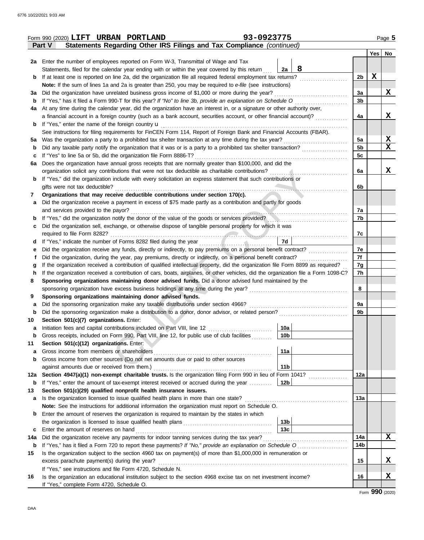|          | Form 990 (2020) LIFT URBAN PORTLAND                                                                                                | 93-0923775                         |                |             | Page 5      |
|----------|------------------------------------------------------------------------------------------------------------------------------------|------------------------------------|----------------|-------------|-------------|
|          | Statements Regarding Other IRS Filings and Tax Compliance (continued)<br>Part V                                                    |                                    |                |             |             |
|          |                                                                                                                                    |                                    |                | Yes         | No          |
|          | 2a Enter the number of employees reported on Form W-3, Transmittal of Wage and Tax                                                 |                                    |                |             |             |
|          | Statements, filed for the calendar year ending with or within the year covered by this return                                      | 8<br>2a                            |                |             |             |
| b        | If at least one is reported on line 2a, did the organization file all required federal employment tax returns?                     |                                    | 2 <sub>b</sub> | $\mathbf x$ |             |
|          | Note: If the sum of lines 1a and 2a is greater than 250, you may be required to e-file (see instructions)                          |                                    |                |             |             |
| За       | Did the organization have unrelated business gross income of \$1,000 or more during the year?                                      |                                    | За             |             | X           |
| b        | If "Yes," has it filed a Form 990-T for this year? If "No" to line 3b, provide an explanation on Schedule O                        |                                    | 3 <sub>b</sub> |             |             |
| 4a       | At any time during the calendar year, did the organization have an interest in, or a signature or other authority over,            |                                    |                |             |             |
|          | a financial account in a foreign country (such as a bank account, securities account, or other financial account)?                 |                                    | 4a             |             | X           |
| b        | If "Yes," enter the name of the foreign country <b>u</b>                                                                           |                                    |                |             |             |
|          | See instructions for filing requirements for FinCEN Form 114, Report of Foreign Bank and Financial Accounts (FBAR).                |                                    |                |             |             |
| 5a       | Was the organization a party to a prohibited tax shelter transaction at any time during the tax year?                              |                                    | 5a             |             | $\mathbf x$ |
| b        | Did any taxable party notify the organization that it was or is a party to a prohibited tax shelter transaction?                   |                                    | 5b             |             | X           |
| с        | If "Yes" to line 5a or 5b, did the organization file Form 8886-T?                                                                  |                                    | 5c             |             |             |
| 6a       | Does the organization have annual gross receipts that are normally greater than \$100,000, and did the                             |                                    |                |             |             |
|          | organization solicit any contributions that were not tax deductible as charitable contributions?                                   |                                    | 6a             |             | x           |
|          | If "Yes," did the organization include with every solicitation an express statement that such contributions or                     |                                    |                |             |             |
|          | gifts were not tax deductible?                                                                                                     |                                    | 6b             |             |             |
| 7        | Organizations that may receive deductible contributions under section 170(c).                                                      |                                    |                |             |             |
| а        | Did the organization receive a payment in excess of \$75 made partly as a contribution and partly for goods                        |                                    |                |             |             |
|          | and services provided to the payor?                                                                                                |                                    | 7a             |             |             |
| b        | If "Yes," did the organization notify the donor of the value of the goods or services provided?                                    |                                    | 7b             |             |             |
| с        | Did the organization sell, exchange, or otherwise dispose of tangible personal property for which it was                           |                                    | 7c             |             |             |
|          |                                                                                                                                    | 7d                                 |                |             |             |
| d        | Did the organization receive any funds, directly or indirectly, to pay premiums on a personal benefit contract?                    |                                    | 7e             |             |             |
| t        | Did the organization, during the year, pay premiums, directly or indirectly, on a personal benefit contract?                       |                                    | 7f             |             |             |
| g        | If the organization received a contribution of qualified intellectual property, did the organization file Form 8899 as required?   |                                    | 7g             |             |             |
| h        | If the organization received a contribution of cars, boats, airplanes, or other vehicles, did the organization file a Form 1098-C? |                                    | 7h             |             |             |
| 8        | Sponsoring organizations maintaining donor advised funds. Did a donor advised fund maintained by the                               |                                    |                |             |             |
|          |                                                                                                                                    |                                    | 8              |             |             |
| 9        | Sponsoring organizations maintaining donor advised funds.                                                                          |                                    |                |             |             |
| а        | Did the sponsoring organization make any taxable distributions under section 4966?                                                 |                                    | 9а             |             |             |
| b        | Did the sponsoring organization make a distribution to a donor, donor advisor, or related person?                                  |                                    | 9b             |             |             |
| 10       | Section 501(c)(7) organizations. Enter:                                                                                            |                                    |                |             |             |
|          | Initiation fees and capital contributions included on Part VIII, line 12                                                           | 10a                                |                |             |             |
| b        | Gross receipts, included on Form 990, Part VIII, line 12, for public use of club facilities                                        | 10 <sub>b</sub>                    |                |             |             |
| 11       | Section 501(c)(12) organizations. Enter:                                                                                           |                                    |                |             |             |
| a        | Gross income from members or shareholders                                                                                          | 11a                                |                |             |             |
| b        | Gross income from other sources (Do not net amounts due or paid to other sources                                                   |                                    |                |             |             |
|          | against amounts due or received from them.)                                                                                        | 11 <sub>b</sub>                    |                |             |             |
| 12a      | Section 4947(a)(1) non-exempt charitable trusts. Is the organization filing Form 990 in lieu of Form 1041?                         |                                    | 12a            |             |             |
| b        | If "Yes," enter the amount of tax-exempt interest received or accrued during the year                                              | 12b                                |                |             |             |
| 13       | Section 501(c)(29) qualified nonprofit health insurance issuers.                                                                   |                                    |                |             |             |
| а        | Is the organization licensed to issue qualified health plans in more than one state?                                               |                                    | 13a            |             |             |
|          | Note: See the instructions for additional information the organization must report on Schedule O.                                  |                                    |                |             |             |
| b        | Enter the amount of reserves the organization is required to maintain by the states in which                                       |                                    |                |             |             |
|          |                                                                                                                                    | 13 <sub>b</sub><br>13 <sub>c</sub> |                |             |             |
| с<br>14a | Enter the amount of reserves on hand<br>Did the organization receive any payments for indoor tanning services during the tax year? |                                    | 14a            |             | x           |
|          | If "Yes," has it filed a Form 720 to report these payments? If "No," provide an explanation on Schedule O                          |                                    | 14b            |             |             |
| b<br>15  | Is the organization subject to the section 4960 tax on payment(s) of more than \$1,000,000 in remuneration or                      |                                    |                |             |             |
|          | excess parachute payment(s) during the year?                                                                                       |                                    | 15             |             | X           |
|          | If "Yes," see instructions and file Form 4720, Schedule N.                                                                         |                                    |                |             |             |
| 16       | Is the organization an educational institution subject to the section 4968 excise tax on net investment income?                    |                                    | 16             |             | X           |
|          | If "Yes," complete Form 4720, Schedule O.                                                                                          |                                    |                |             |             |

Form **990** (2020)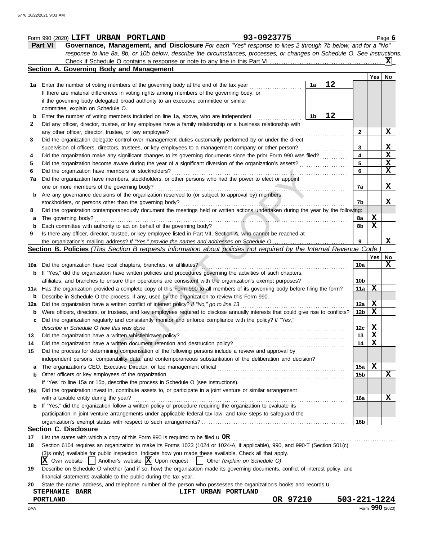|     | 93-0923775<br>Form 990 (2020) LIFT URBAN PORTLAND                                                                                   |                 |                 | Page 6      |
|-----|-------------------------------------------------------------------------------------------------------------------------------------|-----------------|-----------------|-------------|
|     | Governance, Management, and Disclosure For each "Yes" response to lines 2 through 7b below, and for a "No"<br><b>Part VI</b>        |                 |                 |             |
|     | response to line 8a, 8b, or 10b below, describe the circumstances, processes, or changes on Schedule O. See instructions.           |                 |                 |             |
|     | Check if Schedule O contains a response or note to any line in this Part VI                                                         |                 |                 | ΙXΙ         |
|     | Section A. Governing Body and Management                                                                                            |                 |                 |             |
|     |                                                                                                                                     |                 | Yes   No        |             |
| 1a  | 12<br>Enter the number of voting members of the governing body at the end of the tax year<br>1a                                     |                 |                 |             |
|     | If there are material differences in voting rights among members of the governing body, or                                          |                 |                 |             |
|     | if the governing body delegated broad authority to an executive committee or similar                                                |                 |                 |             |
|     | committee, explain on Schedule O.                                                                                                   |                 |                 |             |
| b   | 12<br>Enter the number of voting members included on line 1a, above, who are independent<br>1b                                      |                 |                 |             |
| 2   | Did any officer, director, trustee, or key employee have a family relationship or a business relationship with                      |                 |                 |             |
|     |                                                                                                                                     |                 |                 |             |
|     | any other officer, director, trustee, or key employee?                                                                              | 2               |                 | X           |
| 3   | Did the organization delegate control over management duties customarily performed by or under the direct                           |                 |                 | X           |
|     | supervision of officers, directors, trustees, or key employees to a management company or other person?                             | 3               |                 | X           |
| 4   | Did the organization make any significant changes to its governing documents since the prior Form 990 was filed?                    | 4               |                 |             |
| 5   | Did the organization become aware during the year of a significant diversion of the organization's assets?                          | 5               |                 | X           |
| 6   | Did the organization have members or stockholders?                                                                                  | 6               |                 | X           |
| 7a  | Did the organization have members, stockholders, or other persons who had the power to elect or appoint                             |                 |                 |             |
|     | one or more members of the governing body?                                                                                          | 7a              |                 | X           |
| b   | Are any governance decisions of the organization reserved to (or subject to approval by) members,                                   |                 |                 |             |
|     | stockholders, or persons other than the governing body?                                                                             | 7b              |                 | X           |
| 8   | Did the organization contemporaneously document the meetings held or written actions undertaken during the year by the following:   |                 |                 |             |
| a   | The governing body?                                                                                                                 | 8a              | X               |             |
| b   | Each committee with authority to act on behalf of the governing body?                                                               | 8b              | $\mathbf x$     |             |
| 9   | Is there any officer, director, trustee, or key employee listed in Part VII, Section A, who cannot be reached at                    |                 |                 |             |
|     | the organization's mailing address? If "Yes," provide the names and addresses on Schedule O                                         | 9               |                 | X           |
|     | Section B. Policies (This Section B requests information about policies not required by the Internal Revenue Code.)                 |                 |                 |             |
|     |                                                                                                                                     |                 | Yes             | No          |
| 10a | Did the organization have local chapters, branches, or affiliates?                                                                  | 10a             |                 | X           |
| b   | If "Yes," did the organization have written policies and procedures governing the activities of such chapters,                      |                 |                 |             |
|     | affiliates, and branches to ensure their operations are consistent with the organization's exempt purposes?                         | 10 <sub>b</sub> |                 |             |
|     | 11a Has the organization provided a complete copy of this Form 990 to all members of its governing body before filing the form?     | 11a             | X               |             |
| b   | Describe in Schedule O the process, if any, used by the organization to review this Form 990.                                       |                 |                 |             |
| 12a | Did the organization have a written conflict of interest policy? If "No," go to line 13                                             | 12a             | X               |             |
| b   | Were officers, directors, or trustees, and key employees required to disclose annually interests that could give rise to conflicts? | 12b             | X               |             |
|     | Did the organization regularly and consistently monitor and enforce compliance with the policy? If "Yes,"                           |                 |                 |             |
|     | describe in Schedule O how this was done                                                                                            | 12c             | X               |             |
| 13  | Did the organization have a written whistleblower policy?                                                                           | 13              | X               |             |
| 14  | Did the organization have a written document retention and destruction policy?                                                      | 14              | X               |             |
| 15  | Did the process for determining compensation of the following persons include a review and approval by                              |                 |                 |             |
|     |                                                                                                                                     |                 |                 |             |
|     | independent persons, comparability data, and contemporaneous substantiation of the deliberation and decision?                       |                 | X               |             |
| a   | The organization's CEO, Executive Director, or top management official                                                              | 15a             |                 | $\mathbf x$ |
| b   | Other officers or key employees of the organization                                                                                 | 15b             |                 |             |
|     | If "Yes" to line 15a or 15b, describe the process in Schedule O (see instructions).                                                 |                 |                 |             |
| 16a | Did the organization invest in, contribute assets to, or participate in a joint venture or similar arrangement                      |                 |                 |             |
|     | with a taxable entity during the year?                                                                                              | 16a             |                 | X           |
| b   | If "Yes," did the organization follow a written policy or procedure requiring the organization to evaluate its                      |                 |                 |             |
|     | participation in joint venture arrangements under applicable federal tax law, and take steps to safeguard the                       |                 |                 |             |
|     |                                                                                                                                     | 16b             |                 |             |
|     | <b>Section C. Disclosure</b>                                                                                                        |                 |                 |             |
| 17  | List the states with which a copy of this Form 990 is required to be filed $\mathbf{u}$ OR                                          |                 |                 |             |
| 18  | Section 6104 requires an organization to make its Forms 1023 (1024 or 1024-A, if applicable), 990, and 990-T (Section 501(c)        |                 |                 |             |
|     | (3)s only) available for public inspection. Indicate how you made these available. Check all that apply.                            |                 |                 |             |
|     | $\mathbf{X}$ Own website $\vert$ Another's website $\vert \mathbf{X} \vert$ Upon request $\vert$ Other (explain on Schedule O)      |                 |                 |             |
| 19  | Describe on Schedule O whether (and if so, how) the organization made its governing documents, conflict of interest policy, and     |                 |                 |             |
|     | financial statements available to the public during the tax year.                                                                   |                 |                 |             |
| 20  | State the name, address, and telephone number of the person who possesses the organization's books and records u                    |                 |                 |             |
|     | LIFT URBAN PORTLAND<br>STEPHANIE BARR                                                                                               |                 |                 |             |
|     | OR 97210<br>503-221-1224<br>PORTLAND                                                                                                |                 |                 |             |
| DAA |                                                                                                                                     |                 | Form 990 (2020) |             |
|     |                                                                                                                                     |                 |                 |             |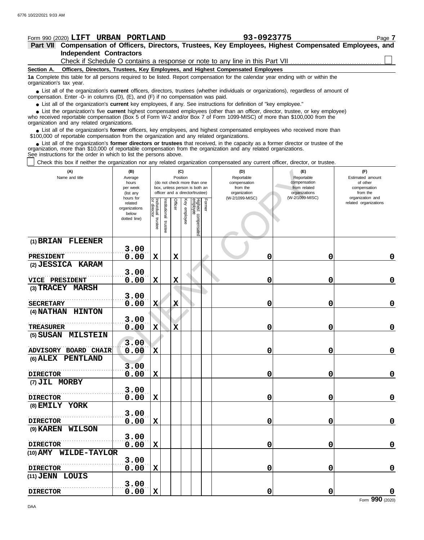| Form 990 (2020) LIFT URBAN PORTLAND                                                                                                                                                                                                                                                                                           |                                                               |                                                                                                                                                                                     |                         |                         |                 |                                 |        | 93-0923775                                                                   |                 | Page 7                                                                              |
|-------------------------------------------------------------------------------------------------------------------------------------------------------------------------------------------------------------------------------------------------------------------------------------------------------------------------------|---------------------------------------------------------------|-------------------------------------------------------------------------------------------------------------------------------------------------------------------------------------|-------------------------|-------------------------|-----------------|---------------------------------|--------|------------------------------------------------------------------------------|-----------------|-------------------------------------------------------------------------------------|
| Part VII Compensation of Officers, Directors, Trustees, Key Employees, Highest Compensated Employees, and                                                                                                                                                                                                                     |                                                               |                                                                                                                                                                                     |                         |                         |                 |                                 |        |                                                                              |                 |                                                                                     |
| <b>Independent Contractors</b>                                                                                                                                                                                                                                                                                                |                                                               |                                                                                                                                                                                     |                         |                         |                 |                                 |        |                                                                              |                 |                                                                                     |
|                                                                                                                                                                                                                                                                                                                               |                                                               |                                                                                                                                                                                     |                         |                         |                 |                                 |        | Check if Schedule O contains a response or note to any line in this Part VII |                 |                                                                                     |
| Officers, Directors, Trustees, Key Employees, and Highest Compensated Employees<br>Section A.                                                                                                                                                                                                                                 |                                                               |                                                                                                                                                                                     |                         |                         |                 |                                 |        |                                                                              |                 |                                                                                     |
| 1a Complete this table for all persons required to be listed. Report compensation for the calendar year ending with or within the<br>organization's tax year.                                                                                                                                                                 |                                                               |                                                                                                                                                                                     |                         |                         |                 |                                 |        |                                                                              |                 |                                                                                     |
| • List all of the organization's current officers, directors, trustees (whether individuals or organizations), regardless of amount of<br>compensation. Enter -0- in columns (D), (E), and (F) if no compensation was paid.                                                                                                   |                                                               |                                                                                                                                                                                     |                         |                         |                 |                                 |        |                                                                              |                 |                                                                                     |
| • List all of the organization's current key employees, if any. See instructions for definition of "key employee."                                                                                                                                                                                                            |                                                               |                                                                                                                                                                                     |                         |                         |                 |                                 |        |                                                                              |                 |                                                                                     |
| • List the organization's five current highest compensated employees (other than an officer, director, trustee, or key employee)<br>who received reportable compensation (Box 5 of Form W-2 and/or Box 7 of Form 1099-MISC) of more than \$100,000 from the<br>organization and any related organizations.                    |                                                               |                                                                                                                                                                                     |                         |                         |                 |                                 |        |                                                                              |                 |                                                                                     |
| • List all of the organization's former officers, key employees, and highest compensated employees who received more than<br>\$100,000 of reportable compensation from the organization and any related organizations.                                                                                                        |                                                               |                                                                                                                                                                                     |                         |                         |                 |                                 |        |                                                                              |                 |                                                                                     |
| • List all of the organization's former directors or trustees that received, in the capacity as a former director or trustee of the<br>organization, more than \$10,000 of reportable compensation from the organization and any related organizations.<br>See instructions for the order in which to list the persons above. |                                                               |                                                                                                                                                                                     |                         |                         |                 |                                 |        |                                                                              |                 |                                                                                     |
| Check this box if neither the organization nor any related organization compensated any current officer, director, or trustee.                                                                                                                                                                                                |                                                               |                                                                                                                                                                                     |                         |                         |                 |                                 |        |                                                                              |                 |                                                                                     |
| (A)<br>Name and title                                                                                                                                                                                                                                                                                                         | (B)<br>Average<br>hours<br>per week<br>(list any<br>hours for | (C)<br>(D)<br>Position<br>Reportable<br>(do not check more than one<br>compensation<br>box, unless person is both an<br>from the<br>officer and a director/trustee)<br>organization |                         |                         |                 |                                 |        |                                                                              |                 | (F)<br>Estimated amount<br>of other<br>compensation<br>from the<br>organization and |
|                                                                                                                                                                                                                                                                                                                               | related<br>organizations<br>below<br>dotted line)             | Individual<br>or director<br>trustee                                                                                                                                                | nstitutional<br>trustee | Officer                 | Key<br>employee | Highest compensated<br>employee | Former | (W-2/1099-MISC)                                                              | (W-2/1099-MISC) | related organizations                                                               |
| (1) BRIAN FLEENER                                                                                                                                                                                                                                                                                                             |                                                               |                                                                                                                                                                                     |                         |                         |                 |                                 |        |                                                                              |                 |                                                                                     |
|                                                                                                                                                                                                                                                                                                                               | 3.00                                                          |                                                                                                                                                                                     |                         |                         |                 |                                 |        |                                                                              |                 |                                                                                     |
| PRESIDENT                                                                                                                                                                                                                                                                                                                     | 0.00                                                          | $\mathbf x$                                                                                                                                                                         |                         | X                       |                 |                                 |        | 0                                                                            | 0               | 0                                                                                   |
| (2) JESSICA KARAM                                                                                                                                                                                                                                                                                                             |                                                               |                                                                                                                                                                                     |                         |                         |                 |                                 |        |                                                                              |                 |                                                                                     |
|                                                                                                                                                                                                                                                                                                                               | 3.00                                                          |                                                                                                                                                                                     |                         |                         |                 |                                 |        |                                                                              |                 |                                                                                     |
| <b>VICE PRESIDENT</b>                                                                                                                                                                                                                                                                                                         | 0.00                                                          | $\mathbf X$                                                                                                                                                                         |                         | $\overline{\mathbf{X}}$ |                 |                                 |        | 0                                                                            | 0               | 0                                                                                   |
| $(3)$ TRACEY<br><b>MARSH</b>                                                                                                                                                                                                                                                                                                  |                                                               |                                                                                                                                                                                     |                         |                         |                 |                                 |        |                                                                              |                 |                                                                                     |
| <b>SECRETARY</b>                                                                                                                                                                                                                                                                                                              | 3.00<br>0.00                                                  | X                                                                                                                                                                                   |                         | Х                       |                 |                                 |        | 0                                                                            | 0               |                                                                                     |
| (4) NATHAN<br><b>HINTON</b>                                                                                                                                                                                                                                                                                                   |                                                               |                                                                                                                                                                                     |                         |                         |                 |                                 |        |                                                                              |                 | 0                                                                                   |
|                                                                                                                                                                                                                                                                                                                               | 3.00                                                          |                                                                                                                                                                                     |                         |                         |                 |                                 |        |                                                                              |                 |                                                                                     |
| <b>TREASURER</b>                                                                                                                                                                                                                                                                                                              | 0.00                                                          | X                                                                                                                                                                                   |                         | $\bar{\mathbf{x}}$      |                 |                                 |        | 0                                                                            | 0               | 0                                                                                   |
| (5) SUSAN<br><b>MILSTEIN</b>                                                                                                                                                                                                                                                                                                  |                                                               |                                                                                                                                                                                     |                         |                         |                 |                                 |        |                                                                              |                 |                                                                                     |
|                                                                                                                                                                                                                                                                                                                               | 3.00                                                          |                                                                                                                                                                                     |                         |                         |                 |                                 |        |                                                                              |                 |                                                                                     |
| <b>ADVISORY BOARD CHAIR</b>                                                                                                                                                                                                                                                                                                   | 0.00                                                          | $\mathbf{x}$                                                                                                                                                                        |                         |                         |                 |                                 |        | 0                                                                            | 0               | $\pmb{0}$                                                                           |
| <b>PENTLAND</b><br>$(6)$ $\Delta$ LEX                                                                                                                                                                                                                                                                                         | 3.00                                                          |                                                                                                                                                                                     |                         |                         |                 |                                 |        |                                                                              |                 |                                                                                     |
|                                                                                                                                                                                                                                                                                                                               |                                                               |                                                                                                                                                                                     |                         |                         |                 |                                 |        |                                                                              |                 |                                                                                     |

|                       | 3.00 |              |                    |   |   |             |
|-----------------------|------|--------------|--------------------|---|---|-------------|
| <b>TREASURER</b>      | 0.00 | x            | $\bar{\mathbf{x}}$ | 0 | 0 | $\mathbf 0$ |
| (5) SUSAN MILSTEIN    |      |              |                    |   |   |             |
|                       | 3.00 |              |                    |   |   |             |
| ADVISORY BOARD CHAIR  | 0.00 | $\mathbf{x}$ |                    | 0 | 0 | $\pmb{0}$   |
| (6) ALEX PENTLAND     |      |              |                    |   |   |             |
|                       | 3.00 |              |                    |   |   |             |
| <b>DIRECTOR</b>       | 0.00 | X            |                    | 0 | 0 | $\mathbf 0$ |
| (7) JIL MORBY         |      |              |                    |   |   |             |
|                       | 3.00 |              |                    |   |   |             |
| <b>DIRECTOR</b>       | 0.00 | $\mathbf x$  |                    | 0 | 0 | $\pmb{0}$   |
| (8) EMILY YORK        |      |              |                    |   |   |             |
|                       | 3.00 |              |                    |   |   |             |
| <b>DIRECTOR</b>       | 0.00 | $\mathbf x$  |                    | 0 | 0 | $\mathbf 0$ |
| (9) KAREN WILSON      |      |              |                    |   |   |             |
|                       | 3.00 |              |                    |   |   |             |
| <b>DIRECTOR</b>       | 0.00 | $\mathbf x$  |                    | 0 | 0 | 0           |
| (10) AMY WILDE-TAYLOR |      |              |                    |   |   |             |
|                       | 3.00 |              |                    |   |   |             |
| <b>DIRECTOR</b>       | 0.00 | $\mathbf x$  |                    | 0 | ი | 0           |
| (11) JENN LOUIS       |      |              |                    |   |   |             |
|                       | 3.00 |              |                    |   |   |             |
| <b>DIRECTOR</b>       | 0.00 | Х            |                    | 0 | 0 | 0           |

Form **990** (2020)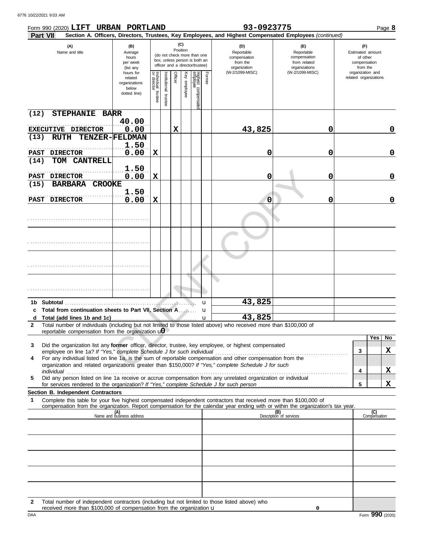| Form 990 (2020) LIFT URBAN PORTLAND<br>Part VII                                                                                                                                                                                                             |                                                                |                                   |                                                                                                                    |         |              |                                 |        | 93-0923775                                                    | Section A. Officers, Directors, Trustees, Key Employees, and Highest Compensated Employees (continued) |                                                                 | Page 8              |
|-------------------------------------------------------------------------------------------------------------------------------------------------------------------------------------------------------------------------------------------------------------|----------------------------------------------------------------|-----------------------------------|--------------------------------------------------------------------------------------------------------------------|---------|--------------|---------------------------------|--------|---------------------------------------------------------------|--------------------------------------------------------------------------------------------------------|-----------------------------------------------------------------|---------------------|
| (A)<br>Name and title                                                                                                                                                                                                                                       | (B)<br>Average<br>hours<br>per week<br>(list any               |                                   | (C)<br>Position<br>(do not check more than one<br>box, unless person is both an<br>officer and a director/trustee) |         |              |                                 |        | (D)<br>Reportable<br>compensation<br>from the<br>organization | (E)<br>Reportable<br>compensation<br>from related<br>organizations                                     | (F)<br>Estimated amount<br>of other<br>compensation<br>from the |                     |
|                                                                                                                                                                                                                                                             | hours for<br>related<br>organizations<br>below<br>dotted line) | Individual trustee<br>or director | Institutional<br>trustee                                                                                           | Officer | Key employee | Highest compensatec<br>employee | Former | (W-2/1099-MISC)                                               | (W-2/1099-MISC)                                                                                        | organization and<br>related organizations                       |                     |
| (12)<br><b>STEPHANIE</b>                                                                                                                                                                                                                                    | <b>BARR</b>                                                    |                                   |                                                                                                                    |         |              |                                 |        |                                                               |                                                                                                        |                                                                 |                     |
| EXECUTIVE DIRECTOR                                                                                                                                                                                                                                          | 40.00<br>0.00                                                  |                                   |                                                                                                                    | X       |              |                                 |        | 43,825                                                        | 0                                                                                                      |                                                                 | 0                   |
| (13)<br><b>RUTH</b>                                                                                                                                                                                                                                         | TENZER-FELDMAN                                                 |                                   |                                                                                                                    |         |              |                                 |        |                                                               |                                                                                                        |                                                                 |                     |
| <b>DIRECTOR</b><br><b>PAST</b>                                                                                                                                                                                                                              | 1.50<br>0.00                                                   | $\mathbf x$                       |                                                                                                                    |         |              |                                 |        | 0                                                             | 0                                                                                                      |                                                                 | 0                   |
| (14)<br>TOM CANTRELL                                                                                                                                                                                                                                        |                                                                |                                   |                                                                                                                    |         |              |                                 |        |                                                               |                                                                                                        |                                                                 |                     |
| <b>DIRECTOR</b><br><b>PAST</b>                                                                                                                                                                                                                              | 1.50<br>0.00                                                   | $\mathbf x$                       |                                                                                                                    |         |              |                                 |        | 0                                                             | 0                                                                                                      |                                                                 | 0                   |
| (15)<br><b>BARBARA</b><br><b>CROOKE</b>                                                                                                                                                                                                                     |                                                                |                                   |                                                                                                                    |         |              |                                 |        |                                                               |                                                                                                        |                                                                 |                     |
| PAST DIRECTOR                                                                                                                                                                                                                                               | 1.50<br>0.00                                                   | $\mathbf x$                       |                                                                                                                    |         |              |                                 |        | 0                                                             | 0                                                                                                      |                                                                 | 0                   |
|                                                                                                                                                                                                                                                             |                                                                |                                   |                                                                                                                    |         |              |                                 |        |                                                               |                                                                                                        |                                                                 |                     |
|                                                                                                                                                                                                                                                             |                                                                |                                   |                                                                                                                    |         |              |                                 |        |                                                               |                                                                                                        |                                                                 |                     |
|                                                                                                                                                                                                                                                             |                                                                |                                   |                                                                                                                    |         |              |                                 |        |                                                               |                                                                                                        |                                                                 |                     |
|                                                                                                                                                                                                                                                             |                                                                |                                   |                                                                                                                    |         |              |                                 |        |                                                               |                                                                                                        |                                                                 |                     |
|                                                                                                                                                                                                                                                             |                                                                |                                   |                                                                                                                    |         |              |                                 | u      | 43,825                                                        |                                                                                                        |                                                                 |                     |
| c Total from continuation sheets to Part VII, Section A.<br>d                                                                                                                                                                                               |                                                                |                                   |                                                                                                                    |         |              |                                 | u<br>u | 43,825                                                        |                                                                                                        |                                                                 |                     |
| Total number of individuals (including but not limited to those listed above) who received more than \$100,000 of<br>$\mathbf{2}$<br>reportable compensation from the organization $\mathbf{u}$                                                             |                                                                |                                   |                                                                                                                    |         |              |                                 |        |                                                               |                                                                                                        |                                                                 |                     |
|                                                                                                                                                                                                                                                             |                                                                |                                   |                                                                                                                    |         |              |                                 |        |                                                               |                                                                                                        |                                                                 | Yes<br>No           |
| Did the organization list any former officer, director, trustee, key employee, or highest compensated<br>3<br>employee on line 1a? If "Yes," complete Schedule J for such individual                                                                        |                                                                |                                   |                                                                                                                    |         |              |                                 |        |                                                               |                                                                                                        | 3                                                               | X                   |
| For any individual listed on line 1a, is the sum of reportable compensation and other compensation from the<br>4<br>organization and related organizations greater than \$150,000? If "Yes," complete Schedule J for such                                   |                                                                |                                   |                                                                                                                    |         |              |                                 |        |                                                               |                                                                                                        |                                                                 |                     |
| individual                                                                                                                                                                                                                                                  |                                                                |                                   |                                                                                                                    |         |              |                                 |        |                                                               |                                                                                                        | 4                                                               | x                   |
| Did any person listed on line 1a receive or accrue compensation from any unrelated organization or individual<br>5                                                                                                                                          |                                                                |                                   |                                                                                                                    |         |              |                                 |        |                                                               |                                                                                                        | 5                                                               | X                   |
| Section B. Independent Contractors                                                                                                                                                                                                                          |                                                                |                                   |                                                                                                                    |         |              |                                 |        |                                                               |                                                                                                        |                                                                 |                     |
| Complete this table for your five highest compensated independent contractors that received more than \$100,000 of<br>1<br>compensation from the organization. Report compensation for the calendar year ending with or within the organization's tax year. |                                                                |                                   |                                                                                                                    |         |              |                                 |        |                                                               |                                                                                                        |                                                                 |                     |
|                                                                                                                                                                                                                                                             | (A)<br>Name and business address                               |                                   |                                                                                                                    |         |              |                                 |        |                                                               | (B)<br>Description of services                                                                         |                                                                 | (C)<br>Compensation |
|                                                                                                                                                                                                                                                             |                                                                |                                   |                                                                                                                    |         |              |                                 |        |                                                               |                                                                                                        |                                                                 |                     |
|                                                                                                                                                                                                                                                             |                                                                |                                   |                                                                                                                    |         |              |                                 |        |                                                               |                                                                                                        |                                                                 |                     |
|                                                                                                                                                                                                                                                             |                                                                |                                   |                                                                                                                    |         |              |                                 |        |                                                               |                                                                                                        |                                                                 |                     |
|                                                                                                                                                                                                                                                             |                                                                |                                   |                                                                                                                    |         |              |                                 |        |                                                               |                                                                                                        |                                                                 |                     |
|                                                                                                                                                                                                                                                             |                                                                |                                   |                                                                                                                    |         |              |                                 |        |                                                               |                                                                                                        |                                                                 |                     |
|                                                                                                                                                                                                                                                             |                                                                |                                   |                                                                                                                    |         |              |                                 |        |                                                               |                                                                                                        |                                                                 |                     |
|                                                                                                                                                                                                                                                             |                                                                |                                   |                                                                                                                    |         |              |                                 |        |                                                               |                                                                                                        |                                                                 |                     |

**2** Total number of independent contractors (including but not limited to those listed above) who received more than \$100,000 of compensation from the organization u

**0**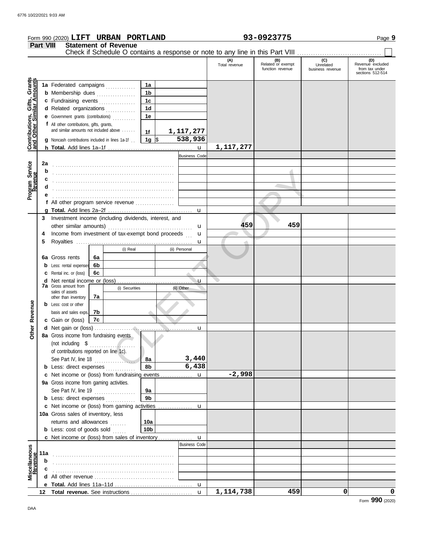|                                                           |                                                                                                                                                                                                                    | Form 990 (2020) LIFT URBAN PORTLAND                                                                                                                                                                                                                                                     |                                                                          |                             |                                                                                                                                |  |                      | 93-0923775                                                                    |                                              | Page 9                               |                                                               |  |
|-----------------------------------------------------------|--------------------------------------------------------------------------------------------------------------------------------------------------------------------------------------------------------------------|-----------------------------------------------------------------------------------------------------------------------------------------------------------------------------------------------------------------------------------------------------------------------------------------|--------------------------------------------------------------------------|-----------------------------|--------------------------------------------------------------------------------------------------------------------------------|--|----------------------|-------------------------------------------------------------------------------|----------------------------------------------|--------------------------------------|---------------------------------------------------------------|--|
|                                                           | <b>Part VIII</b>                                                                                                                                                                                                   |                                                                                                                                                                                                                                                                                         |                                                                          | <b>Statement of Revenue</b> |                                                                                                                                |  |                      | Check if Schedule O contains a response or note to any line in this Part VIII |                                              |                                      |                                                               |  |
|                                                           |                                                                                                                                                                                                                    |                                                                                                                                                                                                                                                                                         |                                                                          |                             |                                                                                                                                |  |                      | (A)<br>Total revenue                                                          | (B)<br>Related or exempt<br>function revenue | (C)<br>Unrelated<br>business revenue | (D)<br>Revenue excluded<br>from tax under<br>sections 512-514 |  |
| Contributions, Gifts, Grants<br>and Other Similar Amounts |                                                                                                                                                                                                                    | 1a Federated campaigns<br><b>b</b> Membership dues<br>c Fundraising events<br>d Related organizations<br>e Government grants (contributions)<br>f All other contributions, gifts, grants,<br>and similar amounts not included above<br>g Noncash contributions included in lines 1a-1f. |                                                                          |                             | 1a<br>1 <sub>b</sub><br>1 <sub>c</sub><br>1 <sub>d</sub><br>1e<br>1f<br>$1g$ \$                                                |  | 1,117,277<br>538,936 |                                                                               |                                              |                                      |                                                               |  |
|                                                           |                                                                                                                                                                                                                    |                                                                                                                                                                                                                                                                                         |                                                                          |                             |                                                                                                                                |  |                      | 1,117,277                                                                     |                                              |                                      |                                                               |  |
| Program Service<br>Revenue                                | 2a<br>b                                                                                                                                                                                                            | f All other program service revenue                                                                                                                                                                                                                                                     |                                                                          |                             |                                                                                                                                |  | <b>Business Code</b> |                                                                               |                                              |                                      |                                                               |  |
|                                                           | 4<br>5                                                                                                                                                                                                             | 6a Gross rents                                                                                                                                                                                                                                                                          | 6a                                                                       | (i) Real                    | 3 Investment income (including dividends, interest, and<br>Income from investment of tax-exempt bond proceeds<br>(ii) Personal |  |                      | 459                                                                           | 459                                          |                                      |                                                               |  |
|                                                           |                                                                                                                                                                                                                    | <b>b</b> Less: rental expenses<br>6b<br><b>c</b> Rental inc. or (loss)<br>6с                                                                                                                                                                                                            |                                                                          |                             |                                                                                                                                |  |                      |                                                                               |                                              |                                      |                                                               |  |
| Revenue                                                   |                                                                                                                                                                                                                    | <b>7a</b> Gross amount from<br>sales of assets<br>other than inventory<br><b>b</b> Less: cost or other<br>basis and sales exps.<br>c Gain or (loss)                                                                                                                                     | <b>d</b> Net rental income or (loss)<br>(i) Securities<br>7a<br>7b<br>7c |                             |                                                                                                                                |  | u<br>(ii) Other      |                                                                               |                                              |                                      |                                                               |  |
| <b>Other</b>                                              |                                                                                                                                                                                                                    | 8a Gross income from fundraising events<br>(not including \$<br>of contributions reported on line 1c).<br>See Part IV, line 18<br><b>b</b> Less: direct expenses                                                                                                                        |                                                                          | . <i>.</i><br>.             | 8a<br>8b                                                                                                                       |  | u<br>3,440<br>6,438  |                                                                               |                                              |                                      |                                                               |  |
|                                                           |                                                                                                                                                                                                                    | c Net income or (loss) from fundraising events                                                                                                                                                                                                                                          |                                                                          |                             |                                                                                                                                |  | u                    | $-2,998$                                                                      |                                              |                                      |                                                               |  |
|                                                           |                                                                                                                                                                                                                    | 9a Gross income from gaming activities.<br>See Part IV, line 19<br><b>b</b> Less: direct expenses                                                                                                                                                                                       |                                                                          | .                           | 9a<br>9b                                                                                                                       |  |                      |                                                                               |                                              |                                      |                                                               |  |
|                                                           | c Net income or (loss) from gaming activities<br>10a Gross sales of inventory, less<br>returns and allowances<br>10a<br><b>b</b> Less: cost of goods sold<br>10b<br>c Net income or (loss) from sales of inventory |                                                                                                                                                                                                                                                                                         |                                                                          |                             |                                                                                                                                |  | u<br>$\mathbf u$     |                                                                               |                                              |                                      |                                                               |  |
|                                                           |                                                                                                                                                                                                                    |                                                                                                                                                                                                                                                                                         |                                                                          |                             |                                                                                                                                |  | <b>Business Code</b> |                                                                               |                                              |                                      |                                                               |  |
| Miscellaneous<br>Revenue                                  | 11a<br>b<br>c                                                                                                                                                                                                      |                                                                                                                                                                                                                                                                                         |                                                                          |                             |                                                                                                                                |  |                      |                                                                               |                                              |                                      |                                                               |  |
|                                                           |                                                                                                                                                                                                                    |                                                                                                                                                                                                                                                                                         |                                                                          |                             |                                                                                                                                |  |                      |                                                                               |                                              |                                      |                                                               |  |
|                                                           |                                                                                                                                                                                                                    |                                                                                                                                                                                                                                                                                         |                                                                          |                             |                                                                                                                                |  | $\mathbf{u}$         | 1, 114, 738                                                                   | 459                                          | 0                                    | 0                                                             |  |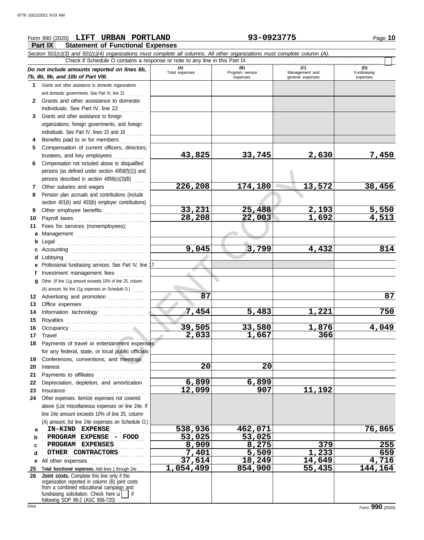### **Part IX Statement of Functional Expenses** Form 990 (2020) Page **10 LIFT URBAN PORTLAND 93-0923775** *Section 501(c)(3) and 501(c)(4) organizations must complete all columns. All other organizations must complete column (A). Do not include amounts reported on lines 6b, 7b, 8b, 9b, and 10b of Part VIII.* **1 2 3 4** Benefits paid to or for members **........**.. **5 6** Compensation not included above to disqualified **7** Other salaries and wages **. . . . . . . . . . . .** . . **8 9 10** Payroll taxes ............................... **11 a** Management .............................. **b** Legal **c** Accounting . . . . . . . . . . . . . . . . . . . . . . . . . . . . . . . . **d** Lobbying . . . . . . . . . . . . . . . . . . . . . . . . . . . . . . . . . . . **e** Professional fundraising services. See Part IV, line 17 **f g 12** Advertising and promotion ............... **13** Office expenses **.......................**... **14 15 16 17** Travel . . . . . . . . . . . . . . . . . . . . . . . . . . . . . . . . . . . . . . **18** Payments of travel or entertainment expenses **19 20** Interest . . . . . . . . . . . . . . . . . . . . . . . . . . . . . . . . . . . . **21 22** Depreciation, depletion, and amortization . **23** Insurance . . . . . . . . . . . . . . . . . . . . . . . . . . . . . . . . . . **24** Other expenses. Itemize expenses not covered **a** . . . . . . . . . . . . . . . . . . . . . . . . . . . . . . . . . . . . . . . . . . . . . **IN-KIND EXPENSE 538,936 462,071 76,865 b** Grants and other assistance to domestic organizations and domestic governments. See Part IV, line 21 . . . . . . . . Grants and other assistance to domestic individuals. See Part IV, line 22 Grants and other assistance to foreign organizations, foreign governments, and foreign individuals. See Part IV, lines 15 and 16 Compensation of current officers, directors, trustees, and key employees ............... persons (as defined under section 4958(f)(1)) and persons described in section 4958(c)(3)(B) . . . . . Pension plan accruals and contributions (include section 401(k) and 403(b) employer contributions) Other employee benefits .................. Fees for services (nonemployees): . . . . . . . . . . . . . . . . . . . . . . . . . . . . . . . . . . . . . . Investment management fees Other. (If line 11g amount exceeds 10% of line 25, column Information technology . . . . . . . . . . . . . . . . . . . . Royalties . . . . . . . . . . . . . . . . . . . . . . . . . . . . . . . . . . Occupancy . . . . . . . . . . . . . . . . . . . . . . . . . . . . . . . . for any federal, state, or local public officials Conferences, conventions, and meetings Payments to affiliates ....................... above (List miscellaneous expenses on line 24e. If line 24e amount exceeds 10% of line 25, column (A) amount, list line 24e expenses on Schedule O.) **(A) (B) (C) C**<br>Total expenses **a Program service Manageme** Total expenses<br>
expenses Program service<br>
Program service<br>  $\frac{1}{2}$ <br>  $\frac{1}{2}$ <br>  $\frac{1}{2}$ <br>  $\frac{1}{2}$ <br>  $\frac{1}{2}$ <br>  $\frac{1}{2}$ <br>  $\frac{1}{2}$ <br>  $\frac{1}{2}$ <br>  $\frac{1}{2}$ <br>  $\frac{1}{2}$ <br>  $\frac{1}{2}$ <br>  $\frac{1}{2}$ <br>  $\frac{1}{2}$ <br>  $\frac{1}{2}$ <br>  $\frac{1}{2}$ expenses general expenses (D)<br>Fundraising expenses **PROGRAM EXPENSE - FOOD 53,025 53,025** . . . . . . . . . . . . . . . . . . . . . . . . . . . . . . . . . . . . . . . . . . . . . **PROGRAM EXPENSES 8,909 8,275 379 255** Check if Schedule O contains a response or note to any line in this Part IX (A) amount, list line 11g expenses on Schedule O.) . . . . . . **43,825 33,745 2,630 7,450 226,208 174,180 13,572 38,456 33,231 25,488 2,193 5,550 28,208 22,003 1,692 4,513 9,045 3,799 4,432 814 87 87 7,454 5,483 1,221 750 39,505 33,580 1,876 4,049 2,033 1,667 366 20 20 6,899 6,899 12,099 907 11,192** 1 4958(f)(1)) and<br>  $\frac{33,231}{28,208}$ <br>  $\frac{226,208}{28,208}$ <br>  $\frac{25,488}{28,208}$ <br>  $\frac{25,488}{28,208}$ <br>  $\frac{22,003}{28,208}$ <br>  $\frac{9,045}{28,50000}$ <br>
See Part IV, line<br>
Sear of the 25, column<br>  $\frac{87}{260}$ <br>  $\frac{7,454}{2,033}$ <br>

**1,054,499** 

### **d** . . . . . . . . . . . . . . . . . . . . . . . . . . . . . . . . . . . . . . . . . . . . . **OTHER CONTRACTORS 7,401 5,509 1,233 659**

**e** All other expenses . . . . . . . . . . . . . . . . . . . . . . . . **25 Total functional expenses.** Add lines 1 through 24e . . .

**26** fundraising solicitation. Check here  $\mathbf{u}$  | if organization reported in column (B) joint costs from a combined educational campaign and following SOP 98-2 (ASC 958-720) **Joint costs.** Complete this line only if the

**37,614 18,249 14,649 4,716**

**c**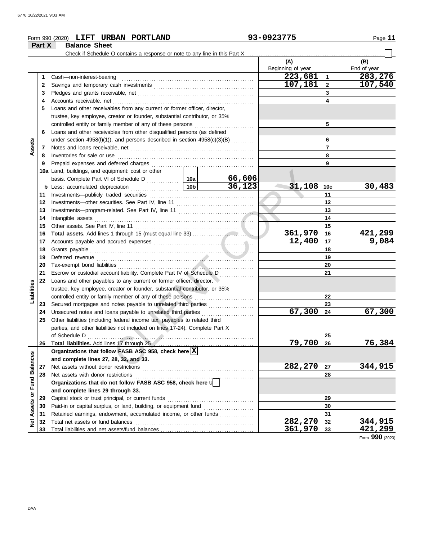|                         |          | Form 990 (2020) LIFT URBAN PORTLAND                                                                                                                                                                                                 |                                                            |        | 93-0923775               |                 | Page 11            |  |  |
|-------------------------|----------|-------------------------------------------------------------------------------------------------------------------------------------------------------------------------------------------------------------------------------------|------------------------------------------------------------|--------|--------------------------|-----------------|--------------------|--|--|
|                         | Part X   | <b>Balance Sheet</b>                                                                                                                                                                                                                |                                                            |        |                          |                 |                    |  |  |
|                         |          |                                                                                                                                                                                                                                     |                                                            |        |                          |                 |                    |  |  |
|                         |          |                                                                                                                                                                                                                                     |                                                            |        | (A)<br>Beginning of year |                 | (B)<br>End of year |  |  |
|                         | 1        | Cash-non-interest-bearing                                                                                                                                                                                                           |                                                            |        | 223,681                  | $\mathbf{1}$    | 283,276            |  |  |
|                         | 2        |                                                                                                                                                                                                                                     |                                                            |        | 107,181                  | $\mathbf{2}$    | 107,540            |  |  |
|                         | 3        |                                                                                                                                                                                                                                     |                                                            |        | 3                        |                 |                    |  |  |
|                         | 4        |                                                                                                                                                                                                                                     |                                                            |        |                          | 4               |                    |  |  |
|                         | 5        | Loans and other receivables from any current or former officer, director,                                                                                                                                                           |                                                            |        |                          |                 |                    |  |  |
|                         |          | trustee, key employee, creator or founder, substantial contributor, or 35%                                                                                                                                                          |                                                            |        |                          |                 |                    |  |  |
|                         |          |                                                                                                                                                                                                                                     | controlled entity or family member of any of these persons |        |                          |                 |                    |  |  |
|                         | 6        | Loans and other receivables from other disqualified persons (as defined                                                                                                                                                             |                                                            | 5      |                          |                 |                    |  |  |
|                         |          | under section 4958(f)(1)), and persons described in section $4958(c)(3)(B)$                                                                                                                                                         |                                                            | 6      |                          |                 |                    |  |  |
| Assets                  | 7        |                                                                                                                                                                                                                                     |                                                            |        |                          | $\overline{7}$  |                    |  |  |
|                         | 8        |                                                                                                                                                                                                                                     |                                                            |        |                          | 8               |                    |  |  |
|                         | 9        |                                                                                                                                                                                                                                     |                                                            |        |                          | 9               |                    |  |  |
|                         |          | 10a Land, buildings, and equipment: cost or other                                                                                                                                                                                   |                                                            |        |                          |                 |                    |  |  |
|                         |          |                                                                                                                                                                                                                                     |                                                            | 66,606 |                          |                 |                    |  |  |
|                         |          |                                                                                                                                                                                                                                     |                                                            | 36,123 | 31,108                   | 10 <sub>c</sub> | 30,483             |  |  |
|                         | 11       |                                                                                                                                                                                                                                     |                                                            |        |                          | 11              |                    |  |  |
|                         | 12       |                                                                                                                                                                                                                                     |                                                            |        |                          | 12              |                    |  |  |
|                         | 13       |                                                                                                                                                                                                                                     |                                                            |        |                          | 13              |                    |  |  |
|                         | 14       |                                                                                                                                                                                                                                     |                                                            |        |                          | 14              |                    |  |  |
|                         | 15       |                                                                                                                                                                                                                                     |                                                            |        |                          | 15              |                    |  |  |
|                         | 16       |                                                                                                                                                                                                                                     |                                                            |        | 361,970                  | 16              | 421,299            |  |  |
|                         | 17       |                                                                                                                                                                                                                                     |                                                            |        | 12,400                   | 17              | 9,084              |  |  |
|                         | 18       |                                                                                                                                                                                                                                     |                                                            |        |                          | 18              |                    |  |  |
|                         | 19       | Deferred revenue <i>contemporary contemporary and all algorithment</i> and all algorithments of the context of the context of the context of the context of the context of the context of the context of the context of the context |                                                            |        |                          | 19              |                    |  |  |
|                         | 20       |                                                                                                                                                                                                                                     |                                                            |        |                          | 20              |                    |  |  |
|                         | 21       | Escrow or custodial account liability. Complete Part IV of Schedule D                                                                                                                                                               |                                                            |        |                          | 21              |                    |  |  |
|                         | 22       | Loans and other payables to any current or former officer, director,                                                                                                                                                                |                                                            |        |                          |                 |                    |  |  |
|                         |          | trustee, key employee, creator or founder, substantial contributor, or 35%                                                                                                                                                          |                                                            |        |                          |                 |                    |  |  |
| Liabilities             |          | controlled entity or family member of any of these persons                                                                                                                                                                          |                                                            |        |                          | 22              |                    |  |  |
|                         | 23       | Secured mortgages and notes payable to unrelated third parties                                                                                                                                                                      |                                                            |        |                          | 23              |                    |  |  |
|                         | 24       | Unsecured notes and loans payable to unrelated third parties                                                                                                                                                                        |                                                            |        | 67,300                   | 24              | 67,300             |  |  |
|                         | 25       | Other liabilities (including federal income tax, payables to related third                                                                                                                                                          |                                                            |        |                          |                 |                    |  |  |
|                         |          | parties, and other liabilities not included on lines 17-24). Complete Part X                                                                                                                                                        |                                                            |        |                          |                 |                    |  |  |
|                         |          | of Schedule D                                                                                                                                                                                                                       |                                                            |        |                          | 25              |                    |  |  |
|                         | 26       |                                                                                                                                                                                                                                     |                                                            |        | 79,700                   | 26              | 76,384             |  |  |
|                         |          | Organizations that follow FASB ASC 958, check here $\vert X \vert$                                                                                                                                                                  |                                                            |        |                          |                 |                    |  |  |
|                         |          | and complete lines 27, 28, 32, and 33.                                                                                                                                                                                              |                                                            |        |                          |                 |                    |  |  |
|                         | 27       | Net assets without donor restrictions                                                                                                                                                                                               |                                                            |        | 282,270                  | 27              | 344,915            |  |  |
|                         | 28       | Net assets with donor restrictions                                                                                                                                                                                                  |                                                            |        | 28                       |                 |                    |  |  |
|                         |          | Organizations that do not follow FASB ASC 958, check here $\mathbf{u}$                                                                                                                                                              |                                                            |        |                          |                 |                    |  |  |
|                         |          | and complete lines 29 through 33.                                                                                                                                                                                                   |                                                            |        |                          |                 |                    |  |  |
| Assets or Fund Balances | 29<br>30 |                                                                                                                                                                                                                                     |                                                            |        |                          | 29<br>30        |                    |  |  |
|                         | 31       | Retained earnings, endowment, accumulated income, or other funds                                                                                                                                                                    |                                                            |        |                          | 31              |                    |  |  |
|                         | 32       | Total net assets or fund balances                                                                                                                                                                                                   |                                                            |        | 282,270                  | 32              | 344,915            |  |  |
| ğ                       | 33       |                                                                                                                                                                                                                                     |                                                            |        | 361,970                  | 33              | 421,299            |  |  |
|                         |          |                                                                                                                                                                                                                                     |                                                            |        |                          |                 | Form 990 (2020)    |  |  |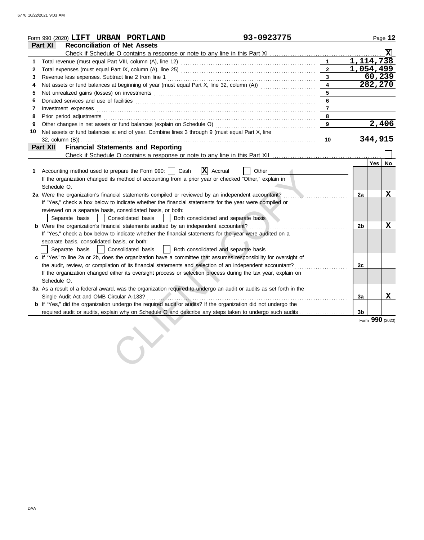|              | 93-0923775<br>Form 990 (2020) $\textbf{LIFT}$ URBAN PORTLAND                                                                                                                                                                                                                                                                                                                                                                                                                            |                         |    | Page 12                |
|--------------|-----------------------------------------------------------------------------------------------------------------------------------------------------------------------------------------------------------------------------------------------------------------------------------------------------------------------------------------------------------------------------------------------------------------------------------------------------------------------------------------|-------------------------|----|------------------------|
|              | Part XI<br><b>Reconciliation of Net Assets</b>                                                                                                                                                                                                                                                                                                                                                                                                                                          |                         |    |                        |
|              | Check if Schedule O contains a response or note to any line in this Part XI                                                                                                                                                                                                                                                                                                                                                                                                             |                         |    |                        |
| 1.           |                                                                                                                                                                                                                                                                                                                                                                                                                                                                                         | $\mathbf{1}$            |    | $\overline{1,114,738}$ |
| $\mathbf{2}$ |                                                                                                                                                                                                                                                                                                                                                                                                                                                                                         | $2^{\circ}$             |    | 1,054,499              |
| 3            |                                                                                                                                                                                                                                                                                                                                                                                                                                                                                         | $\mathbf{3}$            |    | 60, 239                |
| 4            | Net assets or fund balances at beginning of year (must equal Part X, line 32, column (A))                                                                                                                                                                                                                                                                                                                                                                                               | $\overline{\mathbf{4}}$ |    | 282,270                |
| 5            |                                                                                                                                                                                                                                                                                                                                                                                                                                                                                         | 5                       |    |                        |
| 6            |                                                                                                                                                                                                                                                                                                                                                                                                                                                                                         | 6                       |    |                        |
| 7            | $Investment \textit{ expenses} \textit{________} \label{ex:ex:ex:1} \begin{minipage}[c]{0.9\linewidth} \textit{Investment} \textit{expenses} \end{minipage} \begin{minipage}[c]{0.9\linewidth} \textit{ex:1} & \textit{if} \textit{if} \textit{if} \textit{if} \textit{if} \textit{if} \textit{if} \textit{if} \textit{if} \textit{if} \textit{if} \textit{if} \textit{if} \textit{if} \textit{if} \textit{if} \textit{if} \textit{if} \textit{if} \textit{if} \textit{if} \textit{if}$ | $\overline{7}$          |    |                        |
| 8            | Prior period adjustments [11, 12] and the contract of the contract of the contract of the contract of the contract of the contract of the contract of the contract of the contract of the contract of the contract of the cont                                                                                                                                                                                                                                                          | 8                       |    |                        |
| 9            |                                                                                                                                                                                                                                                                                                                                                                                                                                                                                         | 9                       |    | 2,406                  |
| 10           | Net assets or fund balances at end of year. Combine lines 3 through 9 (must equal Part X, line                                                                                                                                                                                                                                                                                                                                                                                          |                         |    |                        |
|              | $32$ , column $(B)$ )                                                                                                                                                                                                                                                                                                                                                                                                                                                                   | 10 <sup>°</sup>         |    | 344,915                |
|              | <b>Financial Statements and Reporting</b><br>Part XII                                                                                                                                                                                                                                                                                                                                                                                                                                   |                         |    |                        |
|              |                                                                                                                                                                                                                                                                                                                                                                                                                                                                                         |                         |    |                        |
|              |                                                                                                                                                                                                                                                                                                                                                                                                                                                                                         |                         |    | <b>Yes</b><br>No       |
| 1.           | $ \mathbf{X} $ Accrual<br>Accounting method used to prepare the Form 990:     Cash<br>Other                                                                                                                                                                                                                                                                                                                                                                                             |                         |    |                        |
|              | If the organization changed its method of accounting from a prior year or checked "Other," explain in                                                                                                                                                                                                                                                                                                                                                                                   |                         |    |                        |
|              | Schedule O.                                                                                                                                                                                                                                                                                                                                                                                                                                                                             |                         |    |                        |
|              | 2a Were the organization's financial statements compiled or reviewed by an independent accountant?                                                                                                                                                                                                                                                                                                                                                                                      |                         | 2a | $\mathbf X$            |
|              | If "Yes," check a box below to indicate whether the financial statements for the year were compiled or                                                                                                                                                                                                                                                                                                                                                                                  |                         |    |                        |
|              | reviewed on a separate basis, consolidated basis, or both:                                                                                                                                                                                                                                                                                                                                                                                                                              |                         |    |                        |
|              | Separate basis   Consolidated basis<br>Both consolidated and separate basis                                                                                                                                                                                                                                                                                                                                                                                                             |                         |    |                        |
|              | <b>b</b> Were the organization's financial statements audited by an independent accountant?                                                                                                                                                                                                                                                                                                                                                                                             |                         | 2b | X                      |
|              | If "Yes," check a box below to indicate whether the financial statements for the year were audited on a                                                                                                                                                                                                                                                                                                                                                                                 |                         |    |                        |
|              | separate basis, consolidated basis, or both:                                                                                                                                                                                                                                                                                                                                                                                                                                            |                         |    |                        |
|              | Both consolidated and separate basis<br>Separate basis<br>Consolidated basis                                                                                                                                                                                                                                                                                                                                                                                                            |                         |    |                        |
|              | c If "Yes" to line 2a or 2b, does the organization have a committee that assumes responsibility for oversight of                                                                                                                                                                                                                                                                                                                                                                        |                         |    |                        |
|              |                                                                                                                                                                                                                                                                                                                                                                                                                                                                                         |                         | 2c |                        |
|              | If the organization changed either its oversight process or selection process during the tax year, explain on                                                                                                                                                                                                                                                                                                                                                                           |                         |    |                        |
|              | Schedule O.                                                                                                                                                                                                                                                                                                                                                                                                                                                                             |                         |    |                        |
|              | 3a As a result of a federal award, was the organization required to undergo an audit or audits as set forth in the                                                                                                                                                                                                                                                                                                                                                                      |                         |    |                        |
|              |                                                                                                                                                                                                                                                                                                                                                                                                                                                                                         |                         | 3a | X                      |
|              | <b>b</b> If "Yes," did the organization undergo the required audit or audits? If the organization did not undergo the                                                                                                                                                                                                                                                                                                                                                                   |                         |    |                        |
|              |                                                                                                                                                                                                                                                                                                                                                                                                                                                                                         |                         | 3b |                        |
|              |                                                                                                                                                                                                                                                                                                                                                                                                                                                                                         |                         |    | Form 990 (2020)        |
|              |                                                                                                                                                                                                                                                                                                                                                                                                                                                                                         |                         |    |                        |
|              |                                                                                                                                                                                                                                                                                                                                                                                                                                                                                         |                         |    |                        |
|              |                                                                                                                                                                                                                                                                                                                                                                                                                                                                                         |                         |    |                        |
|              |                                                                                                                                                                                                                                                                                                                                                                                                                                                                                         |                         |    |                        |
|              |                                                                                                                                                                                                                                                                                                                                                                                                                                                                                         |                         |    |                        |
|              |                                                                                                                                                                                                                                                                                                                                                                                                                                                                                         |                         |    |                        |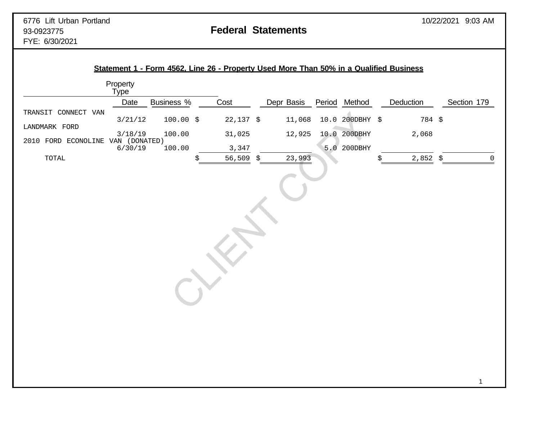|                                   | Property<br>Type |             |                          |            |                 |            |                     |
|-----------------------------------|------------------|-------------|--------------------------|------------|-----------------|------------|---------------------|
|                                   | Date             | Business %  | Cost                     | Depr Basis | Period Method   | Deduction  | Section 179         |
| TRANSIT CONNECT VAN               | 3/21/12          | $100.00$ \$ | $22,137$ \$              | 11,068     | 10.0 200DBHY \$ | 784 \$     |                     |
| LANDMARK FORD                     | 3/18/19          | 100.00      | 31,025                   | 12,925     | 10.0 200DBHY    | 2,068      |                     |
| 2010 FORD ECONOLINE VAN (DONATED) |                  |             |                          |            |                 |            |                     |
| $\tt TOTAL$                       | 6/30/19          | 100.00      | 3,347<br>56,509 \$<br>\$ | 23,993     | 5.0 200DBHY     | \$         | $\mathsf{O}\xspace$ |
|                                   |                  |             |                          |            |                 | $2,852$ \$ |                     |
|                                   |                  |             |                          |            |                 |            |                     |
|                                   |                  |             |                          |            |                 |            |                     |
|                                   |                  |             |                          |            |                 |            |                     |
|                                   |                  |             |                          |            |                 |            |                     |
|                                   |                  |             |                          |            |                 |            |                     |
|                                   |                  |             |                          |            |                 |            |                     |
|                                   |                  |             |                          |            |                 |            |                     |
|                                   |                  |             |                          |            |                 |            |                     |
|                                   |                  |             |                          |            |                 |            |                     |
|                                   |                  |             |                          |            |                 |            |                     |
|                                   |                  |             |                          |            |                 |            |                     |
|                                   |                  |             |                          |            |                 |            |                     |
|                                   |                  |             |                          |            |                 |            |                     |
|                                   |                  |             |                          |            |                 |            |                     |
|                                   |                  |             |                          |            |                 |            |                     |
|                                   |                  |             |                          |            |                 |            |                     |
|                                   |                  |             |                          |            |                 |            |                     |
|                                   |                  |             |                          |            |                 |            |                     |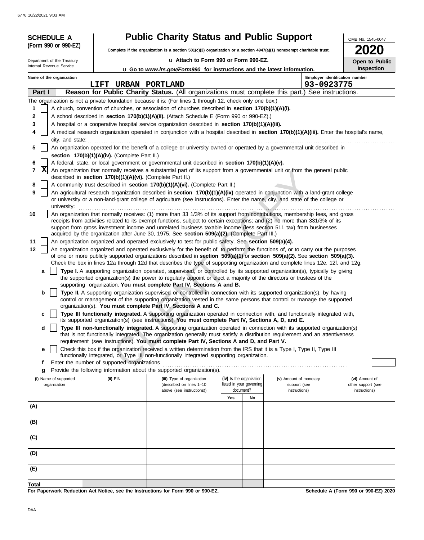| <b>SCHEDULE A</b>                     |                                                                                                                                                                                   | <b>Public Charity Status and Public Support</b>                                                                                                                                                                                                                                                                                                                                 |     |                                                      |                                        | OMB No. 1545-0047                    |  |  |  |
|---------------------------------------|-----------------------------------------------------------------------------------------------------------------------------------------------------------------------------------|---------------------------------------------------------------------------------------------------------------------------------------------------------------------------------------------------------------------------------------------------------------------------------------------------------------------------------------------------------------------------------|-----|------------------------------------------------------|----------------------------------------|--------------------------------------|--|--|--|
| (Form 990 or 990-EZ)                  |                                                                                                                                                                                   | Complete if the organization is a section 501(c)(3) organization or a section $4947(a)(1)$ nonexempt charitable trust.                                                                                                                                                                                                                                                          |     |                                                      |                                        |                                      |  |  |  |
| Department of the Treasury            |                                                                                                                                                                                   | u Attach to Form 990 or Form 990-EZ.                                                                                                                                                                                                                                                                                                                                            |     |                                                      |                                        |                                      |  |  |  |
| Internal Revenue Service              |                                                                                                                                                                                   | u Go to www.irs.gov/Form990 for instructions and the latest information.                                                                                                                                                                                                                                                                                                        |     |                                                      |                                        | Open to Public<br>Inspection         |  |  |  |
| Name of the organization              |                                                                                                                                                                                   |                                                                                                                                                                                                                                                                                                                                                                                 |     |                                                      |                                        | Employer identification number       |  |  |  |
|                                       | LIFT URBAN PORTLAND                                                                                                                                                               |                                                                                                                                                                                                                                                                                                                                                                                 |     |                                                      | 93-0923775                             |                                      |  |  |  |
| Part I                                |                                                                                                                                                                                   | Reason for Public Charity Status. (All organizations must complete this part.) See instructions.                                                                                                                                                                                                                                                                                |     |                                                      |                                        |                                      |  |  |  |
|                                       |                                                                                                                                                                                   | The organization is not a private foundation because it is: (For lines 1 through 12, check only one box.)                                                                                                                                                                                                                                                                       |     |                                                      |                                        |                                      |  |  |  |
| 1                                     |                                                                                                                                                                                   | A church, convention of churches, or association of churches described in section 170(b)(1)(A)(i).                                                                                                                                                                                                                                                                              |     |                                                      |                                        |                                      |  |  |  |
| 2                                     |                                                                                                                                                                                   | A school described in section 170(b)(1)(A)(ii). (Attach Schedule E (Form 990 or 990-EZ).)                                                                                                                                                                                                                                                                                       |     |                                                      |                                        |                                      |  |  |  |
| 3<br>4                                |                                                                                                                                                                                   | A hospital or a cooperative hospital service organization described in section 170(b)(1)(A)(iii).                                                                                                                                                                                                                                                                               |     |                                                      |                                        |                                      |  |  |  |
|                                       | A medical research organization operated in conjunction with a hospital described in section 170(b)(1)(A)(iii). Enter the hospital's name,<br>city, and state: example and state: |                                                                                                                                                                                                                                                                                                                                                                                 |     |                                                      |                                        |                                      |  |  |  |
| 5                                     |                                                                                                                                                                                   | An organization operated for the benefit of a college or university owned or operated by a governmental unit described in                                                                                                                                                                                                                                                       |     |                                                      |                                        |                                      |  |  |  |
|                                       | section 170(b)(1)(A)(iv). (Complete Part II.)                                                                                                                                     |                                                                                                                                                                                                                                                                                                                                                                                 |     |                                                      |                                        |                                      |  |  |  |
| 6                                     |                                                                                                                                                                                   | A federal, state, or local government or governmental unit described in section 170(b)(1)(A)(v).                                                                                                                                                                                                                                                                                |     |                                                      |                                        |                                      |  |  |  |
| X<br>7                                | described in section 170(b)(1)(A)(vi). (Complete Part II.)                                                                                                                        | An organization that normally receives a substantial part of its support from a governmental unit or from the general public                                                                                                                                                                                                                                                    |     |                                                      |                                        |                                      |  |  |  |
| 8                                     |                                                                                                                                                                                   | A community trust described in section 170(b)(1)(A)(vi). (Complete Part II.)                                                                                                                                                                                                                                                                                                    |     |                                                      |                                        |                                      |  |  |  |
| 9<br>university:                      |                                                                                                                                                                                   | An agricultural research organization described in section 170(b)(1)(A)(ix) operated in conjunction with a land-grant college<br>or university or a non-land-grant college of agriculture (see instructions). Enter the name, city, and state of the college or                                                                                                                 |     |                                                      |                                        |                                      |  |  |  |
| 10                                    |                                                                                                                                                                                   | An organization that normally receives: (1) more than 33 1/3% of its support from contributions, membership fees, and gross<br>receipts from activities related to its exempt functions, subject to certain exceptions; and (2) no more than 331/3% of its<br>support from gross investment income and unrelated business taxable income (less section 511 tax) from businesses |     |                                                      |                                        |                                      |  |  |  |
| 11                                    |                                                                                                                                                                                   | acquired by the organization after June 30, 1975. See section 509(a)(2). (Complete Part III.)<br>An organization organized and operated exclusively to test for public safety. See section 509(a)(4).                                                                                                                                                                           |     |                                                      |                                        |                                      |  |  |  |
| 12                                    |                                                                                                                                                                                   | An organization organized and operated exclusively for the benefit of, to perform the functions of, or to carry out the purposes                                                                                                                                                                                                                                                |     |                                                      |                                        |                                      |  |  |  |
|                                       |                                                                                                                                                                                   | of one or more publicly supported organizations described in section 509(a)(1) or section 509(a)(2). See section 509(a)(3).                                                                                                                                                                                                                                                     |     |                                                      |                                        |                                      |  |  |  |
|                                       |                                                                                                                                                                                   | Check the box in lines 12a through 12d that describes the type of supporting organization and complete lines 12e, 12f, and 12g.                                                                                                                                                                                                                                                 |     |                                                      |                                        |                                      |  |  |  |
| a                                     |                                                                                                                                                                                   | Type I. A supporting organization operated, supervised, or controlled by its supported organization(s), typically by giving<br>the supported organization(s) the power to regularly appoint or elect a majority of the directors or trustees of the                                                                                                                             |     |                                                      |                                        |                                      |  |  |  |
|                                       |                                                                                                                                                                                   | supporting organization. You must complete Part IV, Sections A and B.                                                                                                                                                                                                                                                                                                           |     |                                                      |                                        |                                      |  |  |  |
| b                                     |                                                                                                                                                                                   | Type II. A supporting organization supervised or controlled in connection with its supported organization(s), by having<br>control or management of the supporting organization vested in the same persons that control or manage the supported                                                                                                                                 |     |                                                      |                                        |                                      |  |  |  |
| c                                     |                                                                                                                                                                                   | organization(s). You must complete Part IV, Sections A and C.<br>Type III functionally integrated. A supporting organization operated in connection with, and functionally integrated with,                                                                                                                                                                                     |     |                                                      |                                        |                                      |  |  |  |
|                                       |                                                                                                                                                                                   | its supported organization(s) (see instructions). You must complete Part IV, Sections A, D, and E.                                                                                                                                                                                                                                                                              |     |                                                      |                                        |                                      |  |  |  |
| d                                     |                                                                                                                                                                                   | Type III non-functionally integrated. A supporting organization operated in connection with its supported organization(s)                                                                                                                                                                                                                                                       |     |                                                      |                                        |                                      |  |  |  |
|                                       |                                                                                                                                                                                   | that is not functionally integrated. The organization generally must satisfy a distribution requirement and an attentiveness<br>requirement (see instructions). You must complete Part IV, Sections A and D, and Part V.                                                                                                                                                        |     |                                                      |                                        |                                      |  |  |  |
| е                                     |                                                                                                                                                                                   | Check this box if the organization received a written determination from the IRS that it is a Type I, Type II, Type III                                                                                                                                                                                                                                                         |     |                                                      |                                        |                                      |  |  |  |
|                                       |                                                                                                                                                                                   | functionally integrated, or Type III non-functionally integrated supporting organization.                                                                                                                                                                                                                                                                                       |     |                                                      |                                        |                                      |  |  |  |
| f                                     | Enter the number of supported organizations                                                                                                                                       |                                                                                                                                                                                                                                                                                                                                                                                 |     |                                                      |                                        |                                      |  |  |  |
| g                                     |                                                                                                                                                                                   | Provide the following information about the supported organization(s).                                                                                                                                                                                                                                                                                                          |     |                                                      |                                        |                                      |  |  |  |
| (i) Name of supported<br>organization | (ii) EIN                                                                                                                                                                          | (iii) Type of organization<br>(described on lines 1-10                                                                                                                                                                                                                                                                                                                          |     | (iv) Is the organization<br>listed in your governing | (v) Amount of monetary<br>support (see | (vi) Amount of<br>other support (see |  |  |  |
|                                       |                                                                                                                                                                                   | above (see instructions))                                                                                                                                                                                                                                                                                                                                                       |     | document?                                            | instructions)                          | instructions)                        |  |  |  |
|                                       |                                                                                                                                                                                   |                                                                                                                                                                                                                                                                                                                                                                                 | Yes | No                                                   |                                        |                                      |  |  |  |
| (A)                                   |                                                                                                                                                                                   |                                                                                                                                                                                                                                                                                                                                                                                 |     |                                                      |                                        |                                      |  |  |  |
| (B)                                   |                                                                                                                                                                                   |                                                                                                                                                                                                                                                                                                                                                                                 |     |                                                      |                                        |                                      |  |  |  |
|                                       |                                                                                                                                                                                   |                                                                                                                                                                                                                                                                                                                                                                                 |     |                                                      |                                        |                                      |  |  |  |
| (C)                                   |                                                                                                                                                                                   |                                                                                                                                                                                                                                                                                                                                                                                 |     |                                                      |                                        |                                      |  |  |  |
| (D)                                   |                                                                                                                                                                                   |                                                                                                                                                                                                                                                                                                                                                                                 |     |                                                      |                                        |                                      |  |  |  |
| (E)                                   |                                                                                                                                                                                   |                                                                                                                                                                                                                                                                                                                                                                                 |     |                                                      |                                        |                                      |  |  |  |
| Total                                 |                                                                                                                                                                                   |                                                                                                                                                                                                                                                                                                                                                                                 |     |                                                      |                                        |                                      |  |  |  |
|                                       |                                                                                                                                                                                   |                                                                                                                                                                                                                                                                                                                                                                                 |     |                                                      |                                        |                                      |  |  |  |

**For Paperwork Reduction Act Notice, see the Instructions for Form 990 or 990-EZ.**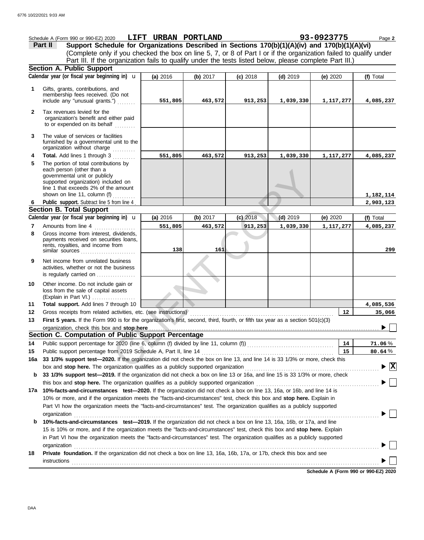|              | Schedule A (Form 990 or 990-EZ) 2020                                                                                                                                                                                                                                                                                                                                                | LIFT URBAN PORTLAND |          |            |            | 93-0923775  | Page 2                               |
|--------------|-------------------------------------------------------------------------------------------------------------------------------------------------------------------------------------------------------------------------------------------------------------------------------------------------------------------------------------------------------------------------------------|---------------------|----------|------------|------------|-------------|--------------------------------------|
|              | Support Schedule for Organizations Described in Sections 170(b)(1)(A)(iv) and 170(b)(1)(A)(vi)<br>Part II                                                                                                                                                                                                                                                                           |                     |          |            |            |             |                                      |
|              | (Complete only if you checked the box on line 5, 7, or 8 of Part I or if the organization failed to qualify under                                                                                                                                                                                                                                                                   |                     |          |            |            |             |                                      |
|              | Part III. If the organization fails to qualify under the tests listed below, please complete Part III.)                                                                                                                                                                                                                                                                             |                     |          |            |            |             |                                      |
|              | <b>Section A. Public Support</b>                                                                                                                                                                                                                                                                                                                                                    |                     |          |            |            |             |                                      |
|              | Calendar year (or fiscal year beginning in) $\mathbf u$                                                                                                                                                                                                                                                                                                                             | (a) 2016            | (b) 2017 | $(c)$ 2018 | $(d)$ 2019 | (e) 2020    | (f) Total                            |
| 1            | Gifts, grants, contributions, and<br>membership fees received. (Do not                                                                                                                                                                                                                                                                                                              |                     |          |            |            |             |                                      |
|              | include any "unusual grants.")                                                                                                                                                                                                                                                                                                                                                      | 551,805             | 463,572  | 913,253    | 1,039,330  | 1,117,277   | 4,085,237                            |
| $\mathbf{2}$ | Tax revenues levied for the<br>organization's benefit and either paid<br>to or expended on its behalf                                                                                                                                                                                                                                                                               |                     |          |            |            |             |                                      |
| 3            | The value of services or facilities<br>furnished by a governmental unit to the<br>organization without charge                                                                                                                                                                                                                                                                       |                     |          |            |            |             |                                      |
| 4            | Total. Add lines 1 through 3                                                                                                                                                                                                                                                                                                                                                        | 551,805             | 463,572  | 913,253    | 1,039,330  | 1,117,277   | 4,085,237                            |
| 5            | The portion of total contributions by<br>each person (other than a<br>governmental unit or publicly<br>supported organization) included on<br>line 1 that exceeds 2% of the amount<br>shown on line 11, column (f) $\ldots$                                                                                                                                                         |                     |          |            |            |             | 1,182,114                            |
| 6            | Public support. Subtract line 5 from line 4                                                                                                                                                                                                                                                                                                                                         |                     |          |            |            |             | 2,903,123                            |
|              | <b>Section B. Total Support</b>                                                                                                                                                                                                                                                                                                                                                     |                     |          |            |            |             |                                      |
|              | Calendar year (or fiscal year beginning in) <b>u</b>                                                                                                                                                                                                                                                                                                                                | (a) 2016            | (b) 2017 | $(c)$ 2018 | $(d)$ 2019 | (e) 2020    | (f) Total                            |
| 7            | Amounts from line 4                                                                                                                                                                                                                                                                                                                                                                 | 551,805             | 463,572  | 913, 253   | 1,039,330  | 1, 117, 277 | 4,085,237                            |
| 8            | Gross income from interest, dividends,<br>payments received on securities loans,<br>rents, royalties, and income from<br>similar sources                                                                                                                                                                                                                                            | 138                 | 161      |            |            |             | 299                                  |
| 9            | Net income from unrelated business<br>activities, whether or not the business<br>is regularly carried on                                                                                                                                                                                                                                                                            |                     |          |            |            |             |                                      |
| 10           | Other income. Do not include gain or<br>loss from the sale of capital assets<br>(Explain in Part VI.)                                                                                                                                                                                                                                                                               |                     |          |            |            |             |                                      |
| 11           | Total support. Add lines 7 through 10                                                                                                                                                                                                                                                                                                                                               |                     |          |            |            |             | 4,085,536                            |
| 12           | Gross receipts from related activities, etc. (see instructions)                                                                                                                                                                                                                                                                                                                     |                     |          |            |            | 12          | 35,066                               |
| 13           | First 5 years. If the Form 990 is for the organization's first, second, third, fourth, or fifth tax year as a section 501(c)(3)                                                                                                                                                                                                                                                     |                     |          |            |            |             |                                      |
|              | organization, check this box and stop here                                                                                                                                                                                                                                                                                                                                          |                     |          |            |            |             |                                      |
|              | Section C. Computation of Public Support Percentage                                                                                                                                                                                                                                                                                                                                 |                     |          |            |            |             |                                      |
| 14           |                                                                                                                                                                                                                                                                                                                                                                                     |                     |          |            |            | 14          | 71.06%                               |
| 15           | Public support percentage from 2019 Schedule A, Part II, line 14                                                                                                                                                                                                                                                                                                                    |                     |          |            |            | 15          | 80.64%                               |
| 16a          | 33 1/3% support test-2020. If the organization did not check the box on line 13, and line 14 is 33 1/3% or more, check this<br>box and stop here. The organization qualifies as a publicly supported organization                                                                                                                                                                   |                     |          |            |            |             | $\blacktriangleright$ $ \mathrm{X} $ |
| b            | 33 1/3% support test-2019. If the organization did not check a box on line 13 or 16a, and line 15 is 33 1/3% or more, check                                                                                                                                                                                                                                                         |                     |          |            |            |             |                                      |
|              | this box and stop here. The organization qualifies as a publicly supported organization                                                                                                                                                                                                                                                                                             |                     |          |            |            |             |                                      |
| 17a          | 10%-facts-and-circumstances test-2020. If the organization did not check a box on line 13, 16a, or 16b, and line 14 is                                                                                                                                                                                                                                                              |                     |          |            |            |             |                                      |
|              | 10% or more, and if the organization meets the "facts-and-circumstances" test, check this box and stop here. Explain in                                                                                                                                                                                                                                                             |                     |          |            |            |             |                                      |
|              | Part VI how the organization meets the "facts-and-circumstances" test. The organization qualifies as a publicly supported                                                                                                                                                                                                                                                           |                     |          |            |            |             |                                      |
|              | organization                                                                                                                                                                                                                                                                                                                                                                        |                     |          |            |            |             |                                      |
| b            | 10%-facts-and-circumstances test-2019. If the organization did not check a box on line 13, 16a, 16b, or 17a, and line<br>15 is 10% or more, and if the organization meets the "facts-and-circumstances" test, check this box and stop here. Explain<br>in Part VI how the organization meets the "facts-and-circumstances" test. The organization qualifies as a publicly supported |                     |          |            |            |             |                                      |
|              | organization                                                                                                                                                                                                                                                                                                                                                                        |                     |          |            |            |             |                                      |
| 18           | Private foundation. If the organization did not check a box on line 13, 16a, 16b, 17a, or 17b, check this box and see                                                                                                                                                                                                                                                               |                     |          |            |            |             |                                      |
|              | <b>instructions</b>                                                                                                                                                                                                                                                                                                                                                                 |                     |          |            |            |             |                                      |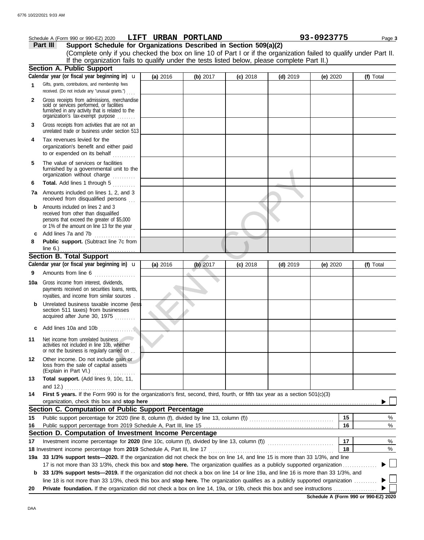|     | Schedule A (Form 990 or 990-EZ) 2020                                                                                                                                                                                                                            | LIFT URBAN PORTLAND |            |            |            | 93-0923775 | Page 3    |
|-----|-----------------------------------------------------------------------------------------------------------------------------------------------------------------------------------------------------------------------------------------------------------------|---------------------|------------|------------|------------|------------|-----------|
|     | Support Schedule for Organizations Described in Section 509(a)(2)<br>Part III                                                                                                                                                                                   |                     |            |            |            |            |           |
|     | (Complete only if you checked the box on line 10 of Part I or if the organization failed to qualify under Part II.                                                                                                                                              |                     |            |            |            |            |           |
|     | If the organization fails to qualify under the tests listed below, please complete Part II.)                                                                                                                                                                    |                     |            |            |            |            |           |
|     | <b>Section A. Public Support</b>                                                                                                                                                                                                                                |                     |            |            |            |            |           |
|     | Calendar year (or fiscal year beginning in) <b>u</b>                                                                                                                                                                                                            | (a) 2016            | (b) 2017   | $(c)$ 2018 | $(d)$ 2019 | (e) 2020   | (f) Total |
| 1   | Gifts, grants, contributions, and membership fees<br>received. (Do not include any "unusual grants.")                                                                                                                                                           |                     |            |            |            |            |           |
| 2   | Gross receipts from admissions, merchandise<br>sold or services performed, or facilities<br>furnished in any activity that is related to the<br>organization's tax-exempt purpose                                                                               |                     |            |            |            |            |           |
| 3   | Gross receipts from activities that are not an<br>unrelated trade or business under section 513                                                                                                                                                                 |                     |            |            |            |            |           |
| 4   | Tax revenues levied for the<br>organization's benefit and either paid<br>to or expended on its behalf                                                                                                                                                           |                     |            |            |            |            |           |
| 5   | The value of services or facilities<br>furnished by a governmental unit to the<br>organization without charge                                                                                                                                                   |                     |            |            |            |            |           |
| 6   | Total. Add lines 1 through 5                                                                                                                                                                                                                                    |                     |            |            |            |            |           |
|     | 7a Amounts included on lines 1, 2, and 3<br>received from disqualified persons                                                                                                                                                                                  |                     |            |            |            |            |           |
| b   | Amounts included on lines 2 and 3<br>received from other than disqualified<br>persons that exceed the greater of \$5,000<br>or 1% of the amount on line 13 for the year                                                                                         |                     |            |            |            |            |           |
| c   | Add lines 7a and 7b<br><u> 1999 - Johann Stoff, Amerikaansk kanton en </u>                                                                                                                                                                                      |                     |            |            |            |            |           |
| 8   | Public support. (Subtract line 7c from                                                                                                                                                                                                                          |                     |            |            |            |            |           |
|     | line $6$ .)                                                                                                                                                                                                                                                     |                     |            |            |            |            |           |
|     | <b>Section B. Total Support</b>                                                                                                                                                                                                                                 |                     |            |            |            |            |           |
|     | Calendar year (or fiscal year beginning in) <b>u</b>                                                                                                                                                                                                            | (a) 2016            | $(b)$ 2017 | $(c)$ 2018 | $(d)$ 2019 | (e) $2020$ | (f) Total |
| 9   | Amounts from line 6                                                                                                                                                                                                                                             |                     |            |            |            |            |           |
| 10a | Gross income from interest, dividends,<br>payments received on securities loans, rents,<br>royalties, and income from similar sources.                                                                                                                          |                     |            |            |            |            |           |
| b   | Unrelated business taxable income (less<br>section 511 taxes) from businesses<br>acquired after June 30, 1975                                                                                                                                                   |                     |            |            |            |            |           |
| c   | Add lines 10a and 10b                                                                                                                                                                                                                                           |                     |            |            |            |            |           |
| 11  | Net income from unrelated business<br>activities not included in line 10b, whether<br>or not the business is regularly carried on                                                                                                                               |                     |            |            |            |            |           |
| 12  | Other income. Do not include gain or<br>loss from the sale of capital assets<br>(Explain in Part VI.)<br>.                                                                                                                                                      |                     |            |            |            |            |           |
| 13  | Total support. (Add lines 9, 10c, 11,                                                                                                                                                                                                                           |                     |            |            |            |            |           |
| 14  | and 12.)<br>First 5 years. If the Form 990 is for the organization's first, second, third, fourth, or fifth tax year as a section 501(c)(3)                                                                                                                     |                     |            |            |            |            |           |
|     | organization, check this box and stop here                                                                                                                                                                                                                      |                     |            |            |            |            |           |
|     | Section C. Computation of Public Support Percentage                                                                                                                                                                                                             |                     |            |            |            |            |           |
| 15  |                                                                                                                                                                                                                                                                 |                     |            |            |            | 15         | %         |
| 16  |                                                                                                                                                                                                                                                                 |                     |            |            |            | 16         | ℅         |
|     | Section D. Computation of Investment Income Percentage                                                                                                                                                                                                          |                     |            |            |            |            |           |
| 17  |                                                                                                                                                                                                                                                                 |                     |            |            |            | 17         | $\%$      |
|     |                                                                                                                                                                                                                                                                 |                     |            |            |            | 18         | $\%$      |
| 19а | 33 1/3% support tests-2020. If the organization did not check the box on line 14, and line 15 is more than 33 1/3%, and line                                                                                                                                    |                     |            |            |            |            |           |
|     | 17 is not more than 33 1/3%, check this box and stop here. The organization qualifies as a publicly supported organization<br>33 1/3% support tests-2019. If the organization did not check a box on line 14 or line 19a, and line 16 is more than 33 1/3%, and |                     |            |            |            |            |           |
| b   | line 18 is not more than 33 1/3%, check this box and stop here. The organization qualifies as a publicly supported organization                                                                                                                                 |                     |            |            |            |            |           |
| 20  | Private foundation. If the organization did not check a box on line 14, 19a, or 19b, check this box and see instructions                                                                                                                                        |                     |            |            |            |            |           |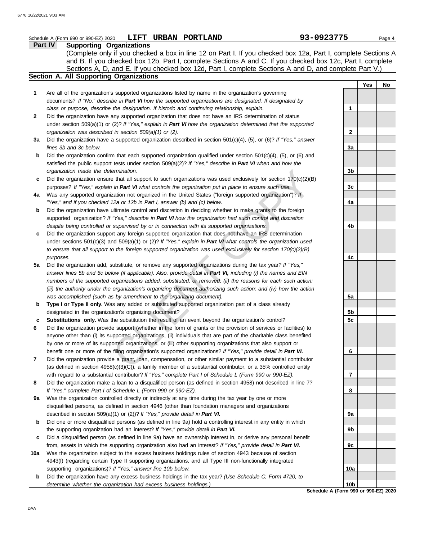|     | LIFT URBAN PORTLAND<br>Schedule A (Form 990 or 990-EZ) 2020                                                         | 93-0923775      |     | Page 4 |
|-----|---------------------------------------------------------------------------------------------------------------------|-----------------|-----|--------|
|     | <b>Supporting Organizations</b><br><b>Part IV</b>                                                                   |                 |     |        |
|     | (Complete only if you checked a box in line 12 on Part I. If you checked box 12a, Part I, complete Sections A       |                 |     |        |
|     | and B. If you checked box 12b, Part I, complete Sections A and C. If you checked box 12c, Part I, complete          |                 |     |        |
|     | Sections A, D, and E. If you checked box 12d, Part I, complete Sections A and D, and complete Part V.)              |                 |     |        |
|     | Section A. All Supporting Organizations                                                                             |                 |     |        |
|     |                                                                                                                     |                 | Yes | No     |
| 1   | Are all of the organization's supported organizations listed by name in the organization's governing                |                 |     |        |
|     | documents? If "No," describe in Part VI how the supported organizations are designated. If designated by            |                 |     |        |
|     | class or purpose, describe the designation. If historic and continuing relationship, explain.                       | 1               |     |        |
|     |                                                                                                                     |                 |     |        |
| 2   | Did the organization have any supported organization that does not have an IRS determination of status              |                 |     |        |
|     | under section 509(a)(1) or (2)? If "Yes," explain in Part VI how the organization determined that the supported     |                 |     |        |
|     | organization was described in section 509(a)(1) or (2).                                                             | $\mathbf{2}$    |     |        |
| За  | Did the organization have a supported organization described in section 501(c)(4), (5), or (6)? If "Yes," answer    |                 |     |        |
|     | lines 3b and 3c below.                                                                                              | 3a              |     |        |
| b   | Did the organization confirm that each supported organization qualified under section $501(c)(4)$ , (5), or (6) and |                 |     |        |
|     | satisfied the public support tests under section $509(a)(2)?$ If "Yes," describe in Part VI when and how the        |                 |     |        |
|     | organization made the determination.                                                                                | 3b              |     |        |
| c   | Did the organization ensure that all support to such organizations was used exclusively for section $170(c)(2)(B)$  |                 |     |        |
|     | purposes? If "Yes," explain in Part VI what controls the organization put in place to ensure such use.              | 3c              |     |        |
| 4a  | Was any supported organization not organized in the United States ("foreign supported organization")? If            |                 |     |        |
|     | "Yes," and if you checked 12a or 12b in Part I, answer (b) and (c) below.                                           | 4a              |     |        |
| b   | Did the organization have ultimate control and discretion in deciding whether to make grants to the foreign         |                 |     |        |
|     | supported organization? If "Yes," describe in Part VI how the organization had such control and discretion          |                 |     |        |
|     | despite being controlled or supervised by or in connection with its supported organizations.                        | 4b              |     |        |
| c   | Did the organization support any foreign supported organization that does not have an IRS determination             |                 |     |        |
|     | under sections $501(c)(3)$ and $509(a)(1)$ or (2)? If "Yes," explain in Part VI what controls the organization used |                 |     |        |
|     | to ensure that all support to the foreign supported organization was used exclusively for section $170(c)(2)(B)$    |                 |     |        |
|     | purposes.                                                                                                           | 4с              |     |        |
| 5a  | Did the organization add, substitute, or remove any supported organizations during the tax year? If "Yes,"          |                 |     |        |
|     | answer lines 5b and 5c below (if applicable). Also, provide detail in Part VI, including (i) the names and EIN      |                 |     |        |
|     | numbers of the supported organizations added, substituted, or removed; (ii) the reasons for each such action;       |                 |     |        |
|     | (iii) the authority under the organization's organizing document authorizing such action; and (iv) how the action   |                 |     |        |
|     | was accomplished (such as by amendment to the organizing document).                                                 | 5a              |     |        |
| b   | Type I or Type II only. Was any added or substituted supported organization part of a class already                 |                 |     |        |
|     | designated in the organization's organizing document?                                                               | 5b              |     |        |
| c   | Substitutions only. Was the substitution the result of an event beyond the organization's control?                  | 5c              |     |        |
|     | Did the organization provide support (whether in the form of grants or the provision of services or facilities) to  |                 |     |        |
| 6   |                                                                                                                     |                 |     |        |
|     | anyone other than (i) its supported organizations, (ii) individuals that are part of the charitable class benefited |                 |     |        |
|     | by one or more of its supported organizations, or (iii) other supporting organizations that also support or         |                 |     |        |
|     | benefit one or more of the filing organization's supported organizations? If "Yes," provide detail in Part VI.      | 6               |     |        |
| 7   | Did the organization provide a grant, loan, compensation, or other similar payment to a substantial contributor     |                 |     |        |
|     | (as defined in section $4958(c)(3)(C)$ ), a family member of a substantial contributor, or a 35% controlled entity  |                 |     |        |
|     | with regard to a substantial contributor? If "Yes," complete Part I of Schedule L (Form 990 or 990-EZ).             | 7               |     |        |
| 8   | Did the organization make a loan to a disqualified person (as defined in section 4958) not described in line 7?     |                 |     |        |
|     | If "Yes," complete Part I of Schedule L (Form 990 or 990-EZ).                                                       | 8               |     |        |
| 9a  | Was the organization controlled directly or indirectly at any time during the tax year by one or more               |                 |     |        |
|     | disqualified persons, as defined in section 4946 (other than foundation managers and organizations                  |                 |     |        |
|     | described in section 509(a)(1) or (2))? If "Yes," provide detail in Part VI.                                        | 9а              |     |        |
| b   | Did one or more disqualified persons (as defined in line 9a) hold a controlling interest in any entity in which     |                 |     |        |
|     | the supporting organization had an interest? If "Yes," provide detail in Part VI.                                   | 9b              |     |        |
| c   | Did a disqualified person (as defined in line 9a) have an ownership interest in, or derive any personal benefit     |                 |     |        |
|     | from, assets in which the supporting organization also had an interest? If "Yes," provide detail in Part VI.        | 9c              |     |        |
| 10a | Was the organization subject to the excess business holdings rules of section 4943 because of section               |                 |     |        |
|     | 4943(f) (regarding certain Type II supporting organizations, and all Type III non-functionally integrated           |                 |     |        |
|     | supporting organizations)? If "Yes," answer line 10b below.                                                         | 10a             |     |        |
| b   | Did the organization have any excess business holdings in the tax year? (Use Schedule C, Form 4720, to              |                 |     |        |
|     | determine whether the organization had excess business holdings.)                                                   | 10 <sub>b</sub> |     |        |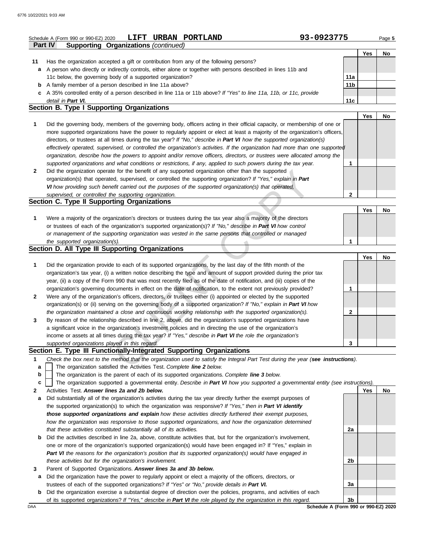|              | 93-0923775<br>LIFT URBAN PORTLAND<br>Schedule A (Form 990 or 990-EZ) 2020                                                         |                 |     | Page 5 |
|--------------|-----------------------------------------------------------------------------------------------------------------------------------|-----------------|-----|--------|
|              | <b>Supporting Organizations (continued)</b><br><b>Part IV</b>                                                                     |                 |     |        |
|              |                                                                                                                                   |                 | Yes | No     |
| 11           | Has the organization accepted a gift or contribution from any of the following persons?                                           |                 |     |        |
| a            | A person who directly or indirectly controls, either alone or together with persons described in lines 11b and                    |                 |     |        |
|              | 11c below, the governing body of a supported organization?                                                                        | 11a             |     |        |
|              | <b>b</b> A family member of a person described in line 11a above?                                                                 | 11 <sub>b</sub> |     |        |
|              | c A 35% controlled entity of a person described in line 11a or 11b above? If "Yes" to line 11a, 11b, or 11c, provide              |                 |     |        |
|              | detail in Part VI.                                                                                                                | 11c             |     |        |
|              | Section B. Type I Supporting Organizations                                                                                        |                 |     |        |
|              |                                                                                                                                   |                 | Yes | No     |
| 1            | Did the governing body, members of the governing body, officers acting in their official capacity, or membership of one or        |                 |     |        |
|              | more supported organizations have the power to regularly appoint or elect at least a majority of the organization's officers,     |                 |     |        |
|              | directors, or trustees at all times during the tax year? If "No," describe in Part VI how the supported organization(s)           |                 |     |        |
|              | effectively operated, supervised, or controlled the organization's activities. If the organization had more than one supported    |                 |     |        |
|              | organization, describe how the powers to appoint and/or remove officers, directors, or trustees were allocated among the          |                 |     |        |
|              | supported organizations and what conditions or restrictions, if any, applied to such powers during the tax year.                  | 1               |     |        |
| $\mathbf{2}$ | Did the organization operate for the benefit of any supported organization other than the supported                               |                 |     |        |
|              | organization(s) that operated, supervised, or controlled the supporting organization? If "Yes," explain in Part                   |                 |     |        |
|              | VI how providing such benefit carried out the purposes of the supported organization(s) that operated,                            |                 |     |        |
|              | supervised, or controlled the supporting organization.                                                                            | $\mathbf{2}$    |     |        |
|              | Section C. Type II Supporting Organizations                                                                                       |                 |     |        |
|              |                                                                                                                                   |                 | Yes | No     |
| 1            | Were a majority of the organization's directors or trustees during the tax year also a majority of the directors                  |                 |     |        |
|              | or trustees of each of the organization's supported organization(s)? If "No," describe in Part VI how control                     |                 |     |        |
|              | or management of the supporting organization was vested in the same persons that controlled or managed                            |                 |     |        |
|              | the supported organization(s).                                                                                                    | 1               |     |        |
|              | Section D. All Type III Supporting Organizations                                                                                  |                 |     |        |
|              |                                                                                                                                   |                 | Yes | No     |
| 1            | Did the organization provide to each of its supported organizations, by the last day of the fifth month of the                    |                 |     |        |
|              | organization's tax year, (i) a written notice describing the type and amount of support provided during the prior tax             |                 |     |        |
|              | year, (ii) a copy of the Form 990 that was most recently filed as of the date of notification, and (iii) copies of the            |                 |     |        |
|              | organization's governing documents in effect on the date of notification, to the extent not previously provided?                  | 1               |     |        |
| $\mathbf{2}$ | Were any of the organization's officers, directors, or trustees either (i) appointed or elected by the supported                  |                 |     |        |
|              | organization(s) or (ii) serving on the governing body of a supported organization? If "No," explain in Part VI how                |                 |     |        |
|              | the organization maintained a close and continuous working relationship with the supported organization(s).                       | 2               |     |        |
| 3            | By reason of the relationship described in line 2, above, did the organization's supported organizations have                     |                 |     |        |
|              | a significant voice in the organization's investment policies and in directing the use of the organization's                      |                 |     |        |
|              | income or assets at all times during the tax year? If "Yes," describe in Part VI the role the organization's                      |                 |     |        |
|              | supported organizations played in this regard.                                                                                    | 3               |     |        |
|              | Section E. Type III Functionally-Integrated Supporting Organizations                                                              |                 |     |        |
| 1            | Check the box next to the method that the organization used to satisfy the Integral Part Test during the year (see instructions). |                 |     |        |
| а            | The organization satisfied the Activities Test. Complete line 2 below.                                                            |                 |     |        |
| b            | The organization is the parent of each of its supported organizations. Complete line 3 below.                                     |                 |     |        |
| c            | The organization supported a governmental entity. Describe in Part VI how you supported a governmental entity (see instructions). |                 |     |        |
| 2            | Activities Test. Answer lines 2a and 2b below.                                                                                    |                 | Yes | No     |
| a            | Did substantially all of the organization's activities during the tax year directly further the exempt purposes of                |                 |     |        |
|              | the supported organization(s) to which the organization was responsive? If "Yes," then in Part VI identify                        |                 |     |        |
|              | those supported organizations and explain how these activities directly furthered their exempt purposes,                          |                 |     |        |
|              | how the organization was responsive to those supported organizations, and how the organization determined                         |                 |     |        |

- **b** Did the activities described in line 2a, above, constitute activities that, but for the organization's involvement, one or more of the organization's supported organization(s) would have been engaged in? If "Yes," explain in *Part VI the reasons for the organization's position that its supported organization(s) would have engaged in these activities but for the organization's involvement.*
- **3** Parent of Supported Organizations. *Answer lines 3a and 3b below.*

*that these activities constituted substantially all of its activities.*

- **a** Did the organization have the power to regularly appoint or elect a majority of the officers, directors, or trustees of each of the supported organizations? *If "Yes" or "No," provide details in Part VI.*
- **b** Did the organization exercise a substantial degree of direction over the policies, programs, and activities of each of its supported organizations? *If "Yes," describe in Part VI the role played by the organization in this regard.*

DAA **SChedule A (Form 990 or 990-EZ) 2020 3b**

**2a**

**2b**

**3a**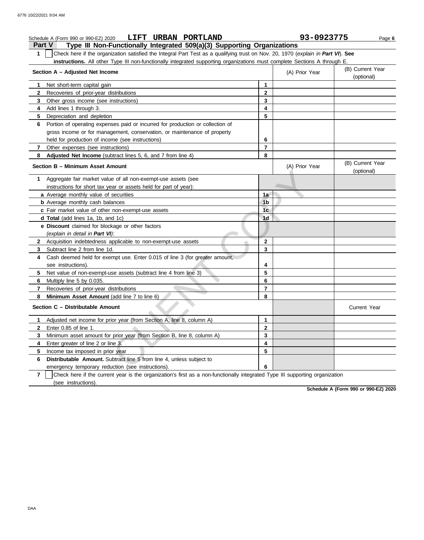### **Part V Type III Non-Functionally Integrated 509(a)(3) Supporting Organizations Schedule A (Form 990 or 990-EZ) 2020 LIFT URBAN PORTLAND 93-0923775** Page 6 **1** Check here if the organization satisfied the Integral Part Test as a qualifying trust on Nov. 20, 1970 (*explain in Part VI*). **See instructions.** All other Type III non-functionally integrated supporting organizations must complete Sections A through E. **1** Net short-term capital gain **2 3 4** Add lines 1 through 3. **5** Depreciation and depletion **6** Portion of operating expenses paid or incurred for production or collection of **7 8 Adjusted Net Income** (subtract lines 5, 6, and 7 from line 4) **1** Aggregate fair market value of all non-exempt-use assets (see **Section A – Adjusted Net Income** Recoveries of prior-year distributions Other gross income (see instructions) gross income or for management, conservation, or maintenance of property held for production of income (see instructions) Other expenses (see instructions) **Section B – Minimum Asset Amount** instructions for short tax year or assets held for part of year): **a** Average monthly value of securities **b** Average monthly cash balances **c** Fair market value of other non-exempt-use assets **d Total** (add lines 1a, 1b, and 1c) **e Discount** claimed for blockage or other factors *(explain in detail in Part VI)*: **8 Minimum Asset Amount** (add line 7 to line 6) **7 6** Multiply line 5 by 0.035. **5 4** Cash deemed held for exempt use. Enter 0.015 of line 3 (for greater amount, **3** Subtract line 2 from line 1d. **2** Acquisition indebtedness applicable to non-exempt-use assets see instructions). Net value of non-exempt-use assets (subtract line 4 from line 3) Recoveries of prior-year distributions **Section C – Distributable Amount 6 Distributable Amount.** Subtract line 5 from line 4, unless subject to **5** Income tax imposed in prior year **4** Enter greater of line 2 or line 3. **3 2** Enter 0.85 of line 1. **1** Adjusted net income for prior year (from Section A, line 8, column A) Minimum asset amount for prior year (from Section B, line 8, column A) emergency temporary reduction (see instructions). **8 7 6 5 4 3 2 1** (A) Prior Year (B) Current Year (optional) (optional) (B) Current Year (A) Prior Year **1a 1b 1c 1d 2 3 4 5 6 7 8 3 2 1 6 5 4** Current Year e of all non-exempt-use assets (see<br>
ar or assets held for part of year):<br>
securities<br>
non-exempt-use assets<br>
16<br>
d d c)<br>
2<br>
2<br>
2<br>
2<br>
2<br>
2<br>
Deplicable to non-exempt-use assets<br>
2<br>
2<br>
3<br>
3<br>
2<br>
3<br>
3<br>
3<br>
3<br>
5<br>
5<br>
stributions<br>

**7** (see instructions). Check here if the current year is the organization's first as a non-functionally integrated Type III supporting organization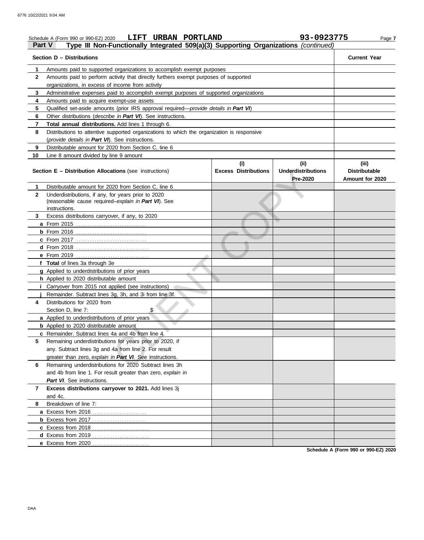| Part V         | LIFT URBAN PORTLAND<br>Schedule A (Form 990 or 990-EZ) 2020<br>Type III Non-Functionally Integrated 509(a)(3) Supporting Organizations (continued) |                             | 93-0923775                                   | Page 7                                  |
|----------------|----------------------------------------------------------------------------------------------------------------------------------------------------|-----------------------------|----------------------------------------------|-----------------------------------------|
|                | Section D - Distributions                                                                                                                          |                             |                                              | <b>Current Year</b>                     |
| 1              | Amounts paid to supported organizations to accomplish exempt purposes                                                                              |                             |                                              |                                         |
| $\mathbf{2}$   | Amounts paid to perform activity that directly furthers exempt purposes of supported                                                               |                             |                                              |                                         |
|                | organizations, in excess of income from activity                                                                                                   |                             |                                              |                                         |
| 3              | Administrative expenses paid to accomplish exempt purposes of supported organizations                                                              |                             |                                              |                                         |
| 4              | Amounts paid to acquire exempt-use assets                                                                                                          |                             |                                              |                                         |
| 5              | Qualified set-aside amounts (prior IRS approval required— <i>provide details in Part VI</i> )                                                      |                             |                                              |                                         |
| 6              | Other distributions ( <i>describe in Part VI</i> ). See instructions.                                                                              |                             |                                              |                                         |
| $\overline{7}$ | Total annual distributions. Add lines 1 through 6.                                                                                                 |                             |                                              |                                         |
| 8              | Distributions to attentive supported organizations to which the organization is responsive                                                         |                             |                                              |                                         |
|                | (provide details in Part VI). See instructions.                                                                                                    |                             |                                              |                                         |
| 9              | Distributable amount for 2020 from Section C, line 6                                                                                               |                             |                                              |                                         |
| 10             | Line 8 amount divided by line 9 amount                                                                                                             |                             |                                              |                                         |
|                |                                                                                                                                                    | (i)                         | (ii)                                         | (iii)                                   |
|                | <b>Section E - Distribution Allocations (see instructions)</b>                                                                                     | <b>Excess Distributions</b> | <b>Underdistributions</b><br><b>Pre-2020</b> | <b>Distributable</b><br>Amount for 2020 |
| 1              | Distributable amount for 2020 from Section C, line 6                                                                                               |                             |                                              |                                         |
| $\mathbf{2}$   | Underdistributions, if any, for years prior to 2020                                                                                                |                             |                                              |                                         |
|                | (reasonable cause required-explain in Part VI). See                                                                                                |                             |                                              |                                         |
|                | instructions.                                                                                                                                      |                             |                                              |                                         |
| 3              | Excess distributions carryover, if any, to 2020                                                                                                    |                             |                                              |                                         |
|                |                                                                                                                                                    |                             |                                              |                                         |
|                |                                                                                                                                                    |                             |                                              |                                         |
|                | <b>c</b> From 2017                                                                                                                                 |                             |                                              |                                         |
|                |                                                                                                                                                    |                             |                                              |                                         |
|                | e From 2019                                                                                                                                        |                             |                                              |                                         |
|                | f Total of lines 3a through 3e                                                                                                                     |                             |                                              |                                         |
|                | g Applied to underdistributions of prior years                                                                                                     |                             |                                              |                                         |
|                | h Applied to 2020 distributable amount                                                                                                             |                             |                                              |                                         |
|                | Carryover from 2015 not applied (see instructions)                                                                                                 |                             |                                              |                                         |
|                | Remainder. Subtract lines 3g, 3h, and 3i from line 3f.                                                                                             |                             |                                              |                                         |
| 4              | Distributions for 2020 from                                                                                                                        |                             |                                              |                                         |
|                | Section D, line 7:<br>\$                                                                                                                           |                             |                                              |                                         |
|                | a Applied to underdistributions of prior years                                                                                                     |                             |                                              |                                         |
|                | <b>b</b> Applied to 2020 distributable amount                                                                                                      |                             |                                              |                                         |
|                | c Remainder. Subtract lines 4a and 4b from line 4.                                                                                                 |                             |                                              |                                         |
| 5              | Remaining underdistributions for years prior to 2020, if                                                                                           |                             |                                              |                                         |
|                | any. Subtract lines 3g and 4a from line 2. For result                                                                                              |                             |                                              |                                         |
|                | greater than zero, explain in Part VI. See instructions.                                                                                           |                             |                                              |                                         |
| 6              | Remaining underdistributions for 2020 Subtract lines 3h                                                                                            |                             |                                              |                                         |
|                | and 4b from line 1. For result greater than zero, explain in                                                                                       |                             |                                              |                                         |
|                | Part VI. See instructions.                                                                                                                         |                             |                                              |                                         |
| 7              | Excess distributions carryover to 2021. Add lines 3j                                                                                               |                             |                                              |                                         |
|                | and 4c.                                                                                                                                            |                             |                                              |                                         |
| 8              | Breakdown of line 7:                                                                                                                               |                             |                                              |                                         |
|                |                                                                                                                                                    |                             |                                              |                                         |
|                | <b>b</b> Excess from 2017                                                                                                                          |                             |                                              |                                         |
|                |                                                                                                                                                    |                             |                                              |                                         |
|                |                                                                                                                                                    |                             |                                              |                                         |
|                | e Excess from 2020                                                                                                                                 |                             |                                              |                                         |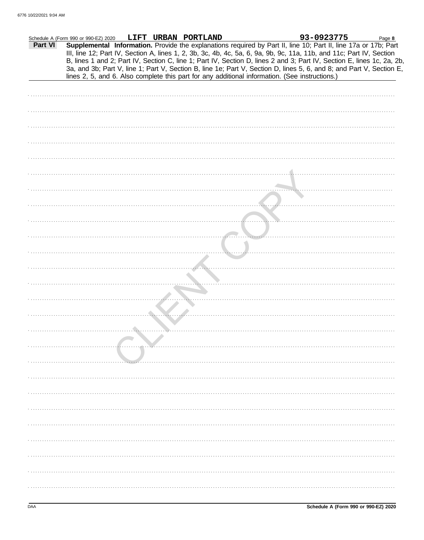|         | Schedule A (Form 990 or 990-EZ) 2020 |  | LIFT URBAN PORTLAND |                                                                                                                                                                                                                                                                                                                                                                   | 93-0923775 | Page 8 |
|---------|--------------------------------------|--|---------------------|-------------------------------------------------------------------------------------------------------------------------------------------------------------------------------------------------------------------------------------------------------------------------------------------------------------------------------------------------------------------|------------|--------|
| Part VI |                                      |  |                     | Supplemental Information. Provide the explanations required by Part II, line 10; Part II, line 17a or 17b; Part<br>III, line 12; Part IV, Section A, lines 1, 2, 3b, 3c, 4b, 4c, 5a, 6, 9a, 9b, 9c, 11a, 11b, and 11c; Part IV, Section<br>B, lines 1 and 2; Part IV, Section C, line 1; Part IV, Section D, lines 2 and 3; Part IV, Section E, lines 1c, 2a, 2b, |            |        |
|         |                                      |  |                     | 3a, and 3b; Part V, line 1; Part V, Section B, line 1e; Part V, Section D, lines 5, 6, and 8; and Part V, Section E,<br>lines 2, 5, and 6. Also complete this part for any additional information. (See instructions.)                                                                                                                                            |            |        |
|         |                                      |  |                     |                                                                                                                                                                                                                                                                                                                                                                   |            |        |
|         |                                      |  |                     |                                                                                                                                                                                                                                                                                                                                                                   |            |        |
|         |                                      |  |                     |                                                                                                                                                                                                                                                                                                                                                                   |            |        |
|         |                                      |  |                     |                                                                                                                                                                                                                                                                                                                                                                   |            |        |
|         |                                      |  |                     |                                                                                                                                                                                                                                                                                                                                                                   |            |        |
|         |                                      |  |                     |                                                                                                                                                                                                                                                                                                                                                                   |            |        |
|         |                                      |  |                     |                                                                                                                                                                                                                                                                                                                                                                   |            |        |
|         |                                      |  |                     |                                                                                                                                                                                                                                                                                                                                                                   |            |        |
|         |                                      |  |                     |                                                                                                                                                                                                                                                                                                                                                                   |            |        |
|         |                                      |  |                     |                                                                                                                                                                                                                                                                                                                                                                   |            |        |
|         |                                      |  |                     |                                                                                                                                                                                                                                                                                                                                                                   |            |        |
|         |                                      |  |                     |                                                                                                                                                                                                                                                                                                                                                                   |            |        |
|         |                                      |  |                     |                                                                                                                                                                                                                                                                                                                                                                   |            |        |
|         |                                      |  |                     |                                                                                                                                                                                                                                                                                                                                                                   |            |        |
|         |                                      |  |                     |                                                                                                                                                                                                                                                                                                                                                                   |            |        |
|         |                                      |  |                     |                                                                                                                                                                                                                                                                                                                                                                   |            |        |
|         |                                      |  |                     |                                                                                                                                                                                                                                                                                                                                                                   |            |        |
|         |                                      |  |                     |                                                                                                                                                                                                                                                                                                                                                                   |            |        |
|         |                                      |  |                     |                                                                                                                                                                                                                                                                                                                                                                   |            |        |
|         |                                      |  |                     |                                                                                                                                                                                                                                                                                                                                                                   |            |        |
|         |                                      |  |                     |                                                                                                                                                                                                                                                                                                                                                                   |            |        |
|         |                                      |  |                     |                                                                                                                                                                                                                                                                                                                                                                   |            |        |
|         |                                      |  |                     |                                                                                                                                                                                                                                                                                                                                                                   |            |        |
|         |                                      |  |                     |                                                                                                                                                                                                                                                                                                                                                                   |            |        |
|         |                                      |  |                     |                                                                                                                                                                                                                                                                                                                                                                   |            |        |
|         |                                      |  |                     |                                                                                                                                                                                                                                                                                                                                                                   |            |        |
|         |                                      |  |                     |                                                                                                                                                                                                                                                                                                                                                                   |            |        |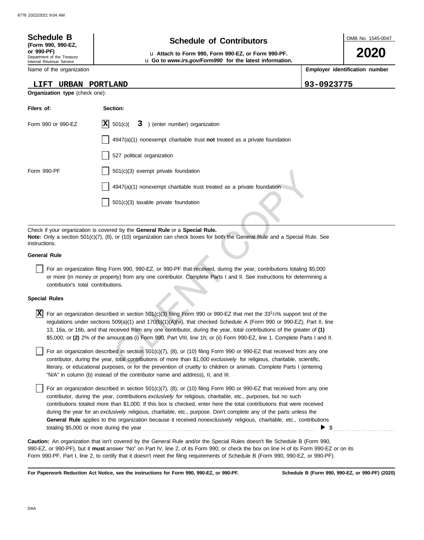| <b>Schedule B</b><br>(Form 990, 990-EZ,<br>or 990-PF)<br>Department of the Treasury<br>Internal Revenue Service | <b>Schedule of Contributors</b><br>u Attach to Form 990, Form 990-EZ, or Form 990-PF.<br>u Go to www.irs.gov/Form990 for the latest information.                                                                                                                                                                                                                                                                                                                                                                                                 | OMB No. 1545-0047<br>2020      |  |  |  |  |  |
|-----------------------------------------------------------------------------------------------------------------|--------------------------------------------------------------------------------------------------------------------------------------------------------------------------------------------------------------------------------------------------------------------------------------------------------------------------------------------------------------------------------------------------------------------------------------------------------------------------------------------------------------------------------------------------|--------------------------------|--|--|--|--|--|
| Name of the organization                                                                                        |                                                                                                                                                                                                                                                                                                                                                                                                                                                                                                                                                  | Employer identification number |  |  |  |  |  |
| LIFT                                                                                                            | URBAN PORTLAND                                                                                                                                                                                                                                                                                                                                                                                                                                                                                                                                   | 93-0923775                     |  |  |  |  |  |
| Organization type (check one):                                                                                  |                                                                                                                                                                                                                                                                                                                                                                                                                                                                                                                                                  |                                |  |  |  |  |  |
| Filers of:                                                                                                      | Section:                                                                                                                                                                                                                                                                                                                                                                                                                                                                                                                                         |                                |  |  |  |  |  |
| Form 990 or 990-EZ                                                                                              | $ \mathbf{X} $ 501(c)(<br>3 ) (enter number) organization                                                                                                                                                                                                                                                                                                                                                                                                                                                                                        |                                |  |  |  |  |  |
|                                                                                                                 | $4947(a)(1)$ nonexempt charitable trust not treated as a private foundation                                                                                                                                                                                                                                                                                                                                                                                                                                                                      |                                |  |  |  |  |  |
|                                                                                                                 | 527 political organization                                                                                                                                                                                                                                                                                                                                                                                                                                                                                                                       |                                |  |  |  |  |  |
| Form 990-PF                                                                                                     | $501(c)(3)$ exempt private foundation                                                                                                                                                                                                                                                                                                                                                                                                                                                                                                            |                                |  |  |  |  |  |
|                                                                                                                 | $4947(a)(1)$ nonexempt charitable trust treated as a private foundation                                                                                                                                                                                                                                                                                                                                                                                                                                                                          |                                |  |  |  |  |  |
|                                                                                                                 | $501(c)(3)$ taxable private foundation                                                                                                                                                                                                                                                                                                                                                                                                                                                                                                           |                                |  |  |  |  |  |
|                                                                                                                 |                                                                                                                                                                                                                                                                                                                                                                                                                                                                                                                                                  |                                |  |  |  |  |  |
| instructions.                                                                                                   | Check if your organization is covered by the General Rule or a Special Rule.<br>Note: Only a section 501(c)(7), (8), or (10) organization can check boxes for both the General Rule and a Special Rule. See                                                                                                                                                                                                                                                                                                                                      |                                |  |  |  |  |  |
| <b>General Rule</b>                                                                                             |                                                                                                                                                                                                                                                                                                                                                                                                                                                                                                                                                  |                                |  |  |  |  |  |
| contributor's total contributions.                                                                              | For an organization filing Form 990, 990-EZ, or 990-PF that received, during the year, contributions totaling \$5,000<br>or more (in money or property) from any one contributor. Complete Parts I and II. See instructions for determining a                                                                                                                                                                                                                                                                                                    |                                |  |  |  |  |  |
| <b>Special Rules</b>                                                                                            |                                                                                                                                                                                                                                                                                                                                                                                                                                                                                                                                                  |                                |  |  |  |  |  |
|                                                                                                                 | $\vert \overline{X} \vert$ For an organization described in section 501(c)(3) filing Form 990 or 990-EZ that met the 33 <sup>1</sup> /3% support test of the<br>regulations under sections 509(a)(1) and 170(b)(1)(A)(vi), that checked Schedule A (Form 990 or 990-EZ), Part II, line<br>13, 16a, or 16b, and that received from any one contributor, during the year, total contributions of the greater of (1)<br>\$5,000; or (2) 2% of the amount on (i) Form 990, Part VIII, line 1h; or (ii) Form 990-EZ, line 1. Complete Parts I and II. |                                |  |  |  |  |  |
|                                                                                                                 | For an organization described in section 501(c)(7), (8), or (10) filing Form 990 or 990-EZ that received from any one<br>contributor, during the year, total contributions of more than \$1,000 exclusively for religious, charitable, scientific,<br>literary, or educational purposes, or for the prevention of cruelty to children or animals. Complete Parts I (entering                                                                                                                                                                     |                                |  |  |  |  |  |

### **General Rule**

### **Special Rules**

literary, or educational purposes, or for the prevention of cruelty to children or animals. Complete Parts I (entering For an organization described in section 501(c)(7), (8), or (10) filing Form 990 or 990-EZ that received from any one contributor, during the year, total contributions of more than \$1,000 *exclusively* for religious, charitable, scientific, "N/A" in column (b) instead of the contributor name and address), II, and III.

For an organization described in section 501(c)(7), (8), or (10) filing Form 990 or 990-EZ that received from any one contributor, during the year, contributions *exclusively* for religious, charitable, etc., purposes, but no such contributions totaled more than \$1,000. If this box is checked, enter here the total contributions that were received during the year for an *exclusively* religious, charitable, etc., purpose. Don't complete any of the parts unless the **General Rule** applies to this organization because it received *nonexclusively* religious, charitable, etc., contributions totaling \$5,000 or more during the year . . . . . . . . . . . . . . . . . . . . . . . . . . . . . . . . . . . . . . . . . . . . . . . . . . . . . . . . . . . . . . . . . . . . . . . . . . . .  $\blacktriangleright$  \$

990-EZ, or 990-PF), but it **must** answer "No" on Part IV, line 2, of its Form 990; or check the box on line H of its Form 990-EZ or on its Form 990-PF, Part I, line 2, to certify that it doesn't meet the filing requirements of Schedule B (Form 990, 990-EZ, or 990-PF). **Caution:** An organization that isn't covered by the General Rule and/or the Special Rules doesn't file Schedule B (Form 990,

**For Paperwork Reduction Act Notice, see the instructions for Form 990, 990-EZ, or 990-PF.**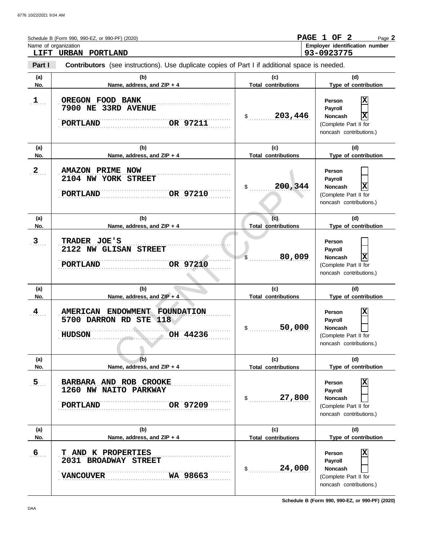|                       | Schedule B (Form 990, 990-EZ, or 990-PF) (2020)<br>Name of organization<br>LIFT URBAN PORTLAND                  |                                                       | PAGE 1 OF 2<br>Page 2<br>Employer identification number<br>93-0923775                                                |
|-----------------------|-----------------------------------------------------------------------------------------------------------------|-------------------------------------------------------|----------------------------------------------------------------------------------------------------------------------|
| Part I                | <b>Contributors</b> (see instructions). Use duplicate copies of Part I if additional space is needed.           |                                                       |                                                                                                                      |
| (a)<br>No.            | (b)<br>Name, address, and ZIP + 4                                                                               | (c)<br><b>Total contributions</b>                     | (d)<br>Type of contribution                                                                                          |
| $1$                   | OREGON FOOD BANK<br>7900 NE 33RD AVENUE<br>OR 97211<br>PORTLAND                                                 | 203,446<br>$\mathbb{S}$ and $\mathbb{S}$              | X<br>Person<br>Payroll<br>X<br><b>Noncash</b><br>(Complete Part II for<br>noncash contributions.)                    |
| (a)<br>No.            | (b)<br>Name, address, and ZIP + 4                                                                               | (c)<br><b>Total contributions</b>                     | (d)<br>Type of contribution                                                                                          |
| $\mathbf{2}$          | <b>NOW</b><br><b>AMAZON PRIME</b><br>2104 NW YORK STREET<br>OR 97210<br><b>PORTLAND</b>                         | 200,344<br>\$                                         | Person<br>Payroll<br>$\overline{\mathbf{x}}$<br><b>Noncash</b><br>(Complete Part II for<br>noncash contributions.)   |
| (a)<br>No.            | (b)<br>Name, address, and ZIP + 4                                                                               | (c)<br><b>Total contributions</b>                     | (d)<br>Type of contribution                                                                                          |
| 3 <sub>1</sub>        | TRADER JOE'S<br>2122 NW GLISAN STREET<br>OR 97210<br><b>PORTLAND</b>                                            | 80,009                                                | Person<br>Payroll<br>$\overline{\mathbf{x}}$<br><b>Noncash</b><br>(Complete Part II for<br>noncash contributions.)   |
| (a)<br>No.            | (b)<br>Name, address, and ZIP + 4                                                                               | (c)<br><b>Total contributions</b>                     | (d)<br>Type of contribution                                                                                          |
| $4_{\ldots}$          | <b>FOUNDATION</b><br><b>AMERICAN</b><br><b>ENDOWMENT</b><br>5700 DARRON RD STE 118<br>OH 44236<br><b>HUDSON</b> | 50,000<br>\$                                          | X<br>Person<br>Payroll<br>Noncash<br>(Complete Part II for<br>noncash contributions.)                                |
| (a)                   | (b)                                                                                                             | (c)                                                   | (d)                                                                                                                  |
| No.<br>5 <sub>1</sub> | Name, address, and ZIP + 4<br>BARBARA AND ROB CROOKE<br>1260 NW NAITO PARKWAY<br>OR 97209<br><b>PORTLAND</b>    | <b>Total contributions</b><br>27,800<br>$\mathsf{\$}$ | Type of contribution<br>Χ<br>Person<br>Payroll<br><b>Noncash</b><br>(Complete Part II for<br>noncash contributions.) |
| (a)<br>No.            | (b)<br>Name, address, and ZIP + 4                                                                               | (c)<br><b>Total contributions</b>                     | (d)<br>Type of contribution                                                                                          |
| 6                     | T AND K PROPERTIES<br>2031 BROADWAY STREET<br>WA 98663<br><b>VANCOUVER</b>                                      | 24,000<br>$\sim$                                      | X<br>Person<br>Payroll<br><b>Noncash</b><br>(Complete Part II for<br>noncash contributions.)                         |

**Schedule B (Form 990, 990-EZ, or 990-PF) (2020)**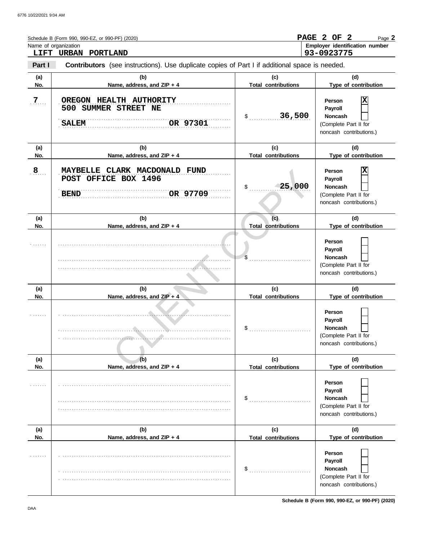|                | Schedule B (Form 990, 990-EZ, or 990-PF) (2020)<br>Name of organization<br>LIFT URBAN PORTLAND        |                                   | PAGE 2 OF 2<br>Page 2<br>Employer identification number<br>93-0923775                        |
|----------------|-------------------------------------------------------------------------------------------------------|-----------------------------------|----------------------------------------------------------------------------------------------|
| Part I         | <b>Contributors</b> (see instructions). Use duplicate copies of Part I if additional space is needed. |                                   |                                                                                              |
| (a)<br>No.     | (b)<br>Name, address, and ZIP + 4                                                                     | (c)<br><b>Total contributions</b> | (d)<br>Type of contribution                                                                  |
| 7 <sub>1</sub> | OREGON HEALTH AUTHORITY<br>500 SUMMER STREET NE<br>OR 97301<br><b>SALEM</b>                           | 36,500<br>$\sim$                  | Х<br>Person<br>Payroll<br><b>Noncash</b><br>(Complete Part II for<br>noncash contributions.) |
| (a)<br>No.     | (b)<br>Name, address, and ZIP + 4                                                                     | (c)<br><b>Total contributions</b> | (d)<br>Type of contribution                                                                  |
| 8              | MAYBELLE CLARK MACDONALD FUND<br>POST OFFICE BOX 1496<br>OR 97709<br><b>BEND</b>                      | 25,000<br>\$                      | Person<br>Payroll<br><b>Noncash</b><br>(Complete Part II for<br>noncash contributions.)      |
| (a)<br>No.     | (b)<br>Name, address, and ZIP + 4                                                                     | (c)<br><b>Total contributions</b> | (d)<br>Type of contribution                                                                  |
|                |                                                                                                       | \$                                | Person<br>Payroll<br><b>Noncash</b><br>(Complete Part II for<br>noncash contributions.)      |
| (a)<br>No.     | (b)<br>Name, address, and ZIP + 4                                                                     | (c)<br><b>Total contributions</b> | (d)<br>Type of contribution                                                                  |
|                |                                                                                                       | \$                                | Person<br>Payroll<br><b>Noncash</b><br>(Complete Part II for<br>noncash contributions.)      |
| (a)<br>No.     | (b)<br>Name, address, and ZIP + 4                                                                     | (c)<br><b>Total contributions</b> | (d)<br>Type of contribution                                                                  |
|                |                                                                                                       | \$                                | Person<br>Payroll<br><b>Noncash</b><br>(Complete Part II for<br>noncash contributions.)      |
| (a)<br>No.     | (b)<br>Name, address, and ZIP + 4                                                                     | (c)<br><b>Total contributions</b> | (d)<br>Type of contribution                                                                  |
|                |                                                                                                       | \$                                | Person<br>Payroll<br>Noncash<br>(Complete Part II for<br>noncash contributions.)             |

**Schedule B (Form 990, 990-EZ, or 990-PF) (2020)**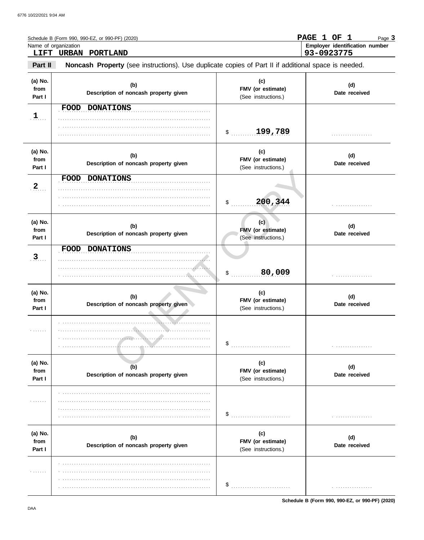|                           | Schedule B (Form 990, 990-EZ, or 990-PF) (2020)<br>Name of organization<br>LIFT URBAN<br>PORTLAND   |                                                 | PAGE 1 OF 1<br>Page 3<br>Employer identification number<br>93-0923775 |
|---------------------------|-----------------------------------------------------------------------------------------------------|-------------------------------------------------|-----------------------------------------------------------------------|
| Part II                   | Noncash Property (see instructions). Use duplicate copies of Part II if additional space is needed. |                                                 |                                                                       |
| (a) No.<br>from<br>Part I | (b)<br>Description of noncash property given                                                        | (c)<br>FMV (or estimate)<br>(See instructions.) | (d)<br>Date received                                                  |
| $\frac{1}{2}$             | FOOD DONATIONS                                                                                      | 199,789<br>$\mathsf{\$}$                        |                                                                       |
| (a) No.<br>from<br>Part I | (b)<br>Description of noncash property given                                                        | (c)<br>FMV (or estimate)<br>(See instructions.) | (d)<br>Date received                                                  |
| 2                         | FOOD DONATIONS                                                                                      | 200,344<br>$\mathcal{S}$ .                      |                                                                       |
| (a) No.<br>from<br>Part I | (b)<br>Description of noncash property given                                                        | (c)<br>FMV (or estimate)<br>(See instructions.) | (d)<br>Date received                                                  |
| 3                         | <b>FOOD</b><br><b>DONATIONS</b><br>. <i>.</i>                                                       | 80,009<br>$\mathsf{\$}$                         |                                                                       |
| (a) No.<br>from<br>Part I | (b)<br>Description of noncash property given                                                        | (c)<br>FMV (or estimate)<br>(See instructions.) | (d)<br>Date received                                                  |
| <b>Carlo Land</b>         | .                                                                                                   | \$                                              |                                                                       |
| (a) No.<br>from<br>Part I | (b)<br>Description of noncash property given                                                        | (c)<br>FMV (or estimate)<br>(See instructions.) | (d)<br>Date received                                                  |
| .                         |                                                                                                     | \$                                              |                                                                       |
| (a) No.<br>from<br>Part I | (b)<br>Description of noncash property given                                                        | (c)<br>FMV (or estimate)<br>(See instructions.) | (d)<br>Date received                                                  |
| .                         |                                                                                                     | \$                                              |                                                                       |

Schedule B (Form 990, 990-EZ, or 990-PF) (2020)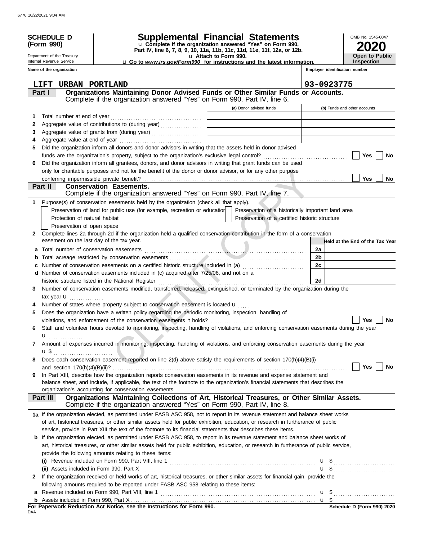|    | <b>SCHEDULE D</b><br>(Form 990)                        |                                                                                                                                                                                                                                | <b>Supplemental Financial Statements</b><br>u Complete if the organization answered "Yes" on Form 990, | OMB No. 1545-0047                          |
|----|--------------------------------------------------------|--------------------------------------------------------------------------------------------------------------------------------------------------------------------------------------------------------------------------------|--------------------------------------------------------------------------------------------------------|--------------------------------------------|
|    |                                                        |                                                                                                                                                                                                                                | Part IV, line 6, 7, 8, 9, 10, 11a, 11b, 11c, 11d, 11e, 11f, 12a, or 12b.                               |                                            |
|    | Department of the Treasury<br>Internal Revenue Service |                                                                                                                                                                                                                                | u Attach to Form 990.<br>u Go to www.irs.gov/Form990 for instructions and the latest information.      | <b>Open to Public</b><br><b>Inspection</b> |
|    | Name of the organization                               |                                                                                                                                                                                                                                |                                                                                                        | Employer identification number             |
|    |                                                        |                                                                                                                                                                                                                                |                                                                                                        |                                            |
|    | URBAN PORTLAND<br>LIFT                                 |                                                                                                                                                                                                                                |                                                                                                        | 93-0923775                                 |
|    | <b>Part I</b>                                          | Organizations Maintaining Donor Advised Funds or Other Similar Funds or Accounts.<br>Complete if the organization answered "Yes" on Form 990, Part IV, line 6.                                                                 |                                                                                                        |                                            |
|    |                                                        |                                                                                                                                                                                                                                | (a) Donor advised funds                                                                                | (b) Funds and other accounts               |
| 1  |                                                        |                                                                                                                                                                                                                                |                                                                                                        |                                            |
| 2  |                                                        | Aggregate value of contributions to (during year)                                                                                                                                                                              |                                                                                                        |                                            |
| 3  |                                                        | Aggregate value of grants from (during year)                                                                                                                                                                                   | <u> 1989 - Andrea Station Barbara, amerikan per</u>                                                    |                                            |
| 4  |                                                        |                                                                                                                                                                                                                                |                                                                                                        |                                            |
| 5  |                                                        | Did the organization inform all donors and donor advisors in writing that the assets held in donor advised                                                                                                                     |                                                                                                        |                                            |
|    |                                                        |                                                                                                                                                                                                                                |                                                                                                        | Yes<br>No                                  |
| 6  |                                                        | Did the organization inform all grantees, donors, and donor advisors in writing that grant funds can be used                                                                                                                   |                                                                                                        |                                            |
|    |                                                        | only for charitable purposes and not for the benefit of the donor or donor advisor, or for any other purpose                                                                                                                   |                                                                                                        |                                            |
|    |                                                        |                                                                                                                                                                                                                                |                                                                                                        | <b>Yes</b><br>No.                          |
|    | <b>Part II</b>                                         | <b>Conservation Easements.</b>                                                                                                                                                                                                 |                                                                                                        |                                            |
|    |                                                        | Complete if the organization answered "Yes" on Form 990, Part IV, line 7.                                                                                                                                                      |                                                                                                        |                                            |
| 1. |                                                        | Purpose(s) of conservation easements held by the organization (check all that apply).                                                                                                                                          |                                                                                                        |                                            |
|    |                                                        | Preservation of land for public use (for example, recreation or education                                                                                                                                                      | Preservation of a historically important land area                                                     |                                            |
|    | Protection of natural habitat                          |                                                                                                                                                                                                                                | Preservation of a certified historic structure                                                         |                                            |
| 2  | Preservation of open space                             | Complete lines 2a through 2d if the organization held a qualified conservation contribution in the form of a conservation                                                                                                      |                                                                                                        |                                            |
|    | easement on the last day of the tax year.              |                                                                                                                                                                                                                                |                                                                                                        | Held at the End of the Tax Year            |
|    |                                                        |                                                                                                                                                                                                                                |                                                                                                        | 2a                                         |
| b  |                                                        |                                                                                                                                                                                                                                |                                                                                                        | 2 <sub>b</sub>                             |
|    |                                                        |                                                                                                                                                                                                                                |                                                                                                        | 2c                                         |
|    |                                                        | d Number of conservation easements included in (c) acquired after 7/25/06, and not on a                                                                                                                                        |                                                                                                        |                                            |
|    |                                                        | historic structure listed in the National Register [111] [12] Martin Martin Martin Martin Martin Martin Martin Martin Martin Martin Martin Martin Martin Martin Martin Martin Martin Martin Martin Martin Martin Martin Martin |                                                                                                        | 2d                                         |
| 3  |                                                        | Number of conservation easements modified, transferred, released, extinguished, or terminated by the organization during the                                                                                                   |                                                                                                        |                                            |
|    | tax year $\mathbf u$                                   |                                                                                                                                                                                                                                |                                                                                                        |                                            |
|    |                                                        | Number of states where property subject to conservation easement is located <b>u</b>                                                                                                                                           |                                                                                                        |                                            |
| 5  |                                                        | Does the organization have a written policy regarding the periodic monitoring, inspection, handling of                                                                                                                         |                                                                                                        |                                            |
|    |                                                        |                                                                                                                                                                                                                                |                                                                                                        | Yes<br>No                                  |
| 6  |                                                        | Staff and volunteer hours devoted to monitoring, inspecting, handling of violations, and enforcing conservation easements during the year                                                                                      |                                                                                                        |                                            |
| 7  |                                                        | Amount of expenses incurred in monitoring, inspecting, handling of violations, and enforcing conservation easements during the year                                                                                            |                                                                                                        |                                            |
|    | $\mathbf{u}$ \$                                        |                                                                                                                                                                                                                                |                                                                                                        |                                            |
| 8  |                                                        | Does each conservation easement reported on line 2(d) above satisfy the requirements of section 170(h)(4)(B)(i)                                                                                                                |                                                                                                        |                                            |
|    |                                                        |                                                                                                                                                                                                                                |                                                                                                        | <b>Yes</b><br>No                           |
| 9  |                                                        | In Part XIII, describe how the organization reports conservation easements in its revenue and expense statement and                                                                                                            |                                                                                                        |                                            |
|    |                                                        | balance sheet, and include, if applicable, the text of the footnote to the organization's financial statements that describes the                                                                                              |                                                                                                        |                                            |
|    |                                                        | organization's accounting for conservation easements.                                                                                                                                                                          |                                                                                                        |                                            |
|    | Part III                                               | Organizations Maintaining Collections of Art, Historical Treasures, or Other Similar Assets.<br>Complete if the organization answered "Yes" on Form 990, Part IV, line 8.                                                      |                                                                                                        |                                            |
|    |                                                        | 1a If the organization elected, as permitted under FASB ASC 958, not to report in its revenue statement and balance sheet works                                                                                                |                                                                                                        |                                            |
|    |                                                        | of art, historical treasures, or other similar assets held for public exhibition, education, or research in furtherance of public                                                                                              |                                                                                                        |                                            |
|    |                                                        | service, provide in Part XIII the text of the footnote to its financial statements that describes these items.                                                                                                                 |                                                                                                        |                                            |
|    |                                                        | <b>b</b> If the organization elected, as permitted under FASB ASC 958, to report in its revenue statement and balance sheet works of                                                                                           |                                                                                                        |                                            |
|    |                                                        | art, historical treasures, or other similar assets held for public exhibition, education, or research in furtherance of public service,                                                                                        |                                                                                                        |                                            |
|    |                                                        | provide the following amounts relating to these items:                                                                                                                                                                         |                                                                                                        |                                            |
|    |                                                        |                                                                                                                                                                                                                                |                                                                                                        |                                            |
|    |                                                        |                                                                                                                                                                                                                                |                                                                                                        |                                            |
| 2  |                                                        | If the organization received or held works of art, historical treasures, or other similar assets for financial gain, provide the                                                                                               |                                                                                                        |                                            |
|    |                                                        | following amounts required to be reported under FASB ASC 958 relating to these items:                                                                                                                                          |                                                                                                        |                                            |
|    |                                                        | <b>a</b> Revenue included on Form 990, Part VIII, line 1 $\ldots$ $\ldots$ $\ldots$ $\ldots$ $\ldots$ $\ldots$ $\ldots$ $\ldots$ $\ldots$ $\ldots$                                                                             |                                                                                                        |                                            |
|    |                                                        |                                                                                                                                                                                                                                |                                                                                                        |                                            |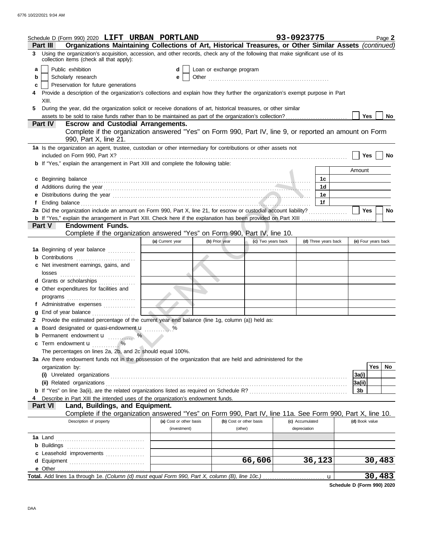| Schedule D (Form 990) 2020 LIFT URBAN PORTLAND                                                                                                                                    |                         |                          |                         | 93-0923775           |                     | Page 2    |
|-----------------------------------------------------------------------------------------------------------------------------------------------------------------------------------|-------------------------|--------------------------|-------------------------|----------------------|---------------------|-----------|
| Organizations Maintaining Collections of Art, Historical Treasures, or Other Similar Assets (continued)<br>Part III                                                               |                         |                          |                         |                      |                     |           |
| Using the organization's acquisition, accession, and other records, check any of the following that make significant use of its<br>3.<br>collection items (check all that apply): |                         |                          |                         |                      |                     |           |
| Public exhibition<br>a                                                                                                                                                            | d                       | Loan or exchange program |                         |                      |                     |           |
| Scholarly research<br>b                                                                                                                                                           | е                       |                          |                         |                      |                     |           |
| Preservation for future generations<br>С                                                                                                                                          |                         |                          |                         |                      |                     |           |
| Provide a description of the organization's collections and explain how they further the organization's exempt purpose in Part                                                    |                         |                          |                         |                      |                     |           |
| XIII.                                                                                                                                                                             |                         |                          |                         |                      |                     |           |
| During the year, did the organization solicit or receive donations of art, historical treasures, or other similar<br>5.                                                           |                         |                          |                         |                      |                     |           |
|                                                                                                                                                                                   |                         |                          |                         |                      | Yes                 | No        |
| <b>Escrow and Custodial Arrangements.</b><br><b>Part IV</b>                                                                                                                       |                         |                          |                         |                      |                     |           |
| Complete if the organization answered "Yes" on Form 990, Part IV, line 9, or reported an amount on Form                                                                           |                         |                          |                         |                      |                     |           |
| 990, Part X, line 21.                                                                                                                                                             |                         |                          |                         |                      |                     |           |
| 1a Is the organization an agent, trustee, custodian or other intermediary for contributions or other assets not                                                                   |                         |                          |                         |                      |                     |           |
|                                                                                                                                                                                   |                         |                          |                         |                      | <b>Yes</b>          | No        |
| b If "Yes," explain the arrangement in Part XIII and complete the following table:                                                                                                |                         |                          |                         |                      |                     |           |
|                                                                                                                                                                                   |                         |                          |                         |                      | Amount              |           |
| c Beginning balance                                                                                                                                                               |                         |                          |                         | 1c                   |                     |           |
|                                                                                                                                                                                   |                         |                          |                         | 1d                   |                     |           |
|                                                                                                                                                                                   |                         |                          |                         | 1e                   |                     |           |
| Ť.                                                                                                                                                                                |                         |                          |                         | 1f                   |                     |           |
| 2a Did the organization include an amount on Form 990, Part X, line 21, for escrow or custodial account liability?                                                                |                         |                          |                         |                      | Yes                 | <b>No</b> |
|                                                                                                                                                                                   |                         |                          |                         |                      |                     |           |
| <b>Endowment Funds.</b><br><b>Part V</b>                                                                                                                                          |                         |                          |                         |                      |                     |           |
| Complete if the organization answered "Yes" on Form 990, Part IV, line 10.                                                                                                        |                         |                          |                         |                      |                     |           |
|                                                                                                                                                                                   | (a) Current year        | (b) Prior year           | (c) Two years back      | (d) Three years back | (e) Four years back |           |
| 1a Beginning of year balance                                                                                                                                                      |                         |                          |                         |                      |                     |           |
| <b>b</b> Contributions                                                                                                                                                            |                         |                          |                         |                      |                     |           |
| c Net investment earnings, gains, and                                                                                                                                             |                         |                          |                         |                      |                     |           |
|                                                                                                                                                                                   |                         |                          |                         |                      |                     |           |
| d Grants or scholarships                                                                                                                                                          |                         |                          |                         |                      |                     |           |
| e Other expenditures for facilities and                                                                                                                                           |                         |                          |                         |                      |                     |           |
| programs                                                                                                                                                                          |                         |                          |                         |                      |                     |           |
| f Administrative expenses                                                                                                                                                         |                         |                          |                         |                      |                     |           |
| End of year balance<br>g                                                                                                                                                          |                         |                          |                         |                      |                     |           |
| Provide the estimated percentage of the current year end balance (line 1g, column (a)) held as:                                                                                   |                         |                          |                         |                      |                     |           |
| a Board designated or quasi-endowment u                                                                                                                                           |                         |                          |                         |                      |                     |           |
|                                                                                                                                                                                   |                         |                          |                         |                      |                     |           |
| c Term endowment u<br>$\ldots \ldots \overset{\circ}{\phantom{a}}$                                                                                                                |                         |                          |                         |                      |                     |           |
| The percentages on lines 2a, 2b, and 2c should equal 100%.                                                                                                                        |                         |                          |                         |                      |                     |           |
| 3a Are there endowment funds not in the possession of the organization that are held and administered for the                                                                     |                         |                          |                         |                      |                     |           |
| organization by:                                                                                                                                                                  |                         |                          |                         |                      | Yes                 | No        |
|                                                                                                                                                                                   |                         |                          |                         |                      | 3a(i)               |           |
|                                                                                                                                                                                   |                         |                          |                         |                      | 3a(ii)              |           |
|                                                                                                                                                                                   |                         |                          |                         |                      | 3b                  |           |
| Describe in Part XIII the intended uses of the organization's endowment funds.                                                                                                    |                         |                          |                         |                      |                     |           |
| Land, Buildings, and Equipment.<br><b>Part VI</b>                                                                                                                                 |                         |                          |                         |                      |                     |           |
| Complete if the organization answered "Yes" on Form 990, Part IV, line 11a. See Form 990, Part X, line 10.                                                                        |                         |                          |                         |                      |                     |           |
| Description of property                                                                                                                                                           | (a) Cost or other basis |                          | (b) Cost or other basis | (c) Accumulated      | (d) Book value      |           |
|                                                                                                                                                                                   | (investment)            |                          | (other)                 | depreciation         |                     |           |
|                                                                                                                                                                                   |                         |                          |                         |                      |                     |           |
|                                                                                                                                                                                   |                         |                          |                         |                      |                     |           |
| c Leasehold improvements                                                                                                                                                          |                         |                          |                         |                      |                     |           |
|                                                                                                                                                                                   |                         |                          | 66,606                  | 36,123               | 30,483              |           |
|                                                                                                                                                                                   |                         |                          |                         |                      |                     |           |
| Total. Add lines 1a through 1e. (Column (d) must equal Form 990, Part X, column (B), line 10c.)                                                                                   |                         |                          |                         |                      | 30,483<br>u         |           |
|                                                                                                                                                                                   |                         |                          |                         |                      |                     |           |

**Schedule D (Form 990) 2020**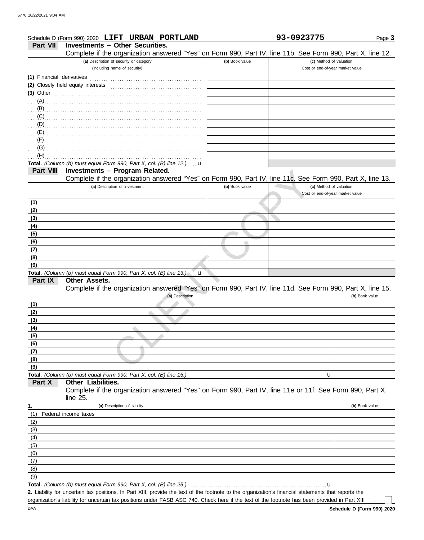|                           | Schedule D (Form 990) 2020 LIFT URBAN PORTLAND                                                                                                       |                | 93-0923775                       | Page 3         |
|---------------------------|------------------------------------------------------------------------------------------------------------------------------------------------------|----------------|----------------------------------|----------------|
| <b>Part VII</b>           | <b>Investments - Other Securities.</b>                                                                                                               |                |                                  |                |
|                           | Complete if the organization answered "Yes" on Form 990, Part IV, line 11b. See Form 990, Part X, line 12.                                           |                |                                  |                |
|                           | (a) Description of security or category                                                                                                              | (b) Book value | (c) Method of valuation:         |                |
|                           | (including name of security)                                                                                                                         |                | Cost or end-of-year market value |                |
| (1) Financial derivatives |                                                                                                                                                      |                |                                  |                |
|                           | (2) Closely held equity interests                                                                                                                    |                |                                  |                |
|                           | $(3)$ Other                                                                                                                                          |                |                                  |                |
|                           |                                                                                                                                                      |                |                                  |                |
| $\ldots$ (B)              |                                                                                                                                                      |                |                                  |                |
| (C)                       |                                                                                                                                                      |                |                                  |                |
| $\ldots$ (D)              |                                                                                                                                                      |                |                                  |                |
| (E)                       |                                                                                                                                                      |                |                                  |                |
| (F)                       |                                                                                                                                                      |                |                                  |                |
| (G)                       |                                                                                                                                                      |                |                                  |                |
| (H)                       |                                                                                                                                                      |                |                                  |                |
|                           | Total. (Column (b) must equal Form 990, Part X, col. (B) line 12.)<br>u                                                                              |                |                                  |                |
| <b>Part VIII</b>          | Investments - Program Related.<br>Complete if the organization answered "Yes" on Form 990, Part IV, line 11c. See Form 990, Part X, line 13.         |                |                                  |                |
|                           | (a) Description of investment                                                                                                                        | (b) Book value | (c) Method of valuation:         |                |
|                           |                                                                                                                                                      |                | Cost or end-of-year market value |                |
| (1)                       |                                                                                                                                                      |                |                                  |                |
| (2)                       |                                                                                                                                                      |                |                                  |                |
| (3)                       |                                                                                                                                                      |                |                                  |                |
| (4)                       |                                                                                                                                                      |                |                                  |                |
| (5)                       |                                                                                                                                                      |                |                                  |                |
| (6)                       |                                                                                                                                                      |                |                                  |                |
| (7)                       |                                                                                                                                                      |                |                                  |                |
| (8)                       |                                                                                                                                                      |                |                                  |                |
| (9)                       |                                                                                                                                                      |                |                                  |                |
|                           | Total. (Column (b) must equal Form 990, Part X, col. (B) line 13.)<br>u                                                                              |                |                                  |                |
| Part IX                   | <b>Other Assets.</b>                                                                                                                                 |                |                                  |                |
|                           | Complete if the organization answered "Yes" on Form 990, Part IV, line 11d. See Form 990, Part X, line 15.                                           |                |                                  |                |
|                           | (a) Description                                                                                                                                      |                |                                  | (b) Book value |
| (1)                       |                                                                                                                                                      |                |                                  |                |
| (2)                       |                                                                                                                                                      |                |                                  |                |
| (3)                       |                                                                                                                                                      |                |                                  |                |
| <u>(4)</u>                |                                                                                                                                                      |                |                                  |                |
| (5)                       |                                                                                                                                                      |                |                                  |                |
| (6)                       |                                                                                                                                                      |                |                                  |                |
| (7)                       |                                                                                                                                                      |                |                                  |                |
| (8)                       |                                                                                                                                                      |                |                                  |                |
| (9)                       | Total. (Column (b) must equal Form 990, Part X, col. (B) line 15.)                                                                                   |                |                                  |                |
| Part X                    | Other Liabilities.                                                                                                                                   |                | u                                |                |
|                           | Complete if the organization answered "Yes" on Form 990, Part IV, line 11e or 11f. See Form 990, Part X,                                             |                |                                  |                |
|                           | line 25.                                                                                                                                             |                |                                  |                |
| 1.                        | (a) Description of liability                                                                                                                         |                |                                  | (b) Book value |
| (1)                       | Federal income taxes                                                                                                                                 |                |                                  |                |
| (2)                       |                                                                                                                                                      |                |                                  |                |
| (3)                       |                                                                                                                                                      |                |                                  |                |
| (4)                       |                                                                                                                                                      |                |                                  |                |
| (5)                       |                                                                                                                                                      |                |                                  |                |
| (6)                       |                                                                                                                                                      |                |                                  |                |
| (7)                       |                                                                                                                                                      |                |                                  |                |
| (8)                       |                                                                                                                                                      |                |                                  |                |
| (9)                       |                                                                                                                                                      |                |                                  |                |
|                           | Total. (Column (b) must equal Form 990, Part X, col. (B) line 25.)                                                                                   |                | u                                |                |
|                           | 2. Liability for uncertain tax positions. In Part XIII, provide the text of the footnote to the organization's financial statements that reports the |                |                                  |                |

organization's liability for uncertain tax positions under FASB ASC 740. Check here if the text of the footnote has been provided in Part XIII . . . . . .

 $\mathop{\Box}$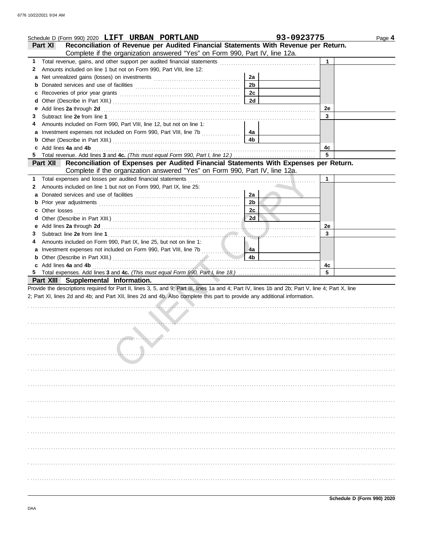|    | Schedule D (Form 990) 2020 LIFT URBAN PORTLAND                                                                                                                                                                                |                | 93-0923775 | Page 4 |
|----|-------------------------------------------------------------------------------------------------------------------------------------------------------------------------------------------------------------------------------|----------------|------------|--------|
|    | Reconciliation of Revenue per Audited Financial Statements With Revenue per Return.<br>Part XI                                                                                                                                |                |            |        |
|    | Complete if the organization answered "Yes" on Form 990, Part IV, line 12a.                                                                                                                                                   |                |            |        |
| 1. |                                                                                                                                                                                                                               |                | 1          |        |
| 2  | Amounts included on line 1 but not on Form 990, Part VIII, line 12:                                                                                                                                                           |                |            |        |
| a  |                                                                                                                                                                                                                               | 2a             |            |        |
| b  |                                                                                                                                                                                                                               | 2 <sub>b</sub> |            |        |
| с  | Recoveries of prior year grants [11] Recoveries of prior year grants                                                                                                                                                          | 2c             |            |        |
| d  |                                                                                                                                                                                                                               | 2d             |            |        |
| е  | Add lines 2a through 2d [11] Additional Property and Property and Property and Property and Property and Property and Property and Property and Property and Property and Property and Property and Property and Property and |                | 2e         |        |
| 3  |                                                                                                                                                                                                                               |                | 3          |        |
| 4  | Amounts included on Form 990, Part VIII, line 12, but not on line 1:                                                                                                                                                          |                |            |        |
|    |                                                                                                                                                                                                                               | 4a             |            |        |
|    |                                                                                                                                                                                                                               | 4b             |            |        |
|    | Add lines 4a and 4b                                                                                                                                                                                                           |                | 4с         |        |
| 5  |                                                                                                                                                                                                                               |                | 5          |        |
|    | Reconciliation of Expenses per Audited Financial Statements With Expenses per Return.<br>Part XII                                                                                                                             |                |            |        |
|    | Complete if the organization answered "Yes" on Form 990, Part IV, line 12a.                                                                                                                                                   |                |            |        |
| 1. | Total expenses and losses per audited financial statements                                                                                                                                                                    |                | 1          |        |
| 2  | Amounts included on line 1 but not on Form 990, Part IX, line 25:                                                                                                                                                             |                |            |        |
| а  |                                                                                                                                                                                                                               | 2a             |            |        |
| b  |                                                                                                                                                                                                                               | 2 <sub>b</sub> |            |        |
| c  | Other losses                                                                                                                                                                                                                  | 2c             |            |        |
| d  |                                                                                                                                                                                                                               | 2d             |            |        |
| е  |                                                                                                                                                                                                                               |                | 2e         |        |
| З  |                                                                                                                                                                                                                               | . <i>.</i>     | 3          |        |
| 4  | Amounts included on Form 990, Part IX, line 25, but not on line 1:                                                                                                                                                            |                |            |        |
| a  |                                                                                                                                                                                                                               | 4a             |            |        |
|    | b Other (Describe in Part XIII.) [10] Matter and Matter and Matter and Matter and Matter and Matter and Matter                                                                                                                | 4b             |            |        |
|    | c Add lines 4a and 4b                                                                                                                                                                                                         |                | 4c         |        |
| 5  |                                                                                                                                                                                                                               |                | 5          |        |
|    | Part XIII Supplemental Information.                                                                                                                                                                                           |                |            |        |
|    | Provide the descriptions required for Part II, lines 3, 5, and 9; Part III, lines 1a and 4; Part IV, lines 1b and 2b; Part V, line 4; Part X, line                                                                            |                |            |        |
|    | 2; Part XI, lines 2d and 4b; and Part XII, lines 2d and 4b. Also complete this part to provide any additional information.                                                                                                    |                |            |        |
|    |                                                                                                                                                                                                                               |                |            |        |
|    |                                                                                                                                                                                                                               |                |            |        |
|    | .                                                                                                                                                                                                                             |                |            |        |
|    |                                                                                                                                                                                                                               |                |            |        |
|    |                                                                                                                                                                                                                               |                |            |        |
|    |                                                                                                                                                                                                                               |                |            |        |
|    |                                                                                                                                                                                                                               |                |            |        |
|    |                                                                                                                                                                                                                               |                |            |        |
|    |                                                                                                                                                                                                                               |                |            |        |
|    |                                                                                                                                                                                                                               |                |            |        |
|    |                                                                                                                                                                                                                               |                |            |        |
|    |                                                                                                                                                                                                                               |                |            |        |
|    |                                                                                                                                                                                                                               |                |            |        |
|    |                                                                                                                                                                                                                               |                |            |        |
|    |                                                                                                                                                                                                                               |                |            |        |
|    |                                                                                                                                                                                                                               |                |            |        |
|    |                                                                                                                                                                                                                               |                |            |        |
|    |                                                                                                                                                                                                                               |                |            |        |
|    |                                                                                                                                                                                                                               |                |            |        |
|    |                                                                                                                                                                                                                               |                |            |        |
|    |                                                                                                                                                                                                                               |                |            |        |
|    |                                                                                                                                                                                                                               |                |            |        |
|    |                                                                                                                                                                                                                               |                |            |        |
|    |                                                                                                                                                                                                                               |                |            |        |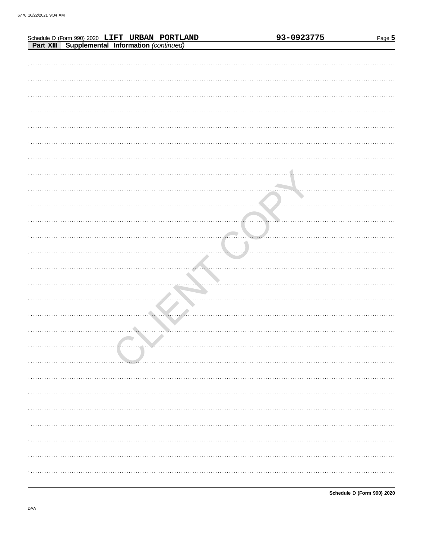| Schedule D (Form 990) 2020 LIFT URBAN PORTLAND<br>Part XIII Supplemental Information (continued) | 93-0923775 | Page 5 |
|--------------------------------------------------------------------------------------------------|------------|--------|
|                                                                                                  |            |        |
|                                                                                                  |            |        |
|                                                                                                  |            |        |
|                                                                                                  |            |        |
|                                                                                                  |            |        |
|                                                                                                  |            |        |
|                                                                                                  |            |        |
|                                                                                                  |            |        |
|                                                                                                  |            |        |
|                                                                                                  |            |        |
|                                                                                                  |            |        |
|                                                                                                  |            |        |
|                                                                                                  |            |        |
|                                                                                                  |            |        |
|                                                                                                  |            |        |
|                                                                                                  |            |        |
|                                                                                                  |            |        |
|                                                                                                  |            |        |
|                                                                                                  |            |        |
|                                                                                                  |            |        |
|                                                                                                  |            |        |
|                                                                                                  |            |        |
|                                                                                                  |            |        |
|                                                                                                  |            |        |
|                                                                                                  |            |        |
|                                                                                                  |            |        |
|                                                                                                  |            |        |
|                                                                                                  |            |        |
|                                                                                                  |            |        |
|                                                                                                  |            |        |
|                                                                                                  |            |        |
|                                                                                                  |            |        |
|                                                                                                  |            |        |
|                                                                                                  |            |        |
|                                                                                                  |            |        |
|                                                                                                  |            |        |
|                                                                                                  |            |        |
|                                                                                                  |            |        |
|                                                                                                  |            |        |
|                                                                                                  |            |        |
|                                                                                                  |            |        |
|                                                                                                  |            |        |
|                                                                                                  |            |        |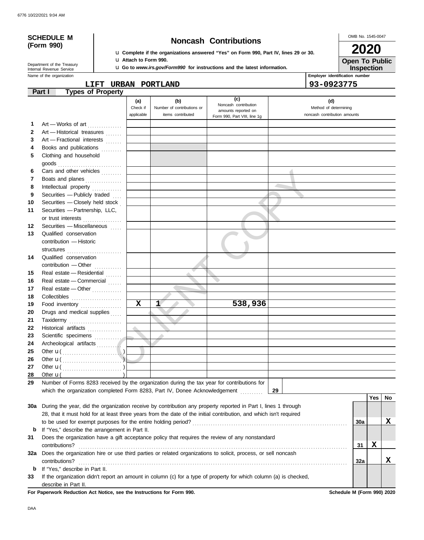# **(Form 990)**

Internal Revenue Service Department of the Treasury

## **SCHEDULE M Noncash Contributions**

u **Complete if the organizations answered "Yes" on Form 990, Part IV, lines 29 or 30.** u **Attach to Form 990.**

u **Go to** *www.irs.gov/Form990* **for instructions and the latest information.**

OMB No. 1545-0047 **2020**

**Open To Public**

Name of the organization **Employer identification number Employer identification number Inspection**

**LIFT URBAN PORTLAND 93-0923775**

|    | <b>Types of Property</b><br>Part I                                                                                 |              |                            |                              |                              |     |     |    |
|----|--------------------------------------------------------------------------------------------------------------------|--------------|----------------------------|------------------------------|------------------------------|-----|-----|----|
|    |                                                                                                                    | (a)          | (b)                        | (c)<br>Noncash contribution  | (d)                          |     |     |    |
|    |                                                                                                                    | Check if     | Number of contributions or | amounts reported on          | Method of determining        |     |     |    |
|    |                                                                                                                    | applicable   | items contributed          | Form 990, Part VIII, line 1g | noncash contribution amounts |     |     |    |
| 1  | Art - Works of art                                                                                                 |              |                            |                              |                              |     |     |    |
| 2  | Art - Historical treasures                                                                                         |              |                            |                              |                              |     |     |    |
| 3  | Art - Fractional interests                                                                                         |              |                            |                              |                              |     |     |    |
| 4  | Books and publications<br>.                                                                                        |              |                            |                              |                              |     |     |    |
| 5  | Clothing and household                                                                                             |              |                            |                              |                              |     |     |    |
|    | goods                                                                                                              |              |                            |                              |                              |     |     |    |
| 6  | Cars and other vehicles                                                                                            |              |                            |                              |                              |     |     |    |
| 7  | Boats and planes                                                                                                   |              |                            |                              |                              |     |     |    |
| 8  | Intellectual property                                                                                              |              |                            |                              |                              |     |     |    |
| 9  | Securities - Publicly traded                                                                                       |              |                            |                              |                              |     |     |    |
| 10 | Securities - Closely held stock                                                                                    |              |                            |                              |                              |     |     |    |
| 11 | Securities - Partnership, LLC,                                                                                     |              |                            |                              |                              |     |     |    |
|    | or trust interests                                                                                                 |              |                            |                              |                              |     |     |    |
| 12 | Securities - Miscellaneous                                                                                         |              |                            |                              |                              |     |     |    |
| 13 | Qualified conservation                                                                                             |              |                            |                              |                              |     |     |    |
|    | contribution - Historic                                                                                            |              |                            |                              |                              |     |     |    |
|    |                                                                                                                    |              |                            |                              |                              |     |     |    |
| 14 | Qualified conservation                                                                                             |              |                            |                              |                              |     |     |    |
|    | contribution - Other                                                                                               |              |                            |                              |                              |     |     |    |
| 15 | Real estate - Residential                                                                                          |              |                            |                              |                              |     |     |    |
| 16 | Real estate - Commercial                                                                                           |              |                            |                              |                              |     |     |    |
| 17 | Real estate - Other                                                                                                |              |                            |                              |                              |     |     |    |
| 18 | Collectibles                                                                                                       |              |                            |                              |                              |     |     |    |
| 19 | Food inventory                                                                                                     | $\mathbf{x}$ | $\mathbf{1}^{\prime}$      | 538,936                      |                              |     |     |    |
| 20 | Drugs and medical supplies                                                                                         |              |                            |                              |                              |     |     |    |
| 21 | Taxidermy                                                                                                          |              |                            |                              |                              |     |     |    |
| 22 | Historical artifacts                                                                                               |              |                            |                              |                              |     |     |    |
| 23 | Scientific specimens                                                                                               |              |                            |                              |                              |     |     |    |
| 24 | Archeological artifacts                                                                                            |              |                            |                              |                              |     |     |    |
| 25 |                                                                                                                    |              |                            |                              |                              |     |     |    |
| 26 |                                                                                                                    |              |                            |                              |                              |     |     |    |
| 27 |                                                                                                                    |              |                            |                              |                              |     |     |    |
| 28 | Other $\mathbf{u}$ (                                                                                               |              |                            |                              |                              |     |     |    |
| 29 | Number of Forms 8283 received by the organization during the tax year for contributions for                        |              |                            |                              |                              |     |     |    |
|    | which the organization completed Form 8283, Part IV, Donee Acknowledgement                                         |              |                            |                              | 29                           |     |     |    |
|    |                                                                                                                    |              |                            |                              |                              |     | Yes | No |
|    | 30a During the year, did the organization receive by contribution any property reported in Part I, lines 1 through |              |                            |                              |                              |     |     |    |
|    | 28, that it must hold for at least three years from the date of the initial contribution, and which isn't required |              |                            |                              |                              |     |     |    |
|    |                                                                                                                    |              |                            |                              |                              | 30a |     | X  |
| b  | If "Yes," describe the arrangement in Part II.                                                                     |              |                            |                              |                              |     |     |    |
| 31 | Does the organization have a gift acceptance policy that requires the review of any nonstandard                    |              |                            |                              |                              |     |     |    |
|    | contributions?                                                                                                     |              |                            |                              |                              | 31  | X   |    |
|    | 32a Does the organization hire or use third parties or related organizations to solicit, process, or sell noncash  |              |                            |                              |                              |     |     |    |
|    | contributions?                                                                                                     |              |                            |                              |                              | 32a |     | X  |
| b  | If "Yes," describe in Part II.                                                                                     |              |                            |                              |                              |     |     |    |
| 33 | If the organization didn't report an amount in column (c) for a type of property for which column (a) is checked,  |              |                            |                              |                              |     |     |    |
|    | describe in Part II.                                                                                               |              |                            |                              |                              |     |     |    |

**For Paperwork Reduction Act Notice, see the Instructions for Form 990. Schedule M (Form 990) 2020**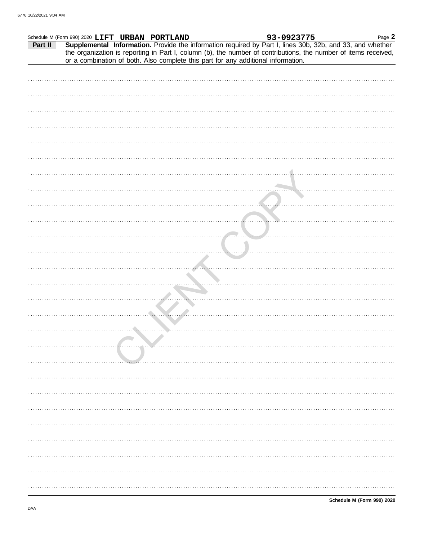|         | Schedule M (Form 990) 2020 LIFT URBAN PORTLAND |  | 93-0923775 | Page 2                                                                                                                                                                                                                                                                                                         |
|---------|------------------------------------------------|--|------------|----------------------------------------------------------------------------------------------------------------------------------------------------------------------------------------------------------------------------------------------------------------------------------------------------------------|
| Part II |                                                |  |            | Supplemental Information. Provide the information required by Part I, lines 30b, 32b, and 33, and whether<br>the organization is reporting in Part I, column (b), the number of contributions, the number of items received, or a combination of both. Also complete this part for any additional information. |
|         |                                                |  |            |                                                                                                                                                                                                                                                                                                                |
|         |                                                |  |            |                                                                                                                                                                                                                                                                                                                |
|         |                                                |  |            |                                                                                                                                                                                                                                                                                                                |
|         |                                                |  |            |                                                                                                                                                                                                                                                                                                                |
|         |                                                |  |            |                                                                                                                                                                                                                                                                                                                |
|         |                                                |  |            |                                                                                                                                                                                                                                                                                                                |
|         |                                                |  |            |                                                                                                                                                                                                                                                                                                                |
|         |                                                |  |            |                                                                                                                                                                                                                                                                                                                |
|         |                                                |  |            |                                                                                                                                                                                                                                                                                                                |
|         |                                                |  |            |                                                                                                                                                                                                                                                                                                                |
|         |                                                |  |            |                                                                                                                                                                                                                                                                                                                |
|         |                                                |  |            |                                                                                                                                                                                                                                                                                                                |
|         |                                                |  |            |                                                                                                                                                                                                                                                                                                                |
|         |                                                |  |            |                                                                                                                                                                                                                                                                                                                |
|         |                                                |  |            |                                                                                                                                                                                                                                                                                                                |
|         |                                                |  |            |                                                                                                                                                                                                                                                                                                                |
|         |                                                |  |            |                                                                                                                                                                                                                                                                                                                |
|         |                                                |  |            |                                                                                                                                                                                                                                                                                                                |
|         |                                                |  |            |                                                                                                                                                                                                                                                                                                                |
|         |                                                |  |            |                                                                                                                                                                                                                                                                                                                |
|         |                                                |  |            |                                                                                                                                                                                                                                                                                                                |
|         |                                                |  |            |                                                                                                                                                                                                                                                                                                                |
|         |                                                |  |            |                                                                                                                                                                                                                                                                                                                |
|         |                                                |  |            |                                                                                                                                                                                                                                                                                                                |
|         |                                                |  |            |                                                                                                                                                                                                                                                                                                                |
|         |                                                |  |            |                                                                                                                                                                                                                                                                                                                |
|         |                                                |  |            |                                                                                                                                                                                                                                                                                                                |
|         |                                                |  |            |                                                                                                                                                                                                                                                                                                                |
|         |                                                |  |            |                                                                                                                                                                                                                                                                                                                |
|         |                                                |  |            |                                                                                                                                                                                                                                                                                                                |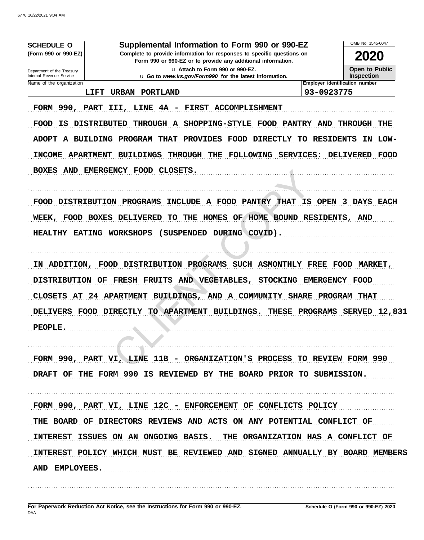| <b>SCHEDULE O</b><br>(Form 990 or 990-EZ)                                                                                                                                                                                               | Supplemental Information to Form 990 or 990-EZ<br>Complete to provide information for responses to specific questions on                                                                                                                                                                                                                                                                                                                       |                                                                                                                                             | <b>2020</b>                                                                                                      |
|-----------------------------------------------------------------------------------------------------------------------------------------------------------------------------------------------------------------------------------------|------------------------------------------------------------------------------------------------------------------------------------------------------------------------------------------------------------------------------------------------------------------------------------------------------------------------------------------------------------------------------------------------------------------------------------------------|---------------------------------------------------------------------------------------------------------------------------------------------|------------------------------------------------------------------------------------------------------------------|
| Department of the Treasury                                                                                                                                                                                                              | Form 990 or 990-EZ or to provide any additional information.<br>u Attach to Form 990 or 990-EZ.                                                                                                                                                                                                                                                                                                                                                |                                                                                                                                             | Open to Public                                                                                                   |
| Internal Revenue Service                                                                                                                                                                                                                | u Go to www.irs.gov/Form990 for the latest information.                                                                                                                                                                                                                                                                                                                                                                                        |                                                                                                                                             | <b>Inspection</b>                                                                                                |
| Name of the organization<br>LIFT                                                                                                                                                                                                        | <b>URBAN</b><br>PORTLAND                                                                                                                                                                                                                                                                                                                                                                                                                       | 93-0923775                                                                                                                                  | Employer identification number                                                                                   |
| FORM 990, PART<br><b>DISTRIBUTED</b><br><b>FOOD</b><br>IS<br><b>ADOPT</b><br>A BUILDING<br><b>INCOME</b><br><b>APARTMENT</b><br><b>BOXES</b><br>AND<br><b>FOOD</b><br><b>DISTRIBUTION</b><br><b>WEEK</b><br><b>FOOD</b><br><b>BOXES</b> | 4A<br>III,<br>LINE<br><b>FIRST</b><br><b>ACCOMPLISHMENT</b><br><b>THROUGH</b><br><b>SHOPPING-STYLE</b><br>A<br><b>FOOD</b><br><b>PROGRAM THAT</b><br><b>PROVIDES</b><br>FOOD<br><b>DIRECTLY</b><br><b>FOLLOWING</b><br><b>BUILDINGS</b><br><b>THROUGH</b><br>THE<br><b>EMERGENCY</b><br><b>FOOD</b><br>CLOSETS.<br><b>PROGRAMS</b><br>A FOOD<br><b>PANTRY</b><br><b>INCLUDE</b><br><b>HOME</b><br><b>DELIVERED</b><br>TO<br>THE<br>HOMES<br>OF | <b>PANTRY AND</b><br><b>RESIDENTS</b><br>TО<br>SERVICES:<br><b>THAT</b><br>IS<br><b>OPEN</b><br>RESIDENTS,<br><b>BOUND</b>                  | THROUGH<br>THE<br><b>LOW-</b><br>ΙN<br>DELIVERED<br><b>FOOD</b><br><b>DAYS</b><br>3<br><b>EACH</b><br><b>AND</b> |
| <b>HEALTHY</b><br><b>EATING</b><br>ADDITION,<br>IΝ<br><b>DISTRIBUTION</b><br><b>CLOSETS</b><br>AT<br>24<br><b>DELIVERS</b><br><b>FOOD</b>                                                                                               | <b>WORKSHOPS</b><br><b>SUSPENDED</b><br>DURING COVID).<br><b>PROGRAMS</b><br><b>SUCH</b><br><b>FOOD</b><br><b>DISTRIBUTION</b><br><b>FRESH</b><br><b>FRUITS</b><br><b>VEGETABLES,</b><br><b>AND</b><br>OF<br><b>APARTMENT</b><br>BUILDINGS,<br>AND<br>COMMUNITY<br>A<br><b>APARTMENT</b><br>TО<br>BUILDINGS.<br><b>DIRECTLY</b>                                                                                                                | <b>ASMONTHLY</b><br><b>FREE</b><br><b>STOCKING</b><br><b>EMERGENCY</b><br><b>SHARE</b><br><b>PROGRAM</b><br><b>THESE</b><br><b>PROGRAMS</b> | <b>FOOD</b><br><b>MARKET</b><br><b>FOOD</b><br><b>THAT</b><br>12,831<br><b>SERVED</b>                            |
| PEOPLE.                                                                                                                                                                                                                                 | FORM 990, PART VI, LINE 11B - ORGANIZATION'S PROCESS TO REVIEW FORM 990<br>DRAFT OF THE FORM 990 IS REVIEWED BY THE BOARD PRIOR TO SUBMISSION.                                                                                                                                                                                                                                                                                                 |                                                                                                                                             |                                                                                                                  |
| <b>INTEREST</b><br>AND EMPLOYEES.                                                                                                                                                                                                       | FORM 990, PART VI, LINE 12C - ENFORCEMENT OF CONFLICTS POLICY<br>THE BOARD OF DIRECTORS REVIEWS AND ACTS ON ANY POTENTIAL CONFLICT OF<br>ISSUES ON AN ONGOING BASIS. THE ORGANIZATION HAS A CONFLICT OF<br>INTEREST POLICY WHICH MUST BE REVIEWED AND SIGNED ANNUALLY BY BOARD MEMBERS                                                                                                                                                         |                                                                                                                                             |                                                                                                                  |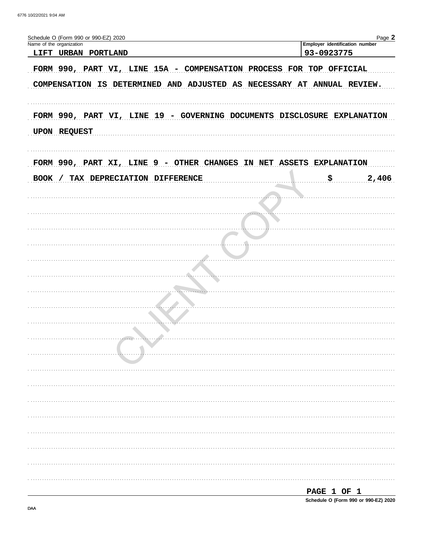| Schedule O (Form 990 or 990-EZ) 2020                                                                                                          | Page 2                                       |
|-----------------------------------------------------------------------------------------------------------------------------------------------|----------------------------------------------|
| Name of the organization<br>LIFT URBAN PORTLAND                                                                                               | Employer identification number<br>93-0923775 |
| FORM 990, PART VI, LINE 15A - COMPENSATION PROCESS FOR TOP OFFICIAL<br>COMPENSATION IS DETERMINED AND ADJUSTED AS NECESSARY AT ANNUAL REVIEW. |                                              |
| FORM 990, PART VI, LINE 19 - GOVERNING DOCUMENTS DISCLOSURE EXPLANATION<br>UPON REQUEST                                                       |                                              |
| FORM 990, PART XI, LINE 9 - OTHER CHANGES IN NET ASSETS EXPLANATION                                                                           |                                              |
| <b>BOOK</b><br>/ TAX DEPRECIATION DIFFERENCE                                                                                                  | \$.<br>2,406                                 |
|                                                                                                                                               |                                              |
|                                                                                                                                               |                                              |
|                                                                                                                                               |                                              |
|                                                                                                                                               |                                              |
|                                                                                                                                               |                                              |
|                                                                                                                                               |                                              |
|                                                                                                                                               |                                              |
|                                                                                                                                               |                                              |
|                                                                                                                                               |                                              |
|                                                                                                                                               |                                              |
|                                                                                                                                               |                                              |
|                                                                                                                                               |                                              |
|                                                                                                                                               |                                              |
|                                                                                                                                               |                                              |
|                                                                                                                                               |                                              |
|                                                                                                                                               |                                              |
|                                                                                                                                               |                                              |
|                                                                                                                                               |                                              |
|                                                                                                                                               |                                              |
|                                                                                                                                               | PAGE 1 OF 1                                  |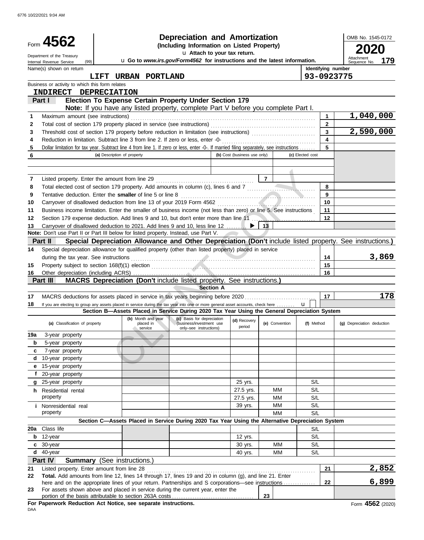| Department of the Treasury<br>Attachment<br>u Go to www.irs.gov/Form4562 for instructions and the latest information.<br>179<br>(99)<br>Sequence No.<br>Internal Revenue Service<br>Name(s) shown on return<br>Identifying number<br>93-0923775<br>LIFT<br>URBAN PORTLAND<br>Business or activity to which this form relates<br>INDIRECT DEPRECIATION<br>Election To Expense Certain Property Under Section 179<br>Part I<br>Note: If you have any listed property, complete Part V before you complete Part I.<br>1,040,000<br>Maximum amount (see instructions)<br>1<br>1<br>$\mathbf{2}$<br>Total cost of section 179 property placed in service (see instructions)<br>2<br>2,590,000<br>3<br>3<br>4<br>Reduction in limitation. Subtract line 3 from line 2. If zero or less, enter -0-<br>4<br>5<br>Dollar limitation for tax year. Subtract line 4 from line 1. If zero or less, enter -0-. If married filing separately, see instructions<br>5<br>6<br>(a) Description of property<br>(b) Cost (business use only)<br>(c) Elected cost<br>$\overline{7}$<br>Listed property. Enter the amount from line 29<br>7<br>Total elected cost of section 179 property. Add amounts in column (c), lines 6 and 7<br>8<br>8<br>Tentative deduction. Enter the smaller of line 5 or line 8<br>9<br>9<br>Carryover of disallowed deduction from line 13 of your 2019 Form 4562<br>10<br>10<br>Business income limitation. Enter the smaller of business income (not less than zero) or line 5. See instructions<br>11<br>11<br>Section 179 expense deduction. Add lines 9 and 10, but don't enter more than line 11<br>$12 \,$<br>12<br>Carryover of disallowed deduction to 2021. Add lines 9 and 10, less line 12<br>13<br>13<br>Note: Don't use Part II or Part III below for listed property. Instead, use Part V.<br>Special Depreciation Allowance and Other Depreciation (Don't include listed property. See instructions.)<br><b>Part II</b><br>Special depreciation allowance for qualified property (other than listed property) placed in service<br>14<br>3,869<br>during the tax year. See instructions<br>14<br>15<br>15<br>16<br>16<br>MACRS Depreciation (Don't include listed property. See instructions.)<br>Part III<br><b>Section A</b><br>178<br>MACRS deductions for assets placed in service in tax years beginning before 2020<br>17<br>17<br>$\mathbf{u}$<br>If you are electing to group any assets placed in service during the tax year into one or more general asset accounts, check here<br>18<br>Section B-Assets Placed in Service During 2020 Tax Year Using the General Depreciation System<br>(b) Month and year<br>(c) Basis for depreciation<br>(d) Recovery<br>(a) Classification of property<br>(e) Convention<br>(f) Method<br>(g) Depreciation deduction<br>placed in<br>(business/investment use<br>period<br>service<br>only-see instructions)<br>19a<br>3-year property<br>5-year property<br>b<br>7-year property<br>c<br>10-year property<br>d<br>e 15-year property<br>f 20-year property<br>S/L<br>25 yrs.<br>g 25-year property<br>S/L<br>27.5 yrs.<br>ΜМ<br>h Residential rental<br>property<br>S/L<br>27.5 yrs.<br>МM<br>S/L<br>ΜМ<br>39 yrs.<br><i>i</i> Nonresidential real<br>property<br>S/L<br>MМ<br>Section C-Assets Placed in Service During 2020 Tax Year Using the Alternative Depreciation System<br>Class life<br>20a<br>S/L<br>12-year<br>S/L<br>12 yrs.<br>b<br>30-year<br>МM<br>S/L<br>30 yrs.<br>c<br>d 40-year<br>MM<br>S/L<br>40 yrs.<br>Part IV<br><b>Summary</b> (See instructions.)<br>2,852<br>21<br>Listed property. Enter amount from line 28<br>21<br>Total. Add amounts from line 12, lines 14 through 17, lines 19 and 20 in column (g), and line 21. Enter<br>22<br>6,899<br>here and on the appropriate lines of your return. Partnerships and S corporations—see instructions<br>22<br>For assets shown above and placed in service during the current year, enter the<br>23<br>23<br>For Paperwork Reduction Act Notice, see separate instructions. | Form 4562 | <b>Depreciation and Amortization</b><br>(Including Information on Listed Property)<br>u Attach to your tax return. |  |  |  |  |  | OMB No. 1545-0172 |  |  |
|----------------------------------------------------------------------------------------------------------------------------------------------------------------------------------------------------------------------------------------------------------------------------------------------------------------------------------------------------------------------------------------------------------------------------------------------------------------------------------------------------------------------------------------------------------------------------------------------------------------------------------------------------------------------------------------------------------------------------------------------------------------------------------------------------------------------------------------------------------------------------------------------------------------------------------------------------------------------------------------------------------------------------------------------------------------------------------------------------------------------------------------------------------------------------------------------------------------------------------------------------------------------------------------------------------------------------------------------------------------------------------------------------------------------------------------------------------------------------------------------------------------------------------------------------------------------------------------------------------------------------------------------------------------------------------------------------------------------------------------------------------------------------------------------------------------------------------------------------------------------------------------------------------------------------------------------------------------------------------------------------------------------------------------------------------------------------------------------------------------------------------------------------------------------------------------------------------------------------------------------------------------------------------------------------------------------------------------------------------------------------------------------------------------------------------------------------------------------------------------------------------------------------------------------------------------------------------------------------------------------------------------------------------------------------------------------------------------------------------------------------------------------------------------------------------------------------------------------------------------------------------------------------------------------------------------------------------------------------------------------------------------------------------------------------------------------------------------------------------------------------------------------------------------------------------------------------------------------------------------------------------------------------------------------------------------------------------------------------------------------------------------------------------------------------------------------------------------------------------------------------------------------------------------------------------------------------------------------------------------------------------------------------------------------------------------------------------------------------------------------------------------------------------------------------------------------------------------------------------------------------------------------------------------------------------------------------------------------------------------------------------------------------------|-----------|--------------------------------------------------------------------------------------------------------------------|--|--|--|--|--|-------------------|--|--|
|                                                                                                                                                                                                                                                                                                                                                                                                                                                                                                                                                                                                                                                                                                                                                                                                                                                                                                                                                                                                                                                                                                                                                                                                                                                                                                                                                                                                                                                                                                                                                                                                                                                                                                                                                                                                                                                                                                                                                                                                                                                                                                                                                                                                                                                                                                                                                                                                                                                                                                                                                                                                                                                                                                                                                                                                                                                                                                                                                                                                                                                                                                                                                                                                                                                                                                                                                                                                                                                                                                                                                                                                                                                                                                                                                                                                                                                                                                                                                                                                                                  |           |                                                                                                                    |  |  |  |  |  |                   |  |  |
|                                                                                                                                                                                                                                                                                                                                                                                                                                                                                                                                                                                                                                                                                                                                                                                                                                                                                                                                                                                                                                                                                                                                                                                                                                                                                                                                                                                                                                                                                                                                                                                                                                                                                                                                                                                                                                                                                                                                                                                                                                                                                                                                                                                                                                                                                                                                                                                                                                                                                                                                                                                                                                                                                                                                                                                                                                                                                                                                                                                                                                                                                                                                                                                                                                                                                                                                                                                                                                                                                                                                                                                                                                                                                                                                                                                                                                                                                                                                                                                                                                  |           |                                                                                                                    |  |  |  |  |  |                   |  |  |
| Form 4562 (2020)                                                                                                                                                                                                                                                                                                                                                                                                                                                                                                                                                                                                                                                                                                                                                                                                                                                                                                                                                                                                                                                                                                                                                                                                                                                                                                                                                                                                                                                                                                                                                                                                                                                                                                                                                                                                                                                                                                                                                                                                                                                                                                                                                                                                                                                                                                                                                                                                                                                                                                                                                                                                                                                                                                                                                                                                                                                                                                                                                                                                                                                                                                                                                                                                                                                                                                                                                                                                                                                                                                                                                                                                                                                                                                                                                                                                                                                                                                                                                                                                                 |           |                                                                                                                    |  |  |  |  |  |                   |  |  |
|                                                                                                                                                                                                                                                                                                                                                                                                                                                                                                                                                                                                                                                                                                                                                                                                                                                                                                                                                                                                                                                                                                                                                                                                                                                                                                                                                                                                                                                                                                                                                                                                                                                                                                                                                                                                                                                                                                                                                                                                                                                                                                                                                                                                                                                                                                                                                                                                                                                                                                                                                                                                                                                                                                                                                                                                                                                                                                                                                                                                                                                                                                                                                                                                                                                                                                                                                                                                                                                                                                                                                                                                                                                                                                                                                                                                                                                                                                                                                                                                                                  |           |                                                                                                                    |  |  |  |  |  |                   |  |  |
|                                                                                                                                                                                                                                                                                                                                                                                                                                                                                                                                                                                                                                                                                                                                                                                                                                                                                                                                                                                                                                                                                                                                                                                                                                                                                                                                                                                                                                                                                                                                                                                                                                                                                                                                                                                                                                                                                                                                                                                                                                                                                                                                                                                                                                                                                                                                                                                                                                                                                                                                                                                                                                                                                                                                                                                                                                                                                                                                                                                                                                                                                                                                                                                                                                                                                                                                                                                                                                                                                                                                                                                                                                                                                                                                                                                                                                                                                                                                                                                                                                  |           |                                                                                                                    |  |  |  |  |  |                   |  |  |
|                                                                                                                                                                                                                                                                                                                                                                                                                                                                                                                                                                                                                                                                                                                                                                                                                                                                                                                                                                                                                                                                                                                                                                                                                                                                                                                                                                                                                                                                                                                                                                                                                                                                                                                                                                                                                                                                                                                                                                                                                                                                                                                                                                                                                                                                                                                                                                                                                                                                                                                                                                                                                                                                                                                                                                                                                                                                                                                                                                                                                                                                                                                                                                                                                                                                                                                                                                                                                                                                                                                                                                                                                                                                                                                                                                                                                                                                                                                                                                                                                                  |           |                                                                                                                    |  |  |  |  |  |                   |  |  |
|                                                                                                                                                                                                                                                                                                                                                                                                                                                                                                                                                                                                                                                                                                                                                                                                                                                                                                                                                                                                                                                                                                                                                                                                                                                                                                                                                                                                                                                                                                                                                                                                                                                                                                                                                                                                                                                                                                                                                                                                                                                                                                                                                                                                                                                                                                                                                                                                                                                                                                                                                                                                                                                                                                                                                                                                                                                                                                                                                                                                                                                                                                                                                                                                                                                                                                                                                                                                                                                                                                                                                                                                                                                                                                                                                                                                                                                                                                                                                                                                                                  |           |                                                                                                                    |  |  |  |  |  |                   |  |  |
|                                                                                                                                                                                                                                                                                                                                                                                                                                                                                                                                                                                                                                                                                                                                                                                                                                                                                                                                                                                                                                                                                                                                                                                                                                                                                                                                                                                                                                                                                                                                                                                                                                                                                                                                                                                                                                                                                                                                                                                                                                                                                                                                                                                                                                                                                                                                                                                                                                                                                                                                                                                                                                                                                                                                                                                                                                                                                                                                                                                                                                                                                                                                                                                                                                                                                                                                                                                                                                                                                                                                                                                                                                                                                                                                                                                                                                                                                                                                                                                                                                  |           |                                                                                                                    |  |  |  |  |  |                   |  |  |
|                                                                                                                                                                                                                                                                                                                                                                                                                                                                                                                                                                                                                                                                                                                                                                                                                                                                                                                                                                                                                                                                                                                                                                                                                                                                                                                                                                                                                                                                                                                                                                                                                                                                                                                                                                                                                                                                                                                                                                                                                                                                                                                                                                                                                                                                                                                                                                                                                                                                                                                                                                                                                                                                                                                                                                                                                                                                                                                                                                                                                                                                                                                                                                                                                                                                                                                                                                                                                                                                                                                                                                                                                                                                                                                                                                                                                                                                                                                                                                                                                                  |           |                                                                                                                    |  |  |  |  |  |                   |  |  |
|                                                                                                                                                                                                                                                                                                                                                                                                                                                                                                                                                                                                                                                                                                                                                                                                                                                                                                                                                                                                                                                                                                                                                                                                                                                                                                                                                                                                                                                                                                                                                                                                                                                                                                                                                                                                                                                                                                                                                                                                                                                                                                                                                                                                                                                                                                                                                                                                                                                                                                                                                                                                                                                                                                                                                                                                                                                                                                                                                                                                                                                                                                                                                                                                                                                                                                                                                                                                                                                                                                                                                                                                                                                                                                                                                                                                                                                                                                                                                                                                                                  |           |                                                                                                                    |  |  |  |  |  |                   |  |  |
|                                                                                                                                                                                                                                                                                                                                                                                                                                                                                                                                                                                                                                                                                                                                                                                                                                                                                                                                                                                                                                                                                                                                                                                                                                                                                                                                                                                                                                                                                                                                                                                                                                                                                                                                                                                                                                                                                                                                                                                                                                                                                                                                                                                                                                                                                                                                                                                                                                                                                                                                                                                                                                                                                                                                                                                                                                                                                                                                                                                                                                                                                                                                                                                                                                                                                                                                                                                                                                                                                                                                                                                                                                                                                                                                                                                                                                                                                                                                                                                                                                  |           |                                                                                                                    |  |  |  |  |  |                   |  |  |
|                                                                                                                                                                                                                                                                                                                                                                                                                                                                                                                                                                                                                                                                                                                                                                                                                                                                                                                                                                                                                                                                                                                                                                                                                                                                                                                                                                                                                                                                                                                                                                                                                                                                                                                                                                                                                                                                                                                                                                                                                                                                                                                                                                                                                                                                                                                                                                                                                                                                                                                                                                                                                                                                                                                                                                                                                                                                                                                                                                                                                                                                                                                                                                                                                                                                                                                                                                                                                                                                                                                                                                                                                                                                                                                                                                                                                                                                                                                                                                                                                                  |           |                                                                                                                    |  |  |  |  |  |                   |  |  |
|                                                                                                                                                                                                                                                                                                                                                                                                                                                                                                                                                                                                                                                                                                                                                                                                                                                                                                                                                                                                                                                                                                                                                                                                                                                                                                                                                                                                                                                                                                                                                                                                                                                                                                                                                                                                                                                                                                                                                                                                                                                                                                                                                                                                                                                                                                                                                                                                                                                                                                                                                                                                                                                                                                                                                                                                                                                                                                                                                                                                                                                                                                                                                                                                                                                                                                                                                                                                                                                                                                                                                                                                                                                                                                                                                                                                                                                                                                                                                                                                                                  |           |                                                                                                                    |  |  |  |  |  |                   |  |  |
|                                                                                                                                                                                                                                                                                                                                                                                                                                                                                                                                                                                                                                                                                                                                                                                                                                                                                                                                                                                                                                                                                                                                                                                                                                                                                                                                                                                                                                                                                                                                                                                                                                                                                                                                                                                                                                                                                                                                                                                                                                                                                                                                                                                                                                                                                                                                                                                                                                                                                                                                                                                                                                                                                                                                                                                                                                                                                                                                                                                                                                                                                                                                                                                                                                                                                                                                                                                                                                                                                                                                                                                                                                                                                                                                                                                                                                                                                                                                                                                                                                  |           |                                                                                                                    |  |  |  |  |  |                   |  |  |
|                                                                                                                                                                                                                                                                                                                                                                                                                                                                                                                                                                                                                                                                                                                                                                                                                                                                                                                                                                                                                                                                                                                                                                                                                                                                                                                                                                                                                                                                                                                                                                                                                                                                                                                                                                                                                                                                                                                                                                                                                                                                                                                                                                                                                                                                                                                                                                                                                                                                                                                                                                                                                                                                                                                                                                                                                                                                                                                                                                                                                                                                                                                                                                                                                                                                                                                                                                                                                                                                                                                                                                                                                                                                                                                                                                                                                                                                                                                                                                                                                                  |           |                                                                                                                    |  |  |  |  |  |                   |  |  |
|                                                                                                                                                                                                                                                                                                                                                                                                                                                                                                                                                                                                                                                                                                                                                                                                                                                                                                                                                                                                                                                                                                                                                                                                                                                                                                                                                                                                                                                                                                                                                                                                                                                                                                                                                                                                                                                                                                                                                                                                                                                                                                                                                                                                                                                                                                                                                                                                                                                                                                                                                                                                                                                                                                                                                                                                                                                                                                                                                                                                                                                                                                                                                                                                                                                                                                                                                                                                                                                                                                                                                                                                                                                                                                                                                                                                                                                                                                                                                                                                                                  |           |                                                                                                                    |  |  |  |  |  |                   |  |  |
|                                                                                                                                                                                                                                                                                                                                                                                                                                                                                                                                                                                                                                                                                                                                                                                                                                                                                                                                                                                                                                                                                                                                                                                                                                                                                                                                                                                                                                                                                                                                                                                                                                                                                                                                                                                                                                                                                                                                                                                                                                                                                                                                                                                                                                                                                                                                                                                                                                                                                                                                                                                                                                                                                                                                                                                                                                                                                                                                                                                                                                                                                                                                                                                                                                                                                                                                                                                                                                                                                                                                                                                                                                                                                                                                                                                                                                                                                                                                                                                                                                  |           |                                                                                                                    |  |  |  |  |  |                   |  |  |
|                                                                                                                                                                                                                                                                                                                                                                                                                                                                                                                                                                                                                                                                                                                                                                                                                                                                                                                                                                                                                                                                                                                                                                                                                                                                                                                                                                                                                                                                                                                                                                                                                                                                                                                                                                                                                                                                                                                                                                                                                                                                                                                                                                                                                                                                                                                                                                                                                                                                                                                                                                                                                                                                                                                                                                                                                                                                                                                                                                                                                                                                                                                                                                                                                                                                                                                                                                                                                                                                                                                                                                                                                                                                                                                                                                                                                                                                                                                                                                                                                                  |           |                                                                                                                    |  |  |  |  |  |                   |  |  |
|                                                                                                                                                                                                                                                                                                                                                                                                                                                                                                                                                                                                                                                                                                                                                                                                                                                                                                                                                                                                                                                                                                                                                                                                                                                                                                                                                                                                                                                                                                                                                                                                                                                                                                                                                                                                                                                                                                                                                                                                                                                                                                                                                                                                                                                                                                                                                                                                                                                                                                                                                                                                                                                                                                                                                                                                                                                                                                                                                                                                                                                                                                                                                                                                                                                                                                                                                                                                                                                                                                                                                                                                                                                                                                                                                                                                                                                                                                                                                                                                                                  |           |                                                                                                                    |  |  |  |  |  |                   |  |  |
|                                                                                                                                                                                                                                                                                                                                                                                                                                                                                                                                                                                                                                                                                                                                                                                                                                                                                                                                                                                                                                                                                                                                                                                                                                                                                                                                                                                                                                                                                                                                                                                                                                                                                                                                                                                                                                                                                                                                                                                                                                                                                                                                                                                                                                                                                                                                                                                                                                                                                                                                                                                                                                                                                                                                                                                                                                                                                                                                                                                                                                                                                                                                                                                                                                                                                                                                                                                                                                                                                                                                                                                                                                                                                                                                                                                                                                                                                                                                                                                                                                  |           |                                                                                                                    |  |  |  |  |  |                   |  |  |
|                                                                                                                                                                                                                                                                                                                                                                                                                                                                                                                                                                                                                                                                                                                                                                                                                                                                                                                                                                                                                                                                                                                                                                                                                                                                                                                                                                                                                                                                                                                                                                                                                                                                                                                                                                                                                                                                                                                                                                                                                                                                                                                                                                                                                                                                                                                                                                                                                                                                                                                                                                                                                                                                                                                                                                                                                                                                                                                                                                                                                                                                                                                                                                                                                                                                                                                                                                                                                                                                                                                                                                                                                                                                                                                                                                                                                                                                                                                                                                                                                                  |           |                                                                                                                    |  |  |  |  |  |                   |  |  |
|                                                                                                                                                                                                                                                                                                                                                                                                                                                                                                                                                                                                                                                                                                                                                                                                                                                                                                                                                                                                                                                                                                                                                                                                                                                                                                                                                                                                                                                                                                                                                                                                                                                                                                                                                                                                                                                                                                                                                                                                                                                                                                                                                                                                                                                                                                                                                                                                                                                                                                                                                                                                                                                                                                                                                                                                                                                                                                                                                                                                                                                                                                                                                                                                                                                                                                                                                                                                                                                                                                                                                                                                                                                                                                                                                                                                                                                                                                                                                                                                                                  |           |                                                                                                                    |  |  |  |  |  |                   |  |  |
|                                                                                                                                                                                                                                                                                                                                                                                                                                                                                                                                                                                                                                                                                                                                                                                                                                                                                                                                                                                                                                                                                                                                                                                                                                                                                                                                                                                                                                                                                                                                                                                                                                                                                                                                                                                                                                                                                                                                                                                                                                                                                                                                                                                                                                                                                                                                                                                                                                                                                                                                                                                                                                                                                                                                                                                                                                                                                                                                                                                                                                                                                                                                                                                                                                                                                                                                                                                                                                                                                                                                                                                                                                                                                                                                                                                                                                                                                                                                                                                                                                  |           |                                                                                                                    |  |  |  |  |  |                   |  |  |
|                                                                                                                                                                                                                                                                                                                                                                                                                                                                                                                                                                                                                                                                                                                                                                                                                                                                                                                                                                                                                                                                                                                                                                                                                                                                                                                                                                                                                                                                                                                                                                                                                                                                                                                                                                                                                                                                                                                                                                                                                                                                                                                                                                                                                                                                                                                                                                                                                                                                                                                                                                                                                                                                                                                                                                                                                                                                                                                                                                                                                                                                                                                                                                                                                                                                                                                                                                                                                                                                                                                                                                                                                                                                                                                                                                                                                                                                                                                                                                                                                                  |           |                                                                                                                    |  |  |  |  |  |                   |  |  |
|                                                                                                                                                                                                                                                                                                                                                                                                                                                                                                                                                                                                                                                                                                                                                                                                                                                                                                                                                                                                                                                                                                                                                                                                                                                                                                                                                                                                                                                                                                                                                                                                                                                                                                                                                                                                                                                                                                                                                                                                                                                                                                                                                                                                                                                                                                                                                                                                                                                                                                                                                                                                                                                                                                                                                                                                                                                                                                                                                                                                                                                                                                                                                                                                                                                                                                                                                                                                                                                                                                                                                                                                                                                                                                                                                                                                                                                                                                                                                                                                                                  |           |                                                                                                                    |  |  |  |  |  |                   |  |  |
|                                                                                                                                                                                                                                                                                                                                                                                                                                                                                                                                                                                                                                                                                                                                                                                                                                                                                                                                                                                                                                                                                                                                                                                                                                                                                                                                                                                                                                                                                                                                                                                                                                                                                                                                                                                                                                                                                                                                                                                                                                                                                                                                                                                                                                                                                                                                                                                                                                                                                                                                                                                                                                                                                                                                                                                                                                                                                                                                                                                                                                                                                                                                                                                                                                                                                                                                                                                                                                                                                                                                                                                                                                                                                                                                                                                                                                                                                                                                                                                                                                  |           |                                                                                                                    |  |  |  |  |  |                   |  |  |
|                                                                                                                                                                                                                                                                                                                                                                                                                                                                                                                                                                                                                                                                                                                                                                                                                                                                                                                                                                                                                                                                                                                                                                                                                                                                                                                                                                                                                                                                                                                                                                                                                                                                                                                                                                                                                                                                                                                                                                                                                                                                                                                                                                                                                                                                                                                                                                                                                                                                                                                                                                                                                                                                                                                                                                                                                                                                                                                                                                                                                                                                                                                                                                                                                                                                                                                                                                                                                                                                                                                                                                                                                                                                                                                                                                                                                                                                                                                                                                                                                                  |           |                                                                                                                    |  |  |  |  |  |                   |  |  |
|                                                                                                                                                                                                                                                                                                                                                                                                                                                                                                                                                                                                                                                                                                                                                                                                                                                                                                                                                                                                                                                                                                                                                                                                                                                                                                                                                                                                                                                                                                                                                                                                                                                                                                                                                                                                                                                                                                                                                                                                                                                                                                                                                                                                                                                                                                                                                                                                                                                                                                                                                                                                                                                                                                                                                                                                                                                                                                                                                                                                                                                                                                                                                                                                                                                                                                                                                                                                                                                                                                                                                                                                                                                                                                                                                                                                                                                                                                                                                                                                                                  |           |                                                                                                                    |  |  |  |  |  |                   |  |  |
|                                                                                                                                                                                                                                                                                                                                                                                                                                                                                                                                                                                                                                                                                                                                                                                                                                                                                                                                                                                                                                                                                                                                                                                                                                                                                                                                                                                                                                                                                                                                                                                                                                                                                                                                                                                                                                                                                                                                                                                                                                                                                                                                                                                                                                                                                                                                                                                                                                                                                                                                                                                                                                                                                                                                                                                                                                                                                                                                                                                                                                                                                                                                                                                                                                                                                                                                                                                                                                                                                                                                                                                                                                                                                                                                                                                                                                                                                                                                                                                                                                  |           |                                                                                                                    |  |  |  |  |  |                   |  |  |
|                                                                                                                                                                                                                                                                                                                                                                                                                                                                                                                                                                                                                                                                                                                                                                                                                                                                                                                                                                                                                                                                                                                                                                                                                                                                                                                                                                                                                                                                                                                                                                                                                                                                                                                                                                                                                                                                                                                                                                                                                                                                                                                                                                                                                                                                                                                                                                                                                                                                                                                                                                                                                                                                                                                                                                                                                                                                                                                                                                                                                                                                                                                                                                                                                                                                                                                                                                                                                                                                                                                                                                                                                                                                                                                                                                                                                                                                                                                                                                                                                                  |           |                                                                                                                    |  |  |  |  |  |                   |  |  |
|                                                                                                                                                                                                                                                                                                                                                                                                                                                                                                                                                                                                                                                                                                                                                                                                                                                                                                                                                                                                                                                                                                                                                                                                                                                                                                                                                                                                                                                                                                                                                                                                                                                                                                                                                                                                                                                                                                                                                                                                                                                                                                                                                                                                                                                                                                                                                                                                                                                                                                                                                                                                                                                                                                                                                                                                                                                                                                                                                                                                                                                                                                                                                                                                                                                                                                                                                                                                                                                                                                                                                                                                                                                                                                                                                                                                                                                                                                                                                                                                                                  |           |                                                                                                                    |  |  |  |  |  |                   |  |  |
|                                                                                                                                                                                                                                                                                                                                                                                                                                                                                                                                                                                                                                                                                                                                                                                                                                                                                                                                                                                                                                                                                                                                                                                                                                                                                                                                                                                                                                                                                                                                                                                                                                                                                                                                                                                                                                                                                                                                                                                                                                                                                                                                                                                                                                                                                                                                                                                                                                                                                                                                                                                                                                                                                                                                                                                                                                                                                                                                                                                                                                                                                                                                                                                                                                                                                                                                                                                                                                                                                                                                                                                                                                                                                                                                                                                                                                                                                                                                                                                                                                  |           |                                                                                                                    |  |  |  |  |  |                   |  |  |
|                                                                                                                                                                                                                                                                                                                                                                                                                                                                                                                                                                                                                                                                                                                                                                                                                                                                                                                                                                                                                                                                                                                                                                                                                                                                                                                                                                                                                                                                                                                                                                                                                                                                                                                                                                                                                                                                                                                                                                                                                                                                                                                                                                                                                                                                                                                                                                                                                                                                                                                                                                                                                                                                                                                                                                                                                                                                                                                                                                                                                                                                                                                                                                                                                                                                                                                                                                                                                                                                                                                                                                                                                                                                                                                                                                                                                                                                                                                                                                                                                                  |           |                                                                                                                    |  |  |  |  |  |                   |  |  |
|                                                                                                                                                                                                                                                                                                                                                                                                                                                                                                                                                                                                                                                                                                                                                                                                                                                                                                                                                                                                                                                                                                                                                                                                                                                                                                                                                                                                                                                                                                                                                                                                                                                                                                                                                                                                                                                                                                                                                                                                                                                                                                                                                                                                                                                                                                                                                                                                                                                                                                                                                                                                                                                                                                                                                                                                                                                                                                                                                                                                                                                                                                                                                                                                                                                                                                                                                                                                                                                                                                                                                                                                                                                                                                                                                                                                                                                                                                                                                                                                                                  |           |                                                                                                                    |  |  |  |  |  |                   |  |  |
|                                                                                                                                                                                                                                                                                                                                                                                                                                                                                                                                                                                                                                                                                                                                                                                                                                                                                                                                                                                                                                                                                                                                                                                                                                                                                                                                                                                                                                                                                                                                                                                                                                                                                                                                                                                                                                                                                                                                                                                                                                                                                                                                                                                                                                                                                                                                                                                                                                                                                                                                                                                                                                                                                                                                                                                                                                                                                                                                                                                                                                                                                                                                                                                                                                                                                                                                                                                                                                                                                                                                                                                                                                                                                                                                                                                                                                                                                                                                                                                                                                  |           |                                                                                                                    |  |  |  |  |  |                   |  |  |
|                                                                                                                                                                                                                                                                                                                                                                                                                                                                                                                                                                                                                                                                                                                                                                                                                                                                                                                                                                                                                                                                                                                                                                                                                                                                                                                                                                                                                                                                                                                                                                                                                                                                                                                                                                                                                                                                                                                                                                                                                                                                                                                                                                                                                                                                                                                                                                                                                                                                                                                                                                                                                                                                                                                                                                                                                                                                                                                                                                                                                                                                                                                                                                                                                                                                                                                                                                                                                                                                                                                                                                                                                                                                                                                                                                                                                                                                                                                                                                                                                                  |           |                                                                                                                    |  |  |  |  |  |                   |  |  |
|                                                                                                                                                                                                                                                                                                                                                                                                                                                                                                                                                                                                                                                                                                                                                                                                                                                                                                                                                                                                                                                                                                                                                                                                                                                                                                                                                                                                                                                                                                                                                                                                                                                                                                                                                                                                                                                                                                                                                                                                                                                                                                                                                                                                                                                                                                                                                                                                                                                                                                                                                                                                                                                                                                                                                                                                                                                                                                                                                                                                                                                                                                                                                                                                                                                                                                                                                                                                                                                                                                                                                                                                                                                                                                                                                                                                                                                                                                                                                                                                                                  |           |                                                                                                                    |  |  |  |  |  |                   |  |  |
|                                                                                                                                                                                                                                                                                                                                                                                                                                                                                                                                                                                                                                                                                                                                                                                                                                                                                                                                                                                                                                                                                                                                                                                                                                                                                                                                                                                                                                                                                                                                                                                                                                                                                                                                                                                                                                                                                                                                                                                                                                                                                                                                                                                                                                                                                                                                                                                                                                                                                                                                                                                                                                                                                                                                                                                                                                                                                                                                                                                                                                                                                                                                                                                                                                                                                                                                                                                                                                                                                                                                                                                                                                                                                                                                                                                                                                                                                                                                                                                                                                  |           |                                                                                                                    |  |  |  |  |  |                   |  |  |
|                                                                                                                                                                                                                                                                                                                                                                                                                                                                                                                                                                                                                                                                                                                                                                                                                                                                                                                                                                                                                                                                                                                                                                                                                                                                                                                                                                                                                                                                                                                                                                                                                                                                                                                                                                                                                                                                                                                                                                                                                                                                                                                                                                                                                                                                                                                                                                                                                                                                                                                                                                                                                                                                                                                                                                                                                                                                                                                                                                                                                                                                                                                                                                                                                                                                                                                                                                                                                                                                                                                                                                                                                                                                                                                                                                                                                                                                                                                                                                                                                                  |           |                                                                                                                    |  |  |  |  |  |                   |  |  |
|                                                                                                                                                                                                                                                                                                                                                                                                                                                                                                                                                                                                                                                                                                                                                                                                                                                                                                                                                                                                                                                                                                                                                                                                                                                                                                                                                                                                                                                                                                                                                                                                                                                                                                                                                                                                                                                                                                                                                                                                                                                                                                                                                                                                                                                                                                                                                                                                                                                                                                                                                                                                                                                                                                                                                                                                                                                                                                                                                                                                                                                                                                                                                                                                                                                                                                                                                                                                                                                                                                                                                                                                                                                                                                                                                                                                                                                                                                                                                                                                                                  |           |                                                                                                                    |  |  |  |  |  |                   |  |  |
|                                                                                                                                                                                                                                                                                                                                                                                                                                                                                                                                                                                                                                                                                                                                                                                                                                                                                                                                                                                                                                                                                                                                                                                                                                                                                                                                                                                                                                                                                                                                                                                                                                                                                                                                                                                                                                                                                                                                                                                                                                                                                                                                                                                                                                                                                                                                                                                                                                                                                                                                                                                                                                                                                                                                                                                                                                                                                                                                                                                                                                                                                                                                                                                                                                                                                                                                                                                                                                                                                                                                                                                                                                                                                                                                                                                                                                                                                                                                                                                                                                  |           |                                                                                                                    |  |  |  |  |  |                   |  |  |
|                                                                                                                                                                                                                                                                                                                                                                                                                                                                                                                                                                                                                                                                                                                                                                                                                                                                                                                                                                                                                                                                                                                                                                                                                                                                                                                                                                                                                                                                                                                                                                                                                                                                                                                                                                                                                                                                                                                                                                                                                                                                                                                                                                                                                                                                                                                                                                                                                                                                                                                                                                                                                                                                                                                                                                                                                                                                                                                                                                                                                                                                                                                                                                                                                                                                                                                                                                                                                                                                                                                                                                                                                                                                                                                                                                                                                                                                                                                                                                                                                                  |           |                                                                                                                    |  |  |  |  |  |                   |  |  |
|                                                                                                                                                                                                                                                                                                                                                                                                                                                                                                                                                                                                                                                                                                                                                                                                                                                                                                                                                                                                                                                                                                                                                                                                                                                                                                                                                                                                                                                                                                                                                                                                                                                                                                                                                                                                                                                                                                                                                                                                                                                                                                                                                                                                                                                                                                                                                                                                                                                                                                                                                                                                                                                                                                                                                                                                                                                                                                                                                                                                                                                                                                                                                                                                                                                                                                                                                                                                                                                                                                                                                                                                                                                                                                                                                                                                                                                                                                                                                                                                                                  |           |                                                                                                                    |  |  |  |  |  |                   |  |  |
|                                                                                                                                                                                                                                                                                                                                                                                                                                                                                                                                                                                                                                                                                                                                                                                                                                                                                                                                                                                                                                                                                                                                                                                                                                                                                                                                                                                                                                                                                                                                                                                                                                                                                                                                                                                                                                                                                                                                                                                                                                                                                                                                                                                                                                                                                                                                                                                                                                                                                                                                                                                                                                                                                                                                                                                                                                                                                                                                                                                                                                                                                                                                                                                                                                                                                                                                                                                                                                                                                                                                                                                                                                                                                                                                                                                                                                                                                                                                                                                                                                  |           |                                                                                                                    |  |  |  |  |  |                   |  |  |
|                                                                                                                                                                                                                                                                                                                                                                                                                                                                                                                                                                                                                                                                                                                                                                                                                                                                                                                                                                                                                                                                                                                                                                                                                                                                                                                                                                                                                                                                                                                                                                                                                                                                                                                                                                                                                                                                                                                                                                                                                                                                                                                                                                                                                                                                                                                                                                                                                                                                                                                                                                                                                                                                                                                                                                                                                                                                                                                                                                                                                                                                                                                                                                                                                                                                                                                                                                                                                                                                                                                                                                                                                                                                                                                                                                                                                                                                                                                                                                                                                                  |           |                                                                                                                    |  |  |  |  |  |                   |  |  |
|                                                                                                                                                                                                                                                                                                                                                                                                                                                                                                                                                                                                                                                                                                                                                                                                                                                                                                                                                                                                                                                                                                                                                                                                                                                                                                                                                                                                                                                                                                                                                                                                                                                                                                                                                                                                                                                                                                                                                                                                                                                                                                                                                                                                                                                                                                                                                                                                                                                                                                                                                                                                                                                                                                                                                                                                                                                                                                                                                                                                                                                                                                                                                                                                                                                                                                                                                                                                                                                                                                                                                                                                                                                                                                                                                                                                                                                                                                                                                                                                                                  |           |                                                                                                                    |  |  |  |  |  |                   |  |  |
|                                                                                                                                                                                                                                                                                                                                                                                                                                                                                                                                                                                                                                                                                                                                                                                                                                                                                                                                                                                                                                                                                                                                                                                                                                                                                                                                                                                                                                                                                                                                                                                                                                                                                                                                                                                                                                                                                                                                                                                                                                                                                                                                                                                                                                                                                                                                                                                                                                                                                                                                                                                                                                                                                                                                                                                                                                                                                                                                                                                                                                                                                                                                                                                                                                                                                                                                                                                                                                                                                                                                                                                                                                                                                                                                                                                                                                                                                                                                                                                                                                  |           |                                                                                                                    |  |  |  |  |  |                   |  |  |
|                                                                                                                                                                                                                                                                                                                                                                                                                                                                                                                                                                                                                                                                                                                                                                                                                                                                                                                                                                                                                                                                                                                                                                                                                                                                                                                                                                                                                                                                                                                                                                                                                                                                                                                                                                                                                                                                                                                                                                                                                                                                                                                                                                                                                                                                                                                                                                                                                                                                                                                                                                                                                                                                                                                                                                                                                                                                                                                                                                                                                                                                                                                                                                                                                                                                                                                                                                                                                                                                                                                                                                                                                                                                                                                                                                                                                                                                                                                                                                                                                                  |           |                                                                                                                    |  |  |  |  |  |                   |  |  |
|                                                                                                                                                                                                                                                                                                                                                                                                                                                                                                                                                                                                                                                                                                                                                                                                                                                                                                                                                                                                                                                                                                                                                                                                                                                                                                                                                                                                                                                                                                                                                                                                                                                                                                                                                                                                                                                                                                                                                                                                                                                                                                                                                                                                                                                                                                                                                                                                                                                                                                                                                                                                                                                                                                                                                                                                                                                                                                                                                                                                                                                                                                                                                                                                                                                                                                                                                                                                                                                                                                                                                                                                                                                                                                                                                                                                                                                                                                                                                                                                                                  |           |                                                                                                                    |  |  |  |  |  |                   |  |  |
|                                                                                                                                                                                                                                                                                                                                                                                                                                                                                                                                                                                                                                                                                                                                                                                                                                                                                                                                                                                                                                                                                                                                                                                                                                                                                                                                                                                                                                                                                                                                                                                                                                                                                                                                                                                                                                                                                                                                                                                                                                                                                                                                                                                                                                                                                                                                                                                                                                                                                                                                                                                                                                                                                                                                                                                                                                                                                                                                                                                                                                                                                                                                                                                                                                                                                                                                                                                                                                                                                                                                                                                                                                                                                                                                                                                                                                                                                                                                                                                                                                  |           |                                                                                                                    |  |  |  |  |  |                   |  |  |
|                                                                                                                                                                                                                                                                                                                                                                                                                                                                                                                                                                                                                                                                                                                                                                                                                                                                                                                                                                                                                                                                                                                                                                                                                                                                                                                                                                                                                                                                                                                                                                                                                                                                                                                                                                                                                                                                                                                                                                                                                                                                                                                                                                                                                                                                                                                                                                                                                                                                                                                                                                                                                                                                                                                                                                                                                                                                                                                                                                                                                                                                                                                                                                                                                                                                                                                                                                                                                                                                                                                                                                                                                                                                                                                                                                                                                                                                                                                                                                                                                                  |           |                                                                                                                    |  |  |  |  |  |                   |  |  |
|                                                                                                                                                                                                                                                                                                                                                                                                                                                                                                                                                                                                                                                                                                                                                                                                                                                                                                                                                                                                                                                                                                                                                                                                                                                                                                                                                                                                                                                                                                                                                                                                                                                                                                                                                                                                                                                                                                                                                                                                                                                                                                                                                                                                                                                                                                                                                                                                                                                                                                                                                                                                                                                                                                                                                                                                                                                                                                                                                                                                                                                                                                                                                                                                                                                                                                                                                                                                                                                                                                                                                                                                                                                                                                                                                                                                                                                                                                                                                                                                                                  |           |                                                                                                                    |  |  |  |  |  |                   |  |  |
|                                                                                                                                                                                                                                                                                                                                                                                                                                                                                                                                                                                                                                                                                                                                                                                                                                                                                                                                                                                                                                                                                                                                                                                                                                                                                                                                                                                                                                                                                                                                                                                                                                                                                                                                                                                                                                                                                                                                                                                                                                                                                                                                                                                                                                                                                                                                                                                                                                                                                                                                                                                                                                                                                                                                                                                                                                                                                                                                                                                                                                                                                                                                                                                                                                                                                                                                                                                                                                                                                                                                                                                                                                                                                                                                                                                                                                                                                                                                                                                                                                  |           |                                                                                                                    |  |  |  |  |  |                   |  |  |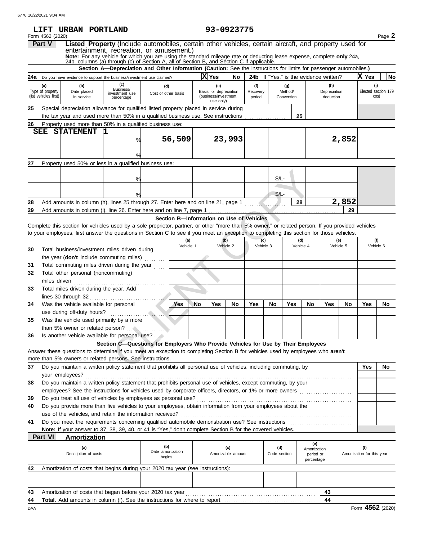|          |                                           | LIFT URBAN PORTLAND                                                                                                                                                                                              |                                                                                                                    |                                    |                                          |    |                                                                    | 93-0923775                |                    |                     |                       |                                               |                           |                  |                                   |                             |
|----------|-------------------------------------------|------------------------------------------------------------------------------------------------------------------------------------------------------------------------------------------------------------------|--------------------------------------------------------------------------------------------------------------------|------------------------------------|------------------------------------------|----|--------------------------------------------------------------------|---------------------------|--------------------|---------------------|-----------------------|-----------------------------------------------|---------------------------|------------------|-----------------------------------|-----------------------------|
|          | Form 4562 (2020)<br><b>Part V</b>         |                                                                                                                                                                                                                  | Listed Property (Include automobiles, certain other vehicles, certain aircraft, and property used for              |                                    |                                          |    |                                                                    |                           |                    |                     |                       |                                               |                           |                  |                                   | Page 2                      |
|          |                                           |                                                                                                                                                                                                                  | entertainment, recreation, or amusement.)                                                                          |                                    |                                          |    |                                                                    |                           |                    |                     |                       |                                               |                           |                  |                                   |                             |
|          |                                           | Note: For any vehicle for which you are using the standard mileage rate or deducting lease expense, complete only 24a, 24b, columns (a) through (c) of Section A, all of Section B, and Section C if applicable. |                                                                                                                    |                                    |                                          |    |                                                                    |                           |                    |                     |                       |                                               |                           |                  |                                   |                             |
|          |                                           |                                                                                                                                                                                                                  | Section A-Depreciation and Other Information (Caution: See the instructions for limits for passenger automobiles.) |                                    |                                          |    | X Yes                                                              | No                        |                    |                     |                       |                                               |                           |                  | X Yes                             | <b>No</b>                   |
|          | (a)                                       | 24a Do you have evidence to support the business/investment use claimed?                                                                                                                                         | (c)                                                                                                                |                                    |                                          |    |                                                                    |                           | (f)                |                     | (g)                   | <b>24b</b> If "Yes," is the evidence written? | (h)                       |                  |                                   | (i)                         |
|          | Type of property<br>(list vehicles first) | (b)<br>Date placed<br>in service                                                                                                                                                                                 | Business/<br>investment use<br>percentage                                                                          | (d)<br>Cost or other basis         |                                          |    | (e)<br>Basis for depreciation<br>(business/investment<br>use only) |                           | Recovery<br>period |                     | Method/<br>Convention |                                               | Depreciation<br>deduction |                  |                                   | Elected section 179<br>cost |
| 25       |                                           | Special depreciation allowance for qualified listed property placed in service during<br>the tax year and used more than 50% in a qualified business use. See instructions                                       |                                                                                                                    |                                    |                                          |    |                                                                    |                           |                    | .                   |                       | 25                                            |                           |                  |                                   |                             |
| 26       |                                           | Property used more than 50% in a qualified business use:                                                                                                                                                         |                                                                                                                    |                                    |                                          |    |                                                                    |                           |                    |                     |                       |                                               |                           |                  |                                   |                             |
|          | SEE                                       | <b>STATEMENT</b>                                                                                                                                                                                                 | 11.                                                                                                                |                                    |                                          |    |                                                                    |                           |                    |                     |                       |                                               |                           |                  |                                   |                             |
|          |                                           |                                                                                                                                                                                                                  | %                                                                                                                  |                                    | 56,509                                   |    |                                                                    | 23,993                    |                    |                     |                       |                                               |                           | 2,852            |                                   |                             |
|          |                                           |                                                                                                                                                                                                                  |                                                                                                                    |                                    |                                          |    |                                                                    |                           |                    |                     |                       |                                               |                           |                  |                                   |                             |
| 27       |                                           | Property used 50% or less in a qualified business use:                                                                                                                                                           |                                                                                                                    |                                    |                                          |    |                                                                    |                           |                    |                     |                       |                                               |                           |                  |                                   |                             |
|          |                                           |                                                                                                                                                                                                                  |                                                                                                                    |                                    |                                          |    |                                                                    |                           |                    |                     |                       |                                               |                           |                  |                                   |                             |
|          |                                           |                                                                                                                                                                                                                  | $\frac{0}{c}$                                                                                                      |                                    |                                          |    |                                                                    |                           |                    | $S/L$ -             |                       |                                               |                           |                  |                                   |                             |
|          |                                           |                                                                                                                                                                                                                  |                                                                                                                    |                                    |                                          |    |                                                                    |                           |                    |                     |                       |                                               |                           |                  |                                   |                             |
|          |                                           |                                                                                                                                                                                                                  |                                                                                                                    |                                    |                                          |    |                                                                    |                           |                    | $S/L$ -             |                       | 28                                            |                           | 2,852            |                                   |                             |
| 28<br>29 |                                           | Add amounts in column (h), lines 25 through 27. Enter here and on line 21, page 1                                                                                                                                |                                                                                                                    |                                    |                                          |    |                                                                    |                           | . <i>.</i>         |                     |                       |                                               |                           | 29               |                                   |                             |
|          |                                           |                                                                                                                                                                                                                  |                                                                                                                    |                                    | Section B-Information on Use of Vehicles |    |                                                                    |                           |                    |                     |                       |                                               |                           |                  |                                   |                             |
|          |                                           | Complete this section for vehicles used by a sole proprietor, partner, or other "more than 5% owner," or related person. If you provided vehicles                                                                |                                                                                                                    |                                    |                                          |    |                                                                    |                           |                    |                     |                       |                                               |                           |                  |                                   |                             |
|          |                                           | to your employees, first answer the questions in Section C to see if you meet an exception to completing this section for those vehicles.                                                                        |                                                                                                                    |                                    |                                          |    |                                                                    |                           |                    |                     |                       |                                               |                           |                  |                                   |                             |
|          |                                           |                                                                                                                                                                                                                  |                                                                                                                    |                                    | (a)<br>Vehicle 1                         |    |                                                                    | (b)<br>Vehicle 2          |                    | (c)<br>Vehicle 3    |                       | (d)<br>Vehicle 4                              |                           | (e)<br>Vehicle 5 |                                   | (f)<br>Vehicle 6            |
| 30       |                                           | Total business/investment miles driven during                                                                                                                                                                    |                                                                                                                    |                                    |                                          |    |                                                                    |                           |                    |                     |                       |                                               |                           |                  |                                   |                             |
| 31       |                                           | the year (don't include commuting miles)<br>Total commuting miles driven during the year                                                                                                                         |                                                                                                                    |                                    |                                          |    |                                                                    |                           |                    |                     |                       |                                               |                           |                  |                                   |                             |
| 32       |                                           | Total other personal (noncommuting)                                                                                                                                                                              |                                                                                                                    |                                    |                                          |    |                                                                    |                           |                    |                     |                       |                                               |                           |                  |                                   |                             |
|          | miles driven                              |                                                                                                                                                                                                                  |                                                                                                                    |                                    |                                          |    |                                                                    |                           |                    |                     |                       |                                               |                           |                  |                                   |                             |
| 33       |                                           | Total miles driven during the year. Add                                                                                                                                                                          |                                                                                                                    |                                    |                                          |    |                                                                    |                           |                    |                     |                       |                                               |                           |                  |                                   |                             |
|          |                                           |                                                                                                                                                                                                                  |                                                                                                                    |                                    |                                          |    |                                                                    |                           |                    |                     |                       |                                               |                           |                  |                                   |                             |
| 34       |                                           | Was the vehicle available for personal                                                                                                                                                                           |                                                                                                                    |                                    | Yes                                      | No | Yes                                                                | No                        | Yes                | No                  | Yes                   | No                                            | Yes                       | No               | Yes                               | <b>No</b>                   |
| 35       |                                           | Was the vehicle used primarily by a more                                                                                                                                                                         |                                                                                                                    |                                    |                                          |    |                                                                    |                           |                    |                     |                       |                                               |                           |                  |                                   |                             |
|          |                                           | than 5% owner or related person?                                                                                                                                                                                 |                                                                                                                    |                                    |                                          |    |                                                                    |                           |                    |                     |                       |                                               |                           |                  |                                   |                             |
| 36       |                                           | Is another vehicle available for personal use?                                                                                                                                                                   |                                                                                                                    |                                    |                                          |    |                                                                    |                           |                    |                     |                       |                                               |                           |                  |                                   |                             |
|          |                                           |                                                                                                                                                                                                                  | Section C-Questions for Employers Who Provide Vehicles for Use by Their Employees                                  |                                    |                                          |    |                                                                    |                           |                    |                     |                       |                                               |                           |                  |                                   |                             |
|          |                                           | Answer these questions to determine if you meet an exception to completing Section B for vehicles used by employees who aren't                                                                                   |                                                                                                                    |                                    |                                          |    |                                                                    |                           |                    |                     |                       |                                               |                           |                  |                                   |                             |
|          |                                           | more than 5% owners or related persons. See instructions.<br>Do you maintain a written policy statement that prohibits all personal use of vehicles, including commuting, by                                     |                                                                                                                    |                                    |                                          |    |                                                                    |                           |                    |                     |                       |                                               |                           |                  |                                   |                             |
| 37       |                                           | your employees?                                                                                                                                                                                                  |                                                                                                                    |                                    |                                          |    |                                                                    |                           |                    |                     |                       |                                               |                           |                  | Yes                               | <b>No</b>                   |
| 38       |                                           | Do you maintain a written policy statement that prohibits personal use of vehicles, except commuting, by your                                                                                                    |                                                                                                                    |                                    |                                          |    |                                                                    |                           |                    |                     |                       |                                               |                           |                  |                                   |                             |
|          |                                           | employees? See the instructions for vehicles used by corporate officers, directors, or 1% or more owners <i>mimimimimimimim</i>                                                                                  |                                                                                                                    |                                    |                                          |    |                                                                    |                           |                    |                     |                       |                                               |                           |                  |                                   |                             |
| 39       |                                           | Do you treat all use of vehicles by employees as personal use?                                                                                                                                                   |                                                                                                                    |                                    |                                          |    |                                                                    |                           |                    |                     |                       |                                               |                           |                  |                                   |                             |
| 40       |                                           | Do you provide more than five vehicles to your employees, obtain information from your employees about the                                                                                                       |                                                                                                                    |                                    |                                          |    |                                                                    |                           |                    |                     |                       |                                               |                           |                  |                                   |                             |
| 41       |                                           | use of the vehicles, and retain the information received?                                                                                                                                                        |                                                                                                                    |                                    |                                          |    |                                                                    |                           |                    |                     |                       |                                               |                           |                  |                                   |                             |
|          |                                           | Note: If your answer to 37, 38, 39, 40, or 41 is "Yes," don't complete Section B for the covered vehicles.                                                                                                       |                                                                                                                    |                                    |                                          |    |                                                                    |                           |                    |                     |                       |                                               |                           |                  |                                   |                             |
|          | <b>Part VI</b>                            | <b>Amortization</b>                                                                                                                                                                                              |                                                                                                                    |                                    |                                          |    |                                                                    |                           |                    |                     |                       |                                               |                           |                  |                                   |                             |
|          |                                           | (a)<br>Description of costs                                                                                                                                                                                      |                                                                                                                    | (b)<br>Date amortization<br>begins |                                          |    |                                                                    | (c)<br>Amortizable amount |                    | (d)<br>Code section |                       | (e)<br>Amortization<br>period or              |                           |                  | (f)<br>Amortization for this year |                             |
|          |                                           |                                                                                                                                                                                                                  |                                                                                                                    |                                    |                                          |    |                                                                    |                           |                    |                     |                       | percentage                                    |                           |                  |                                   |                             |
| 42       |                                           | Amortization of costs that begins during your 2020 tax year (see instructions):                                                                                                                                  |                                                                                                                    |                                    |                                          |    |                                                                    |                           |                    |                     |                       |                                               |                           |                  |                                   |                             |
|          |                                           |                                                                                                                                                                                                                  |                                                                                                                    |                                    |                                          |    |                                                                    |                           |                    |                     |                       |                                               |                           |                  |                                   |                             |
| 43       |                                           | Amortization of costs that began before your 2020 tax year                                                                                                                                                       |                                                                                                                    |                                    |                                          |    |                                                                    |                           |                    |                     |                       |                                               | 43                        |                  |                                   |                             |
| 44       |                                           | <b>Total.</b> Add amounts in column (f). See the instructions for where to report <i></i>                                                                                                                        |                                                                                                                    |                                    |                                          |    |                                                                    |                           |                    |                     |                       |                                               | 44                        |                  |                                   |                             |
| DAA      |                                           |                                                                                                                                                                                                                  |                                                                                                                    |                                    |                                          |    |                                                                    |                           |                    |                     |                       |                                               |                           |                  |                                   | Form 4562 (2020)            |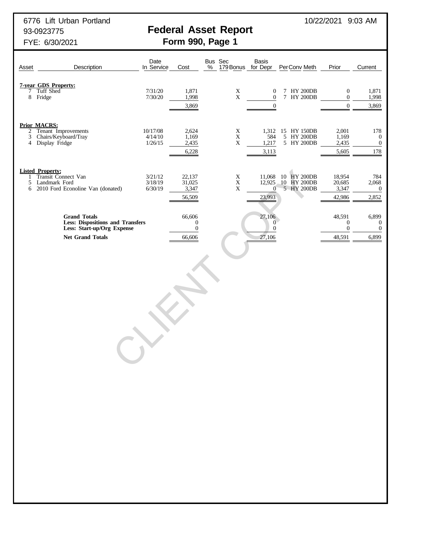6776 Lift Urban Portland 10/22/2021 9:03 AM

# 93-0923775 **Federal Asset Report**

## FYE: 6/30/2021 **Form 990, Page 1**

| Asset       | Description                                                                                                             | Date<br>In Service             | Cost                                                     | Bus Sec<br>$\%$<br>179 Bonus for Depr     | Basis                                                    | Per Conv Meth                                   | Prior                                                | Current                                              |
|-------------|-------------------------------------------------------------------------------------------------------------------------|--------------------------------|----------------------------------------------------------|-------------------------------------------|----------------------------------------------------------|-------------------------------------------------|------------------------------------------------------|------------------------------------------------------|
| 7           | <b>7-year GDS Property:</b><br>Tuff Shed<br>8 Fridge                                                                    | 7/31/20<br>7/30/20             | 1,871<br>1,998<br>3,869                                  | $\mathbf X$<br>$\mathbf X$                | $\boldsymbol{0}$<br>$\boldsymbol{0}$<br>$\boldsymbol{0}$ | 7 HY 200DB<br>7 HY 200DB                        | $\boldsymbol{0}$<br>$\mathbf{0}$<br>$\boldsymbol{0}$ | 1,871<br>1,998<br>3,869                              |
| 2<br>3<br>4 | <b>Prior MACRS:</b><br>Tenant Improvements<br>Chairs/Keyboard/Tray<br>Display Fridge                                    | 10/17/08<br>4/14/10<br>1/26/15 | 2,624<br>1,169<br>2,435<br>6,228                         | $\mathbf X$<br>$\mathbf X$<br>$\mathbf X$ | 584<br>1,217<br>3,113                                    | 1,312 15 HY 150DB<br>5 HY 200DB<br>5 HY 200DB   | 2,001<br>1,169<br>2,435<br>5,605                     | 178<br>$\boldsymbol{0}$<br>$\boldsymbol{0}$<br>178   |
| 1<br>5<br>6 | <b>Listed Property:</b><br>Transit Connect Van<br>Landmark Ford<br>2010 Ford Econoline Van (donated)                    | 3/21/12<br>3/18/19<br>6/30/19  | 22,137<br>31,025<br>3,347<br>56,509                      | $\mathbf X$<br>$\mathbf X$<br>$\mathbf X$ | 11,068<br>$\overline{0}$<br>23,993                       | 10 HY 200DB<br>12,925 10 HY 200DB<br>5 HY 200DB | 18,954<br>20,685<br>3,347<br>42,986                  | 784<br>2,068<br>$\boldsymbol{0}$<br>2,852            |
|             | <b>Grand Totals</b><br><b>Less: Dispositions and Transfers</b><br>Less: Start-up/Org Expense<br><b>Net Grand Totals</b> |                                | 66,606<br>$\boldsymbol{0}$<br>$\boldsymbol{0}$<br>66,606 |                                           | 27,106<br>$\overline{0}$<br>$\boldsymbol{0}$<br>27,106   |                                                 | 48,591<br>$\boldsymbol{0}$<br>$\theta$<br>48,591     | 6,899<br>$\overline{0}$<br>$\boldsymbol{0}$<br>6,899 |
|             |                                                                                                                         |                                |                                                          |                                           |                                                          |                                                 |                                                      |                                                      |
|             |                                                                                                                         |                                |                                                          |                                           |                                                          |                                                 |                                                      |                                                      |
|             | $\bigodot$                                                                                                              |                                |                                                          |                                           |                                                          |                                                 |                                                      |                                                      |
|             |                                                                                                                         |                                |                                                          |                                           |                                                          |                                                 |                                                      |                                                      |
|             |                                                                                                                         |                                |                                                          |                                           |                                                          |                                                 |                                                      |                                                      |
|             |                                                                                                                         |                                |                                                          |                                           |                                                          |                                                 |                                                      |                                                      |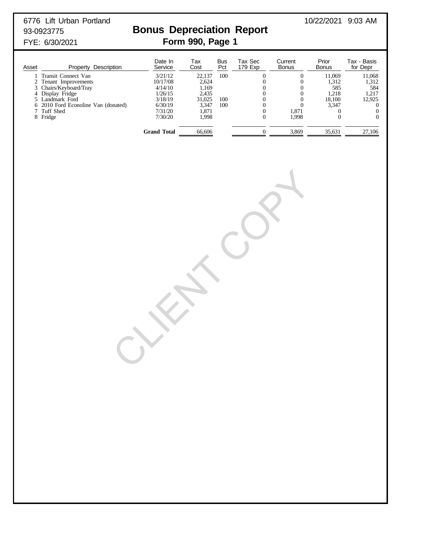6776 Lift Urban Portland 10/22/2021 9:03 AM

## 93-0923775 **Bonus Depreciation Report** FYE: 6/30/2021 **Form 990, Page 1**

| Asset | Property Description                | Date In<br>Service | Тах<br>Cost | <b>Bus</b><br>Pct | Tax Sec<br>179 Exp | Current<br><b>Bonus</b> | Prior<br><b>Bonus</b> | Tax - Basis<br>for Depr |
|-------|-------------------------------------|--------------------|-------------|-------------------|--------------------|-------------------------|-----------------------|-------------------------|
|       | Transit Connect Van                 | 3/21/12            | 22.137      | 100               |                    |                         | 11,069                | 11,068                  |
|       | Tenant Improvements                 | 10/17/08           | 2.624       |                   |                    |                         | 1,312                 | 1,312                   |
|       | 3 Chairs/Keyboard/Tray              | 4/14/10            | 1,169       |                   |                    |                         | 585                   | 584                     |
|       | 4 Display Fridge                    | 1/26/15            | 2.435       |                   |                    |                         | 1.218                 | 1.217                   |
|       | 5 Landmark Ford                     | 3/18/19            | 31.025      | 100               |                    |                         | 18,100                | 12.925                  |
|       | 6 2010 Ford Econoline Van (donated) | 6/30/19            | 3.347       | 100               |                    |                         | 3,347                 |                         |
|       | 7 Tuff Shed                         | 7/31/20            | 1.871       |                   |                    | 1,871                   |                       |                         |
|       | 8 Fridge                            | 7/30/20            | 1.998       |                   |                    | 1,998                   |                       | 0                       |
|       |                                     | Grand Total        | 66.606      |                   |                    | 3,869                   | 35,631                | 27.106                  |

CLIENT COPY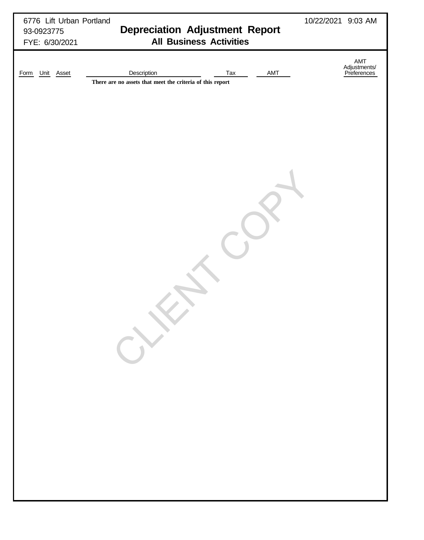| 6776 Lift Urban Portland<br>93-0923775<br>FYE: 6/30/2021 | <b>Depreciation Adjustment Report</b><br><b>All Business Activities</b>                | 10/22/2021 9:03 AM                 |
|----------------------------------------------------------|----------------------------------------------------------------------------------------|------------------------------------|
| Unit Asset<br>Form                                       | Description<br>Tax<br>AMT<br>There are no assets that meet the criteria of this report | AMT<br>Adjustments/<br>Preferences |
|                                                          |                                                                                        |                                    |
|                                                          |                                                                                        |                                    |
|                                                          |                                                                                        |                                    |
|                                                          |                                                                                        |                                    |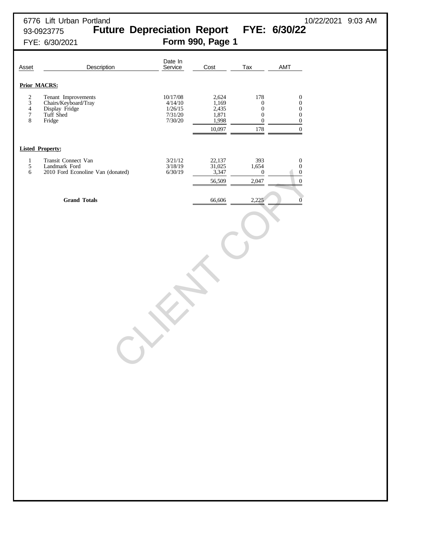## 6776 Lift Urban Portland 10/22/2021 9:03 AM 93-0923775 **Future Depreciation Report FYE: 6/30/22** FYE: 6/30/2021 **Form 990, Page 1**

| Asset                                                        | Description                                                                          | Date In<br>Service                                   | Cost                                                | Tax                                                                                        | AMT                                                                                                                  |
|--------------------------------------------------------------|--------------------------------------------------------------------------------------|------------------------------------------------------|-----------------------------------------------------|--------------------------------------------------------------------------------------------|----------------------------------------------------------------------------------------------------------------------|
|                                                              | <b>Prior MACRS:</b>                                                                  |                                                      |                                                     |                                                                                            |                                                                                                                      |
| $\frac{2}{3}$<br>$\overline{4}$<br>$\overline{7}$<br>$\,8\,$ | Tenant Improvements<br>Chairs/Keyboard/Tray<br>Display Fridge<br>Tuff Shed<br>Fridge | 10/17/08<br>4/14/10<br>1/26/15<br>7/31/20<br>7/30/20 | 2,624<br>1,169<br>2,435<br>1,871<br>1,998<br>10,097 | 178<br>$\boldsymbol{0}$<br>$\boldsymbol{0}$<br>$\boldsymbol{0}$<br>$\boldsymbol{0}$<br>178 | $\boldsymbol{0}$<br>$\boldsymbol{0}$<br>$\boldsymbol{0}$<br>$\boldsymbol{0}$<br>$\boldsymbol{0}$<br>$\boldsymbol{0}$ |
|                                                              | <b>Listed Property:</b>                                                              |                                                      |                                                     |                                                                                            |                                                                                                                      |
| $\mathbf{1}$<br>$\sqrt{5}$<br>6                              | Transit Connect Van<br>Landmark Ford<br>2010 Ford Econoline Van (donated)            | 3/21/12<br>3/18/19<br>6/30/19                        | 22,137<br>$\frac{31,025}{3,347}$<br>56,509          | 393<br>1,654<br>$\boldsymbol{0}$<br>2,047                                                  | $\boldsymbol{0}$<br>$\boldsymbol{0}$<br>$\boldsymbol{0}$<br>$\boldsymbol{0}$                                         |
|                                                              | <b>Grand Totals</b>                                                                  |                                                      | 66,606                                              | 2,225                                                                                      | $\overline{0}$                                                                                                       |
|                                                              | $\qquad \qquad$                                                                      | $\mathcal{N}$                                        |                                                     |                                                                                            |                                                                                                                      |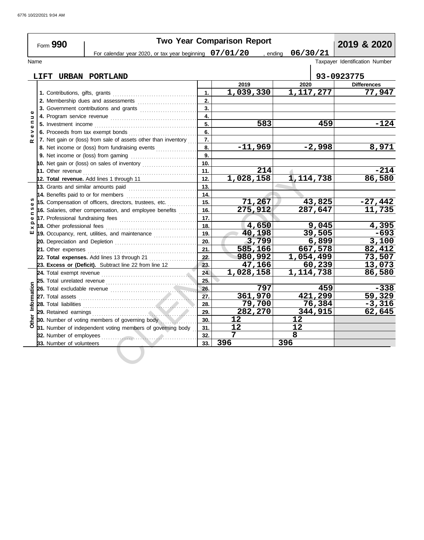| Form 990                      |                                                                |                                                                                                                                                                                                                                      |          | <b>Two Year Comparison Report</b> | 2019 & 2020     |                                |
|-------------------------------|----------------------------------------------------------------|--------------------------------------------------------------------------------------------------------------------------------------------------------------------------------------------------------------------------------------|----------|-----------------------------------|-----------------|--------------------------------|
|                               |                                                                | For calendar year 2020, or tax year beginning $07/01/20$ , ending                                                                                                                                                                    |          | 06/30/21                          |                 |                                |
|                               | Name                                                           |                                                                                                                                                                                                                                      |          |                                   |                 | Taxpayer Identification Number |
|                               |                                                                |                                                                                                                                                                                                                                      |          |                                   |                 |                                |
|                               | LIFT                                                           | URBAN PORTLAND                                                                                                                                                                                                                       |          |                                   | 2020            | 93-0923775                     |
|                               |                                                                |                                                                                                                                                                                                                                      | 1.       | 2019<br>1,039,330                 | 1,117,277       | <b>Differences</b><br>77,947   |
|                               |                                                                |                                                                                                                                                                                                                                      | 2.       |                                   |                 |                                |
|                               | 3. Government contributions and grants                         |                                                                                                                                                                                                                                      | 3.       |                                   |                 |                                |
| Φ                             |                                                                |                                                                                                                                                                                                                                      |          |                                   |                 |                                |
| $\Rightarrow$<br>$\mathbf{C}$ |                                                                |                                                                                                                                                                                                                                      | 4.<br>5. | 583                               | 459             | $-124$                         |
| $\Phi$                        |                                                                |                                                                                                                                                                                                                                      |          |                                   |                 |                                |
| ><br>$\mathbf{Q}$             |                                                                | 6. Proceeds from tax exempt bonds                                                                                                                                                                                                    | 6.       |                                   |                 |                                |
|                               | 7. Net gain or (loss) from sale of assets other than inventory |                                                                                                                                                                                                                                      | 7.       | $-11,969$                         | $-2,998$        | 8,971                          |
|                               | 8. Net income or (loss) from fundraising events                |                                                                                                                                                                                                                                      | 8.<br>9. |                                   |                 |                                |
|                               |                                                                |                                                                                                                                                                                                                                      |          |                                   |                 |                                |
|                               |                                                                | 10. Net gain or (loss) on sales of inventory                                                                                                                                                                                         | 10.      | 214                               |                 | $-214$                         |
|                               |                                                                | 11. Other revenue <b>constant of the constant of the constant of the constant of the constant of the constant of the constant of the constant of the constant of the constant of the constant of the constant of the constant of</b> | 11.      |                                   |                 | 86,580                         |
|                               |                                                                | 12. Total revenue. Add lines 1 through 11                                                                                                                                                                                            | 12.      | 1,028,158                         | 1,114,738       |                                |
|                               |                                                                | 13. Grants and similar amounts paid $\begin{bmatrix} 1 & 0 & 0 \\ 0 & 0 & 0 \\ 0 & 0 & 0 \end{bmatrix}$                                                                                                                              | 13.      |                                   |                 |                                |
|                               |                                                                | 14. Benefits paid to or for members                                                                                                                                                                                                  | 14.      |                                   |                 |                                |
| S                             |                                                                | 15. Compensation of officers, directors, trustees, etc.                                                                                                                                                                              | 15.      | 71,267                            | 43,825          | $-27,442$                      |
| $\mathbf{C}$                  |                                                                | 16. Salaries, other compensation, and employee benefits                                                                                                                                                                              | 16.      | 275,912                           | 287,647         | 11,735                         |
| Ф<br>Q                        |                                                                |                                                                                                                                                                                                                                      | 17.      |                                   |                 |                                |
|                               |                                                                |                                                                                                                                                                                                                                      | 18.      | 4,650                             | 9,045           | 4,395                          |
| ш                             |                                                                | 19. Occupancy, rent, utilities, and maintenance <i>[[[[[[[[[[[[[[[]]]]</i>                                                                                                                                                           | 19.      | 40,198                            | 39,505          | $-693$                         |
|                               |                                                                |                                                                                                                                                                                                                                      | 20.      | 3,799                             | 6,899           | 3,100                          |
|                               | 21. Other expenses                                             |                                                                                                                                                                                                                                      | 21.      | 585,166                           | 667,578         | 82,412                         |
|                               |                                                                |                                                                                                                                                                                                                                      | 22.      | 980,992                           | 1,054,499       | 73,507                         |
|                               |                                                                | 23. Excess or (Deficit). Subtract line 22 from line 12                                                                                                                                                                               | 23.      | 47,166                            | 60,239          | 13,073                         |
|                               |                                                                |                                                                                                                                                                                                                                      | 24.      | 1,028,158                         | 1,114,738       | 86,580                         |
|                               |                                                                |                                                                                                                                                                                                                                      | 25.      |                                   |                 |                                |
|                               |                                                                |                                                                                                                                                                                                                                      | 26.      | 797                               | 459             | $-338$                         |
| Information                   |                                                                |                                                                                                                                                                                                                                      | 27.      | 361,970                           | 421,299         | 59,329                         |
|                               |                                                                |                                                                                                                                                                                                                                      | 28.      | 79,700                            | 76,384          | $-3,316$                       |
|                               |                                                                |                                                                                                                                                                                                                                      | 29.      | 282,270                           | 344,915         | 62,645                         |
| <b>Other</b>                  |                                                                | 30. Number of voting members of governing body                                                                                                                                                                                       | 30.      | 12 <sup>°</sup>                   | 12 <sub>2</sub> |                                |
|                               |                                                                | 31. Number of independent voting members of governing body                                                                                                                                                                           | 31.      | 12                                | 12              |                                |
|                               |                                                                |                                                                                                                                                                                                                                      | 32.      | 7                                 | 8               |                                |
|                               | 33. Number of volunteers                                       |                                                                                                                                                                                                                                      | 33.      | 396                               | 396             |                                |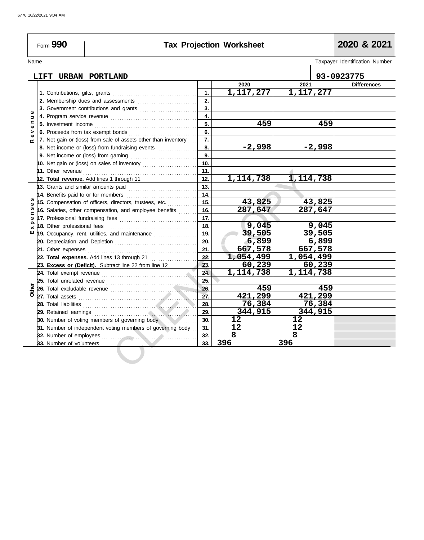## **Tax Projection Worksheet 2020 & 2021**

Name Taxpayer Identification Number

**LIFT URBAN PORTLAND 93-0923775 2020 2021 Differences 1,117,277 1,117,277 1.** Contributions, gifts, grants . . . . . . . . . . . . . . . . . . . . . . . . . . . . . . . . . . . . . **1. 2. 2.** Membership dues and assessments ............................ **3. 3.** Government contributions and grants .........................  $\mathbf{o}$ **E x p e n s e s R e v e n u e 4.**  $\frac{1}{2}$ Program service revenue . . . . . . . . . . . . . . . . . . . . . . . . . . . . . . . . . . . . . . **4. 459 459 5.** Investment income . . . . . . . . . . . . . . . . . . . . . . . . . . . . . . . . . . . . . . . . . . . . . **5.** e v e **6.** Proceeds from tax exempt bonds . . . . . . . . . . . . . . . . . . . . . . . . . . . . . . **6. 7. 7.** Net gain or (loss) from sale of assets other than inventory  $\ldots$  $\alpha$ **-2,998 -2,998 8. 8.** Net income or (loss) from fundraising events .................. **9. 9.** Net income or (loss) from gaming . . . . . . . . . . . . . . . . . . . . . . . . . . . . . **10. 10.** Net gain or (loss) on sales of inventory ........................ **11. 11.** Other revenue . . . . . . . . . . . . . . . . . . . . . . . . . . . . . . . . . . . . . . . . . . . . . . . . . . 11.<br>
11. 12. 1, 114, 738 1, 114<br>
a paid<br>
a paid<br>
a paid<br>
a mond employee benefits<br>
a mon and employee benefits<br>
6. 287, 647 287<br>
es<br>
and maintenance<br>
11. 18. 9, 045 9<br>
20. 6.899 667<br>
11. 18. 9, 045 9<br>
21. 667, 578 667<br>
11. **12. 1,114,738 1,114,738 12. Total revenue.** Add lines 1 through 11 **13. 13.** Grants and similar amounts paid . . . . . . . . . . . . . . . . . . . . . . . . . . . . . . **14.** Benefits paid to or for members . . . . . . . . . . . . . . . . . . . . . . . . . . . . . . . **14. 43,825 43,825 15. 15.** Compensation of officers, directors, trustees, etc. . . . . . . . . . . . . ø xpens **287,647 287,647 16. 16.** Salaries, other compensation, and employee benefits  $\ldots$ ... **17.** Professional fundraising fees . . . . . . . . . . . . . . . . . . . . . . . . . . . . . . . . . . **17. 9,045 9,045 18.** Other professional fees . . . . . . . . . . . . . . . . . . . . . . . . . . . . . . . . . . . . . . . . **18.** шï **39,505 39,505 19.** Occupancy, rent, utilities, and maintenance . . . . . . . . . . . . . . . . . . . **19. 6,899 6,899 20.** Depreciation and Depletion . . . . . . . . . . . . . . . . . . . . . . . . . . . . . . . . . . . . **20. 667,578 667,578 21.** Other expenses . . . . . . . . . . . . . . . . . . . . . . . . . . . . . . . . . . . . . . . . . . . . . . . . **21. 1,054,499 1,054,499 22. 22. Total expenses.** Add lines 13 through 21 . . . . . . . . . . . . . . . . . . **23. 60,239 60,239 23. Excess or (Deficit).** Subtract line 22 from line 12 **1,114,738 1,114,738 24.** Total exempt revenue . . . . . . . . . . . . . . . . . . . . . . . . . . . . . . . . . . . . . . . . . . **24.** Total unrelated revenue . . . . . . . . . . . . . . . . . . . . . . . . . . . . . . . . . . . . . . . . **25. 25. Other 459 459 26. 26.** Total excludable revenue . . . . . . . . . . . . . . . . . . . . . . . . . . . . . . . . . . . . . . **421,299 421,299 27. 27.** Total assets . . . . . . . . . . . . . . . . . . . . . . . . . . . . . . . . . . . . . . . . . . . . . . . . . . . . **76,384 76,384 28. 28.** Total liabilities . . . . . . . . . . . . . . . . . . . . . . . . . . . . . . . . . . . . . . . . . . . . . . . . . . **344,915 344,915 29. 29.** Retained earnings . . . . . . . . . . . . . . . . . . . . . . . . . . . . . . . . . . . . . . . . . . . . . . **12 12 30. 30.** Number of voting members of governing body ............... **31.** Number of independent voting members of governing body **31. 12 12 8 8 32.** Number of employees . . . . . . . . . . . . . . . . . . . . . . . . . . . . . . . . . . . . . . . . . . **32. 396 396 33.** Number of volunteers **33.**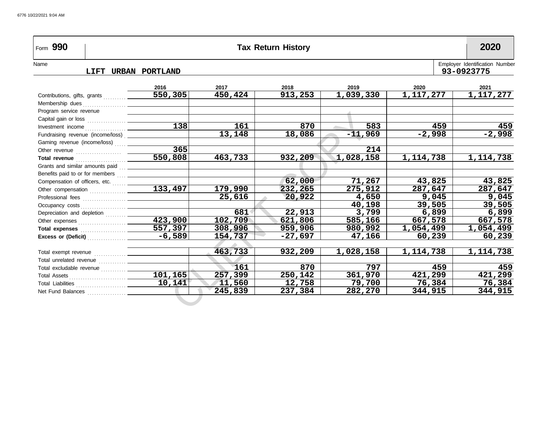| Form 990                                |                  |                      | <b>Tax Return History</b> |           |                        | 2020                                         |
|-----------------------------------------|------------------|----------------------|---------------------------|-----------|------------------------|----------------------------------------------|
| Name<br>LIFT URBAN PORTLAND             |                  |                      |                           |           |                        | Employer Identification Number<br>93-0923775 |
|                                         | 2016             | 2017                 | 2018                      | 2019      | 2020                   | 2021                                         |
| Contributions, gifts, grants            | 550,305          | 450,424              | 913,253                   | 1,039,330 | $\overline{1,117,277}$ | $\overline{1,117,277}$                       |
|                                         |                  |                      |                           |           |                        |                                              |
| Program service revenue                 |                  |                      |                           |           |                        |                                              |
|                                         |                  |                      |                           |           |                        |                                              |
|                                         | $\overline{138}$ | 161                  | 870                       | 583       | 459                    | 459                                          |
|                                         |                  | $\overline{1}$ 3,148 | 18,086                    | $-11,969$ | $-2,998$               | $-2,998$                                     |
| Gaming revenue (income/loss)  _________ |                  |                      |                           |           |                        |                                              |
|                                         | 365              |                      |                           | 214       |                        |                                              |
|                                         | 550,808          | 463,733              | 932,209                   | 1,028,158 | 1, 114, 738            | 1, 114, 738                                  |
|                                         |                  |                      |                           |           |                        |                                              |
|                                         |                  |                      |                           |           |                        |                                              |
|                                         |                  |                      | 62,000                    | 71,267    | 43,825                 | 43,825                                       |
|                                         | 133,497          | 179,990              | 232,265                   | 275,912   | 287,647                | 287,647                                      |
|                                         |                  | 25,616               | 20,922                    | 4,650     | 9,045                  | 9,045                                        |
|                                         |                  |                      |                           | 40,198    | 39,505                 | 39,505                                       |
| Depreciation and depletion              |                  | 681                  | 22,913                    | 3,799     | 6,899                  | 6,899                                        |
|                                         | 423,900          | 102,709              | 621,806                   | 585,166   | 667,578                | 667,578                                      |
|                                         |                  | 308,996              | 959,906                   | 980,992   | 1,054,499              | 1,054,499                                    |
|                                         |                  | 154,737              | $-27,697$                 | 47,166    | 60,239                 | 60,239                                       |
|                                         |                  |                      |                           |           |                        |                                              |
|                                         |                  | 463,733              | 932,209                   | 1,028,158 | 1, 114, 738            | 1,114,738                                    |
|                                         |                  |                      |                           |           |                        |                                              |
| Total excludable revenue  ______        |                  | 161                  | 870                       | 797       | 459                    | 459                                          |
|                                         | 101,165          | 257,399              | 250,142                   | 361,970   | 421,299                | 421,299                                      |
|                                         |                  | 11,560               | 12,758                    | 79,700    | 76,384                 | 76,384                                       |
|                                         |                  | 245,839              | 237,384                   | 282,270   | 344,915                | 344,915                                      |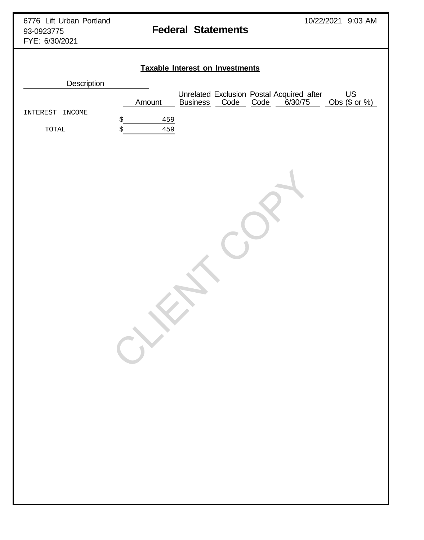# **Taxable Interest on Investments**

| INTEREST<br>INCOME<br>$\boldsymbol{\mathsf{S}}$<br>$\operatorname{TOTAL}$<br>\$ | Amount<br>459<br>459 |  | Unrelated Exclusion Postal Acquired after<br>Business Code Code 6/30/75 | US<br>Obs $($ or %)$ |
|---------------------------------------------------------------------------------|----------------------|--|-------------------------------------------------------------------------|----------------------|
|                                                                                 |                      |  |                                                                         |                      |
|                                                                                 |                      |  |                                                                         |                      |
|                                                                                 |                      |  |                                                                         |                      |
|                                                                                 |                      |  |                                                                         |                      |
|                                                                                 |                      |  |                                                                         |                      |
|                                                                                 |                      |  |                                                                         |                      |
|                                                                                 |                      |  |                                                                         |                      |
|                                                                                 |                      |  |                                                                         |                      |
|                                                                                 |                      |  |                                                                         |                      |
|                                                                                 |                      |  |                                                                         |                      |
|                                                                                 |                      |  |                                                                         |                      |
|                                                                                 |                      |  |                                                                         |                      |
|                                                                                 |                      |  |                                                                         |                      |
|                                                                                 |                      |  |                                                                         |                      |
|                                                                                 |                      |  |                                                                         |                      |
|                                                                                 |                      |  |                                                                         |                      |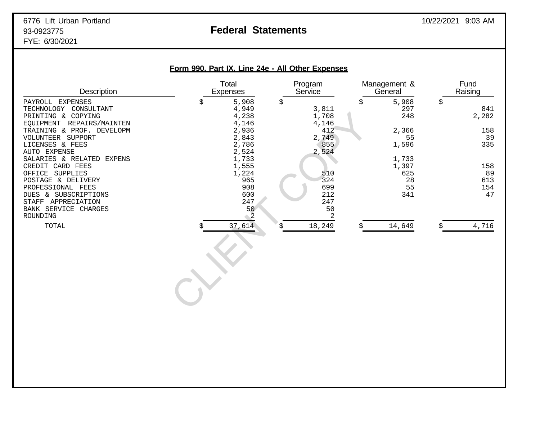# **Form 990, Part IX, Line 24e - All Other Expenses** Total Program Management & Fund<br>Expenses Service General Raising Description **Expenses Service General Raising** Construction Construction Description PAYROLL EXPENSES \$ 5,908 \$ \$ 5,908 \$ TECHNOLOGY CONSULTANT 4,949 3,811 297 841 PRINTING & COPYING 4,238 1,708<br>EQUIPMENT REPAIRS/MAINTEN 4,146 4,146 4,146 EQUIPMENT REPAIRS/MAINTEN 4,146 4,146 4,146 4,146<br>TRAINING & PROF. DEVELOPM 412 TRAINING & PROF. DEVELOPM  $2,936$ <br>
2,936  $412$ <br>
2,749  $2,749$ VOLUNTEER SUPPORT 2,843 2,749 55 39 LICENSES & FEES 2,786 355<br>AUTO EXPENSE 2,524 2,524 AUTO EXPENSE 2,524 2,524 SALARIES & RELATED EXPENS 1,733 1,733 1,733 1,733 1,733 1,733 CREDIT CARD FEES 1,555 1,397 158 OFFICE SUPPLIES 1,224 510 625 89 POSTAGE & DELIVERY 965 324 28 613 PROFESSIONAL FEES 908 699 55 154  $\begin{array}{c|c}4,238&1,708\\4,146&4,146\\2,936&4,146\\2,936&4,146\\2,843&2,749\\2,843&2,749\\2,786&855\\2,784&852\\1,733&1,555\\1,224&510\\965&324\\699&692\\247&56&50\\699&692\\247&56&50\\247&247\\56&50\\8&-27\\8&-21\\8&-21\\8&-21\\8&-22\\8&-21\\8&-$

| DUES &<br>SUBSCRIPTIONS | 600 | 212    | 341    | 47   |
|-------------------------|-----|--------|--------|------|
| STAFF<br>APPRECIATION   | 247 | 247    |        |      |
| BANK SERVICE<br>CHARGES | 50  | 50     |        |      |
| ROUNDING                | ▵   |        |        |      |
| TOTAL                   | 614 | 18,249 | 14,649 | ,716 |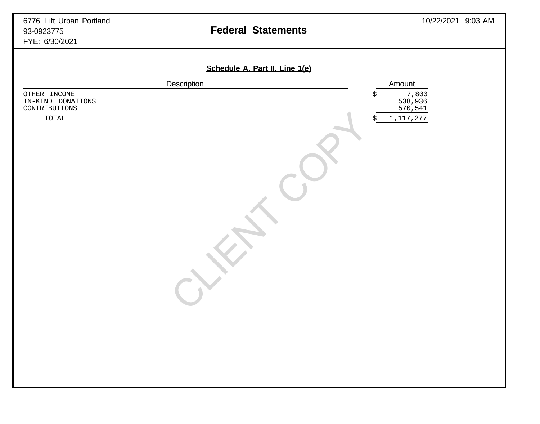|                                                    | Description | Amount                            |
|----------------------------------------------------|-------------|-----------------------------------|
| OTHER INCOME<br>IN-KIND DONATIONS<br>CONTRIBUTIONS |             | 7,800<br>538,936<br>570,541<br>\$ |
| $\tt TOTAL$                                        |             | 1, 117, 277<br>\$                 |
|                                                    |             |                                   |
|                                                    |             |                                   |
|                                                    |             |                                   |
|                                                    |             |                                   |
|                                                    |             |                                   |
|                                                    |             |                                   |
|                                                    |             |                                   |
|                                                    |             |                                   |
|                                                    |             |                                   |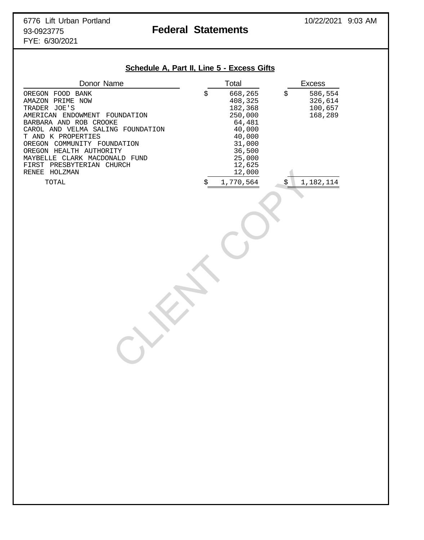## **Schedule A, Part II, Line 5 - Excess Gifts**

| Donor Name                                                                                                                                                                                                                                                                                         | Total                                                                                                                | <b>Excess</b>                                  |
|----------------------------------------------------------------------------------------------------------------------------------------------------------------------------------------------------------------------------------------------------------------------------------------------------|----------------------------------------------------------------------------------------------------------------------|------------------------------------------------|
| OREGON FOOD BANK<br>AMAZON PRIME NOW<br>TRADER JOE'S<br>AMERICAN ENDOWMENT FOUNDATION<br>BARBARA AND ROB CROOKE<br>CAROL AND VELMA SALING FOUNDATION<br>T AND K PROPERTIES<br>OREGON COMMUNITY FOUNDATION<br>OREGON HEALTH AUTHORITY<br>MAYBELLE CLARK MACDONALD FUND<br>FIRST PRESBYTERIAN CHURCH | \$<br>668,265<br>408,325<br>182,368<br>250,000<br>64,481<br>40,000<br>40,000<br>31,000<br>36,500<br>25,000<br>12,625 | 586,554<br>\$<br>326,614<br>100,657<br>168,289 |
| RENEE HOLZMAN                                                                                                                                                                                                                                                                                      | 12,000                                                                                                               |                                                |
| TOTAL                                                                                                                                                                                                                                                                                              | 1,770,564<br>\$                                                                                                      | 1,182,114<br>\$                                |
|                                                                                                                                                                                                                                                                                                    |                                                                                                                      |                                                |